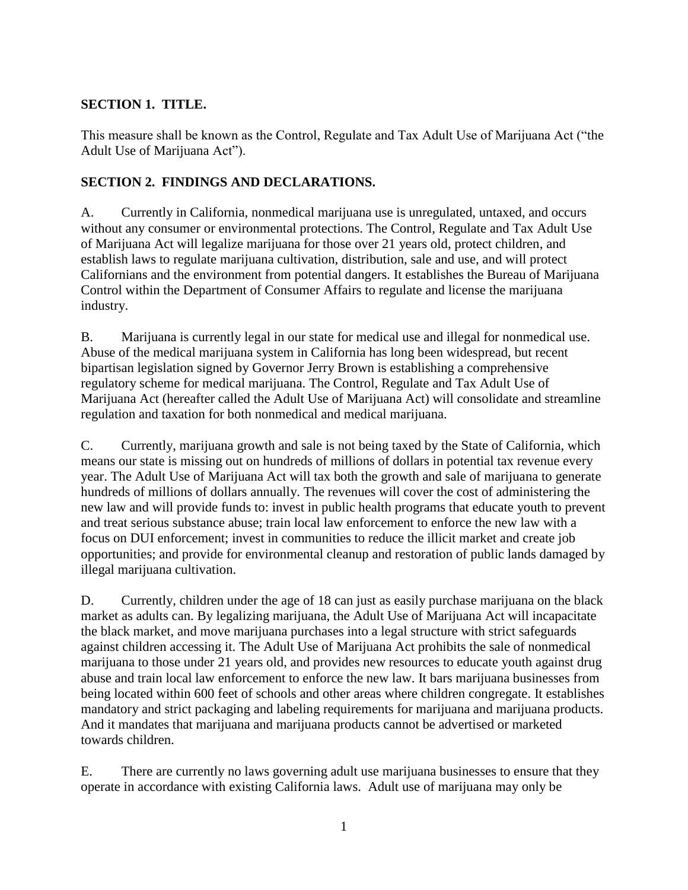# **SECTION 1. TITLE.**

This measure shall be known as the Control, Regulate and Tax Adult Use of Marijuana Act ("the Adult Use of Marijuana Act").

## **SECTION 2. FINDINGS AND DECLARATIONS.**

A. Currently in California, nonmedical marijuana use is unregulated, untaxed, and occurs without any consumer or environmental protections. The Control, Regulate and Tax Adult Use of Marijuana Act will legalize marijuana for those over 21 years old, protect children, and establish laws to regulate marijuana cultivation, distribution, sale and use, and will protect Californians and the environment from potential dangers. It establishes the Bureau of Marijuana Control within the Department of Consumer Affairs to regulate and license the marijuana industry.

B. Marijuana is currently legal in our state for medical use and illegal for nonmedical use. Abuse of the medical marijuana system in California has long been widespread, but recent bipartisan legislation signed by Governor Jerry Brown is establishing a comprehensive regulatory scheme for medical marijuana. The Control, Regulate and Tax Adult Use of Marijuana Act (hereafter called the Adult Use of Marijuana Act) will consolidate and streamline regulation and taxation for both nonmedical and medical marijuana.

C. Currently, marijuana growth and sale is not being taxed by the State of California, which means our state is missing out on hundreds of millions of dollars in potential tax revenue every year. The Adult Use of Marijuana Act will tax both the growth and sale of marijuana to generate hundreds of millions of dollars annually. The revenues will cover the cost of administering the new law and will provide funds to: invest in public health programs that educate youth to prevent and treat serious substance abuse; train local law enforcement to enforce the new law with a focus on DUI enforcement; invest in communities to reduce the illicit market and create job opportunities; and provide for environmental cleanup and restoration of public lands damaged by illegal marijuana cultivation.

D. Currently, children under the age of 18 can just as easily purchase marijuana on the black market as adults can. By legalizing marijuana, the Adult Use of Marijuana Act will incapacitate the black market, and move marijuana purchases into a legal structure with strict safeguards against children accessing it. The Adult Use of Marijuana Act prohibits the sale of nonmedical marijuana to those under 21 years old, and provides new resources to educate youth against drug abuse and train local law enforcement to enforce the new law. It bars marijuana businesses from being located within 600 feet of schools and other areas where children congregate. It establishes mandatory and strict packaging and labeling requirements for marijuana and marijuana products. And it mandates that marijuana and marijuana products cannot be advertised or marketed towards children.

E. There are currently no laws governing adult use marijuana businesses to ensure that they operate in accordance with existing California laws. Adult use of marijuana may only be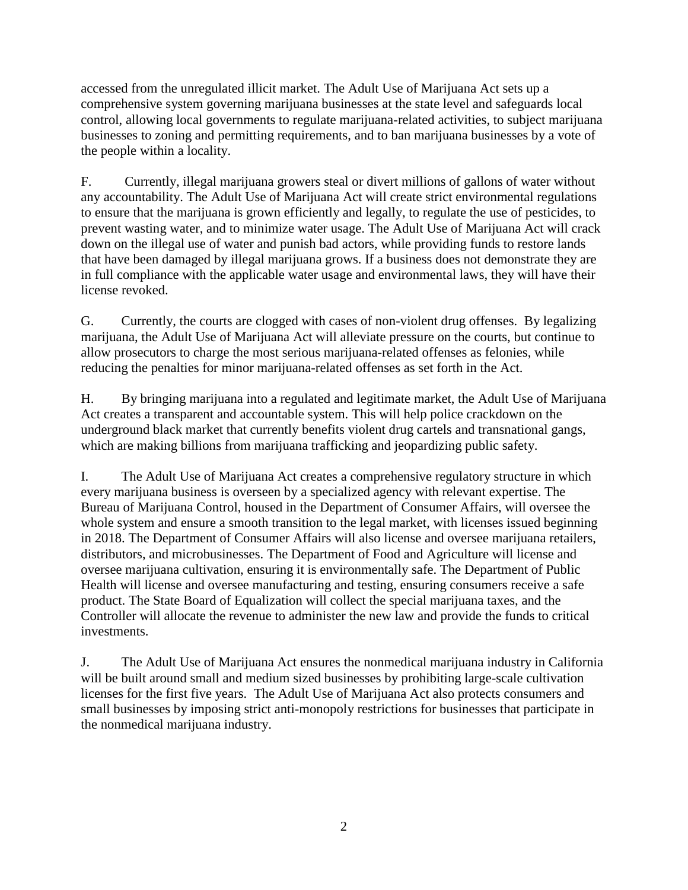accessed from the unregulated illicit market. The Adult Use of Marijuana Act sets up a comprehensive system governing marijuana businesses at the state level and safeguards local control, allowing local governments to regulate marijuana-related activities, to subject marijuana businesses to zoning and permitting requirements, and to ban marijuana businesses by a vote of the people within a locality.

F. Currently, illegal marijuana growers steal or divert millions of gallons of water without any accountability. The Adult Use of Marijuana Act will create strict environmental regulations to ensure that the marijuana is grown efficiently and legally, to regulate the use of pesticides, to prevent wasting water, and to minimize water usage. The Adult Use of Marijuana Act will crack down on the illegal use of water and punish bad actors, while providing funds to restore lands that have been damaged by illegal marijuana grows. If a business does not demonstrate they are in full compliance with the applicable water usage and environmental laws, they will have their license revoked.

G. Currently, the courts are clogged with cases of non-violent drug offenses. By legalizing marijuana, the Adult Use of Marijuana Act will alleviate pressure on the courts, but continue to allow prosecutors to charge the most serious marijuana-related offenses as felonies, while reducing the penalties for minor marijuana-related offenses as set forth in the Act.

H. By bringing marijuana into a regulated and legitimate market, the Adult Use of Marijuana Act creates a transparent and accountable system. This will help police crackdown on the underground black market that currently benefits violent drug cartels and transnational gangs, which are making billions from marijuana trafficking and jeopardizing public safety.

I. The Adult Use of Marijuana Act creates a comprehensive regulatory structure in which every marijuana business is overseen by a specialized agency with relevant expertise. The Bureau of Marijuana Control, housed in the Department of Consumer Affairs, will oversee the whole system and ensure a smooth transition to the legal market, with licenses issued beginning in 2018. The Department of Consumer Affairs will also license and oversee marijuana retailers, distributors, and microbusinesses. The Department of Food and Agriculture will license and oversee marijuana cultivation, ensuring it is environmentally safe. The Department of Public Health will license and oversee manufacturing and testing, ensuring consumers receive a safe product. The State Board of Equalization will collect the special marijuana taxes, and the Controller will allocate the revenue to administer the new law and provide the funds to critical investments.

J. The Adult Use of Marijuana Act ensures the nonmedical marijuana industry in California will be built around small and medium sized businesses by prohibiting large-scale cultivation licenses for the first five years. The Adult Use of Marijuana Act also protects consumers and small businesses by imposing strict anti-monopoly restrictions for businesses that participate in the nonmedical marijuana industry.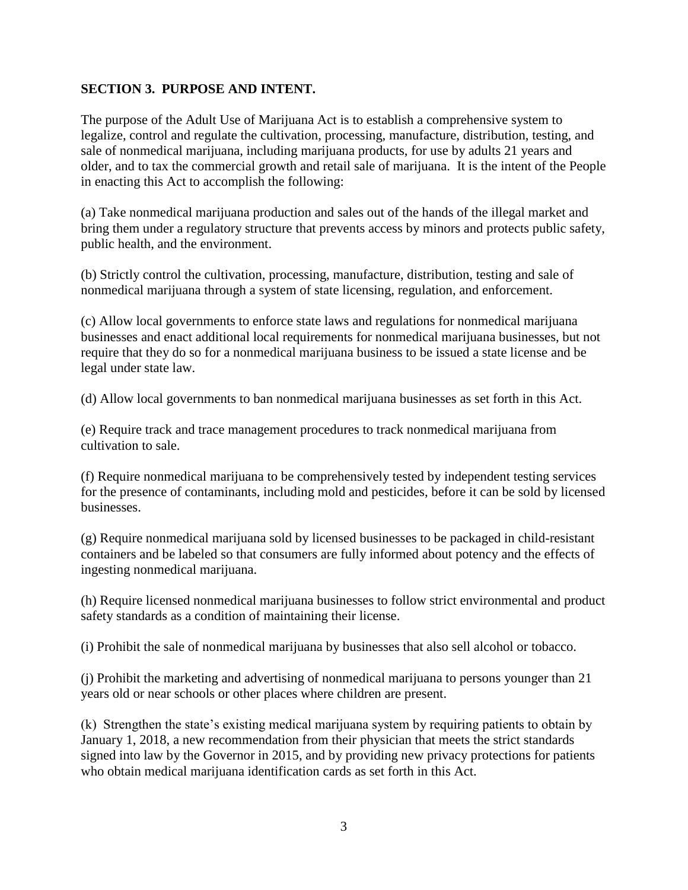## **SECTION 3. PURPOSE AND INTENT.**

The purpose of the Adult Use of Marijuana Act is to establish a comprehensive system to legalize, control and regulate the cultivation, processing, manufacture, distribution, testing, and sale of nonmedical marijuana, including marijuana products, for use by adults 21 years and older, and to tax the commercial growth and retail sale of marijuana. It is the intent of the People in enacting this Act to accomplish the following:

(a) Take nonmedical marijuana production and sales out of the hands of the illegal market and bring them under a regulatory structure that prevents access by minors and protects public safety, public health, and the environment.

(b) Strictly control the cultivation, processing, manufacture, distribution, testing and sale of nonmedical marijuana through a system of state licensing, regulation, and enforcement.

(c) Allow local governments to enforce state laws and regulations for nonmedical marijuana businesses and enact additional local requirements for nonmedical marijuana businesses, but not require that they do so for a nonmedical marijuana business to be issued a state license and be legal under state law.

(d) Allow local governments to ban nonmedical marijuana businesses as set forth in this Act.

(e) Require track and trace management procedures to track nonmedical marijuana from cultivation to sale.

(f) Require nonmedical marijuana to be comprehensively tested by independent testing services for the presence of contaminants, including mold and pesticides, before it can be sold by licensed businesses.

(g) Require nonmedical marijuana sold by licensed businesses to be packaged in child-resistant containers and be labeled so that consumers are fully informed about potency and the effects of ingesting nonmedical marijuana.

(h) Require licensed nonmedical marijuana businesses to follow strict environmental and product safety standards as a condition of maintaining their license.

(i) Prohibit the sale of nonmedical marijuana by businesses that also sell alcohol or tobacco.

(j) Prohibit the marketing and advertising of nonmedical marijuana to persons younger than 21 years old or near schools or other places where children are present.

(k) Strengthen the state's existing medical marijuana system by requiring patients to obtain by January 1, 2018, a new recommendation from their physician that meets the strict standards signed into law by the Governor in 2015, and by providing new privacy protections for patients who obtain medical marijuana identification cards as set forth in this Act.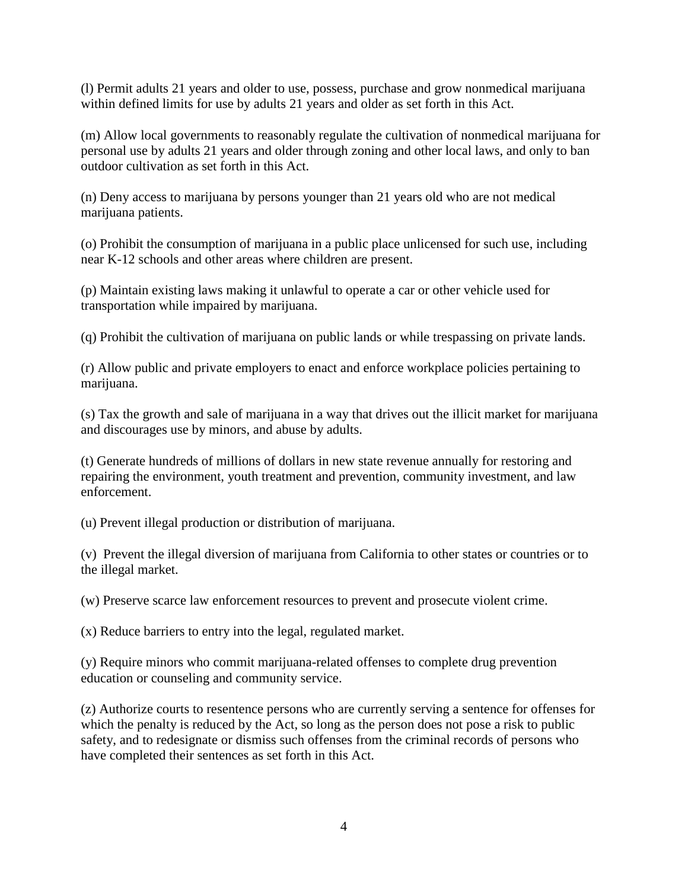(l) Permit adults 21 years and older to use, possess, purchase and grow nonmedical marijuana within defined limits for use by adults 21 years and older as set forth in this Act.

(m) Allow local governments to reasonably regulate the cultivation of nonmedical marijuana for personal use by adults 21 years and older through zoning and other local laws, and only to ban outdoor cultivation as set forth in this Act.

(n) Deny access to marijuana by persons younger than 21 years old who are not medical marijuana patients.

(o) Prohibit the consumption of marijuana in a public place unlicensed for such use, including near K-12 schools and other areas where children are present.

(p) Maintain existing laws making it unlawful to operate a car or other vehicle used for transportation while impaired by marijuana.

(q) Prohibit the cultivation of marijuana on public lands or while trespassing on private lands.

(r) Allow public and private employers to enact and enforce workplace policies pertaining to marijuana.

(s) Tax the growth and sale of marijuana in a way that drives out the illicit market for marijuana and discourages use by minors, and abuse by adults.

(t) Generate hundreds of millions of dollars in new state revenue annually for restoring and repairing the environment, youth treatment and prevention, community investment, and law enforcement.

(u) Prevent illegal production or distribution of marijuana.

(v) Prevent the illegal diversion of marijuana from California to other states or countries or to the illegal market.

(w) Preserve scarce law enforcement resources to prevent and prosecute violent crime.

(x) Reduce barriers to entry into the legal, regulated market.

(y) Require minors who commit marijuana-related offenses to complete drug prevention education or counseling and community service.

(z) Authorize courts to resentence persons who are currently serving a sentence for offenses for which the penalty is reduced by the Act, so long as the person does not pose a risk to public safety, and to redesignate or dismiss such offenses from the criminal records of persons who have completed their sentences as set forth in this Act.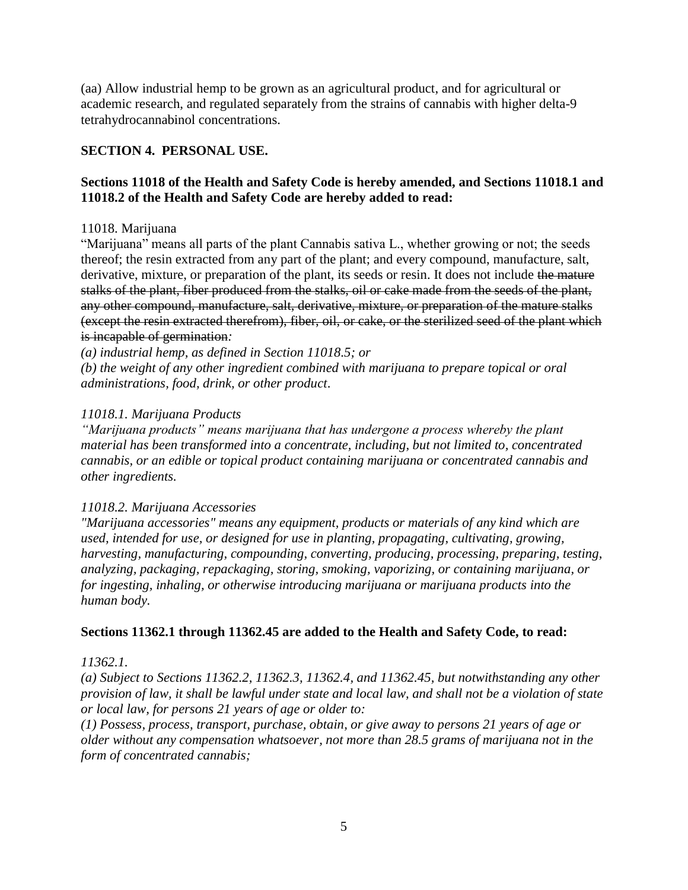(aa) Allow industrial hemp to be grown as an agricultural product, and for agricultural or academic research, and regulated separately from the strains of cannabis with higher delta-9 tetrahydrocannabinol concentrations.

## **SECTION 4. PERSONAL USE.**

## **Sections 11018 of the Health and Safety Code is hereby amended, and Sections 11018.1 and 11018.2 of the Health and Safety Code are hereby added to read:**

### 11018. Marijuana

"Marijuana" means all parts of the plant Cannabis sativa L., whether growing or not; the seeds thereof; the resin extracted from any part of the plant; and every compound, manufacture, salt, derivative, mixture, or preparation of the plant, its seeds or resin. It does not include the mature stalks of the plant, fiber produced from the stalks, oil or cake made from the seeds of the plant, any other compound, manufacture, salt, derivative, mixture, or preparation of the mature stalks (except the resin extracted therefrom), fiber, oil, or cake, or the sterilized seed of the plant which is incapable of germination*:*

*(a) industrial hemp, as defined in [Section 11018.5;](https://a.next.westlaw.com/Link/Document/FullText?findType=L&pubNum=1000213&cite=CAHSS11018.5&originatingDoc=N7C000B402FC411E3A883AF98397E6C58&refType=LQ&originationContext=document&transitionType=DocumentItem&contextData=%28sc.Category%29) or (b) the weight of any other ingredient combined with marijuana to prepare topical or oral administrations, food, drink, or other product*.

### *11018.1. Marijuana Products*

*"Marijuana products" means marijuana that has undergone a process whereby the plant material has been transformed into a concentrate, including, but not limited to, concentrated cannabis, or an edible or topical product containing marijuana or concentrated cannabis and other ingredients.* 

#### *11018.2. Marijuana Accessories*

*"Marijuana accessories" means any equipment, products or materials of any kind which are used, intended for use, or designed for use in planting, propagating, cultivating, growing, harvesting, manufacturing, compounding, converting, producing, processing, preparing, testing, analyzing, packaging, repackaging, storing, smoking, vaporizing, or containing marijuana, or for ingesting, inhaling, or otherwise introducing marijuana or marijuana products into the human body.* 

## **Sections 11362.1 through 11362.45 are added to the Health and Safety Code, to read:**

## *11362.1.*

*(a) Subject to Sections 11362.2, 11362.3, 11362.4, and 11362.45, but notwithstanding any other provision of law, it shall be lawful under state and local law, and shall not be a violation of state or local law, for persons 21 years of age or older to:* 

*(1) Possess, process, transport, purchase, obtain, or give away to persons 21 years of age or older without any compensation whatsoever, not more than 28.5 grams of marijuana not in the form of concentrated cannabis;*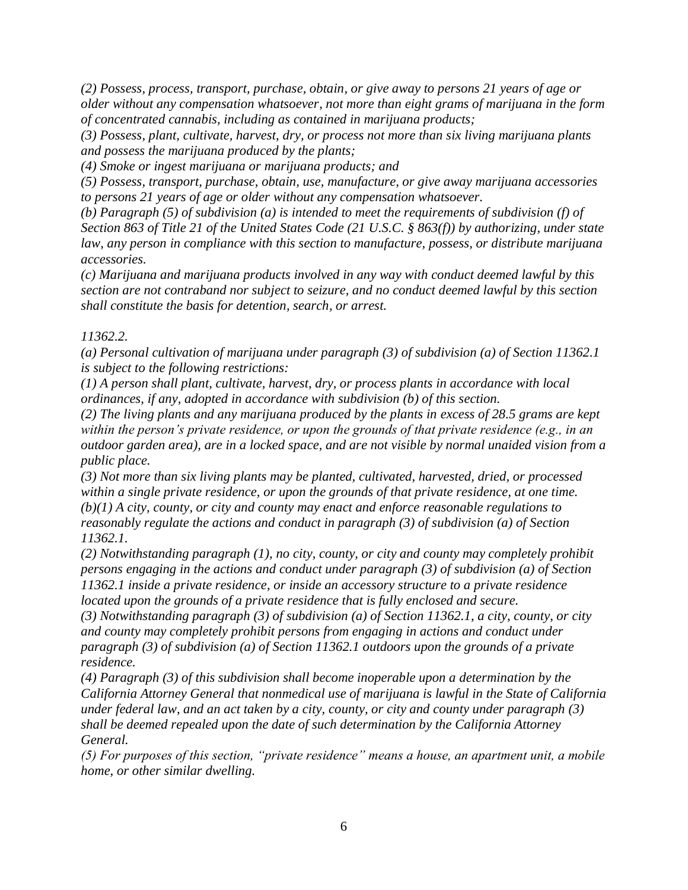*(2) Possess, process, transport, purchase, obtain, or give away to persons 21 years of age or older without any compensation whatsoever, not more than eight grams of marijuana in the form of concentrated cannabis, including as contained in marijuana products;* 

*(3) Possess, plant, cultivate, harvest, dry, or process not more than six living marijuana plants and possess the marijuana produced by the plants;*

*(4) Smoke or ingest marijuana or marijuana products; and* 

*(5) Possess, transport, purchase, obtain, use, manufacture, or give away marijuana accessories to persons 21 years of age or older without any compensation whatsoever.* 

*(b) Paragraph (5) of subdivision (a) is intended to meet the requirements of subdivision (f) of Section 863 of Title 21 of the United States Code (21 U.S.C. § 863(f)) by authorizing, under state law, any person in compliance with this section to manufacture, possess, or distribute marijuana accessories.*

*(c) Marijuana and marijuana products involved in any way with conduct deemed lawful by this section are not contraband nor subject to seizure, and no conduct deemed lawful by this section shall constitute the basis for detention, search, or arrest.* 

## *11362.2.*

*(a) Personal cultivation of marijuana under paragraph (3) of subdivision (a) of Section 11362.1 is subject to the following restrictions:* 

*(1) A person shall plant, cultivate, harvest, dry, or process plants in accordance with local ordinances, if any, adopted in accordance with subdivision (b) of this section.*

*(2) The living plants and any marijuana produced by the plants in excess of 28.5 grams are kept within the person's private residence, or upon the grounds of that private residence (e.g., in an outdoor garden area), are in a locked space, and are not visible by normal unaided vision from a public place.* 

*(3) Not more than six living plants may be planted, cultivated, harvested, dried, or processed within a single private residence, or upon the grounds of that private residence, at one time. (b)(1) A city, county, or city and county may enact and enforce reasonable regulations to reasonably regulate the actions and conduct in paragraph (3) of subdivision (a) of Section 11362.1.* 

*(2) Notwithstanding paragraph (1), no city, county, or city and county may completely prohibit persons engaging in the actions and conduct under paragraph (3) of subdivision (a) of Section 11362.1 inside a private residence, or inside an accessory structure to a private residence located upon the grounds of a private residence that is fully enclosed and secure.* 

*(3) Notwithstanding paragraph (3) of subdivision (a) of Section 11362.1, a city, county, or city and county may completely prohibit persons from engaging in actions and conduct under paragraph (3) of subdivision (a) of Section 11362.1 outdoors upon the grounds of a private residence.* 

*(4) Paragraph (3) of this subdivision shall become inoperable upon a determination by the California Attorney General that nonmedical use of marijuana is lawful in the State of California under federal law, and an act taken by a city, county, or city and county under paragraph (3) shall be deemed repealed upon the date of such determination by the California Attorney General.* 

*(5) For purposes of this section, "private residence" means a house, an apartment unit, a mobile home, or other similar dwelling.*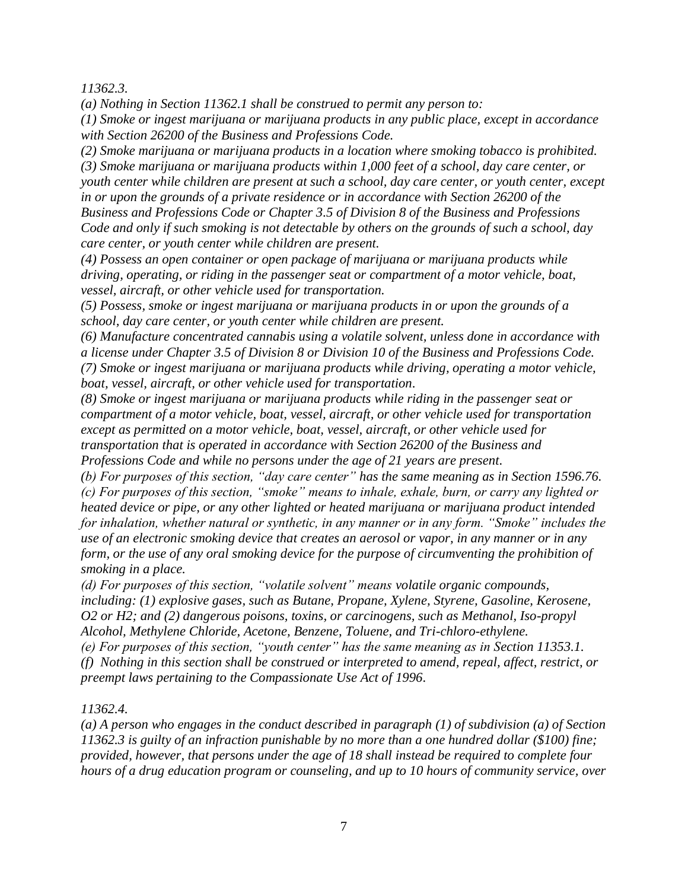*11362.3.* 

*(a) Nothing in Section 11362.1 shall be construed to permit any person to:*

*(1) Smoke or ingest marijuana or marijuana products in any public place, except in accordance with Section 26200 of the Business and Professions Code.*

*(2) Smoke marijuana or marijuana products in a location where smoking tobacco is prohibited. (3) Smoke marijuana or marijuana products within 1,000 feet of a school, day care center, or youth center while children are present at such a school, day care center, or youth center, except in or upon the grounds of a private residence or in accordance with Section 26200 of the Business and Professions Code or Chapter 3.5 of Division 8 of the Business and Professions Code and only if such smoking is not detectable by others on the grounds of such a school, day care center, or youth center while children are present.*

*(4) Possess an open container or open package of marijuana or marijuana products while driving, operating, or riding in the passenger seat or compartment of a motor vehicle, boat, vessel, aircraft, or other vehicle used for transportation.*

*(5) Possess, smoke or ingest marijuana or marijuana products in or upon the grounds of a school, day care center, or youth center while children are present.* 

*(6) Manufacture concentrated cannabis using a volatile solvent, unless done in accordance with a license under Chapter 3.5 of Division 8 or Division 10 of the Business and Professions Code. (7) Smoke or ingest marijuana or marijuana products while driving, operating a motor vehicle, boat, vessel, aircraft, or other vehicle used for transportation.*

*(8) Smoke or ingest marijuana or marijuana products while riding in the passenger seat or compartment of a motor vehicle, boat, vessel, aircraft, or other vehicle used for transportation except as permitted on a motor vehicle, boat, vessel, aircraft, or other vehicle used for transportation that is operated in accordance with Section 26200 of the Business and Professions Code and while no persons under the age of 21 years are present.* 

*(b) For purposes of this section, "day care center" has the same meaning as in Section 1596.76. (c) For purposes of this section, "smoke" means to inhale, exhale, burn, or carry any lighted or heated device or pipe, or any other lighted or heated marijuana or marijuana product intended for inhalation, whether natural or synthetic, in any manner or in any form. "Smoke" includes the use of an electronic smoking device that creates an aerosol or vapor, in any manner or in any form, or the use of any oral smoking device for the purpose of circumventing the prohibition of smoking in a place.* 

*(d) For purposes of this section, "volatile solvent" means volatile organic compounds, including: (1) explosive gases, such as Butane, Propane, Xylene, Styrene, Gasoline, Kerosene, O2 or H2; and (2) dangerous poisons, toxins, or carcinogens, such as Methanol, Iso-propyl Alcohol, Methylene Chloride, Acetone, Benzene, Toluene, and Tri-chloro-ethylene.* 

*(e) For purposes of this section, "youth center" has the same meaning as in Section 11353.1. (f) Nothing in this section shall be construed or interpreted to amend, repeal, affect, restrict, or preempt laws pertaining to the Compassionate Use Act of 1996.* 

## *11362.4.*

*(a) A person who engages in the conduct described in paragraph (1) of subdivision (a) of Section 11362.3 is guilty of an infraction punishable by no more than a one hundred dollar (\$100) fine; provided, however, that persons under the age of 18 shall instead be required to complete four hours of a drug education program or counseling, and up to 10 hours of community service, over*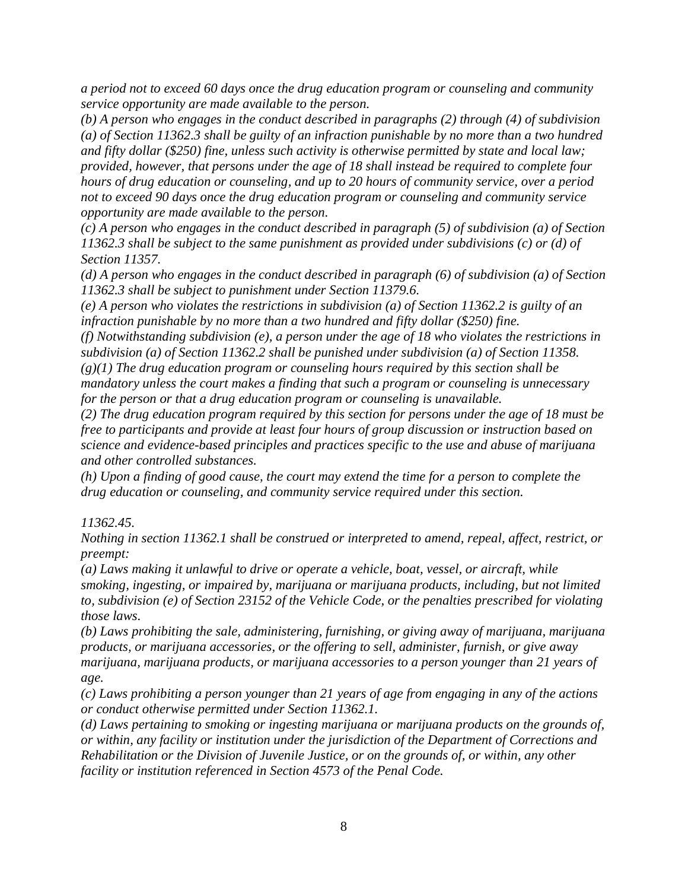*a period not to exceed 60 days once the drug education program or counseling and community service opportunity are made available to the person.*

*(b) A person who engages in the conduct described in paragraphs (2) through (4) of subdivision (a) of Section 11362.3 shall be guilty of an infraction punishable by no more than a two hundred and fifty dollar (\$250) fine, unless such activity is otherwise permitted by state and local law; provided, however, that persons under the age of 18 shall instead be required to complete four hours of drug education or counseling, and up to 20 hours of community service, over a period not to exceed 90 days once the drug education program or counseling and community service opportunity are made available to the person.* 

*(c) A person who engages in the conduct described in paragraph (5) of subdivision (a) of Section 11362.3 shall be subject to the same punishment as provided under subdivisions (c) or (d) of Section 11357.* 

*(d) A person who engages in the conduct described in paragraph (6) of subdivision (a) of Section 11362.3 shall be subject to punishment under Section 11379.6.*

*(e) A person who violates the restrictions in subdivision (a) of Section 11362.2 is guilty of an infraction punishable by no more than a two hundred and fifty dollar (\$250) fine.*

*(f) Notwithstanding subdivision (e), a person under the age of 18 who violates the restrictions in subdivision (a) of Section 11362.2 shall be punished under subdivision (a) of Section 11358. (g)(1) The drug education program or counseling hours required by this section shall be* 

*mandatory unless the court makes a finding that such a program or counseling is unnecessary for the person or that a drug education program or counseling is unavailable.* 

*(2) The drug education program required by this section for persons under the age of 18 must be free to participants and provide at least four hours of group discussion or instruction based on science and evidence-based principles and practices specific to the use and abuse of marijuana and other controlled substances.* 

*(h) Upon a finding of good cause, the court may extend the time for a person to complete the drug education or counseling, and community service required under this section.* 

## *11362.45.*

*Nothing in section 11362.1 shall be construed or interpreted to amend, repeal, affect, restrict, or preempt:*

*(a) Laws making it unlawful to drive or operate a vehicle, boat, vessel, or aircraft, while smoking, ingesting, or impaired by, marijuana or marijuana products, including, but not limited to, subdivision (e) of Section 23152 of the Vehicle Code, or the penalties prescribed for violating those laws.* 

*(b) Laws prohibiting the sale, administering, furnishing, or giving away of marijuana, marijuana products, or marijuana accessories, or the offering to sell, administer, furnish, or give away marijuana, marijuana products, or marijuana accessories to a person younger than 21 years of age.* 

*(c) Laws prohibiting a person younger than 21 years of age from engaging in any of the actions or conduct otherwise permitted under Section 11362.1.*

*(d) Laws pertaining to smoking or ingesting marijuana or marijuana products on the grounds of, or within, any facility or institution under the jurisdiction of the Department of Corrections and Rehabilitation or the Division of Juvenile Justice, or on the grounds of, or within, any other facility or institution referenced in Section 4573 of the Penal Code.*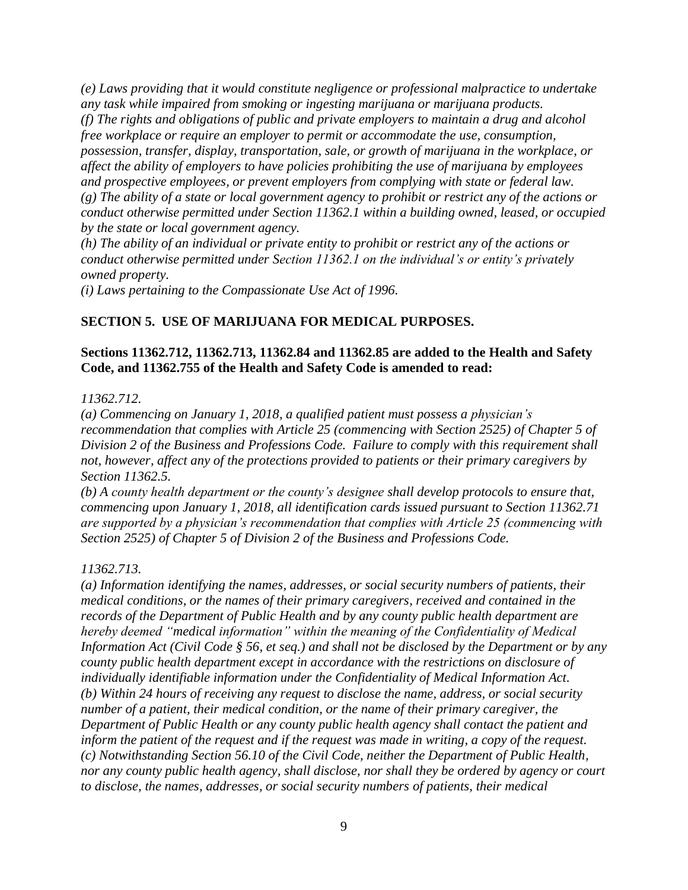*(e) Laws providing that it would constitute negligence or professional malpractice to undertake any task while impaired from smoking or ingesting marijuana or marijuana products. (f) The rights and obligations of public and private employers to maintain a drug and alcohol free workplace or require an employer to permit or accommodate the use, consumption, possession, transfer, display, transportation, sale, or growth of marijuana in the workplace, or affect the ability of employers to have policies prohibiting the use of marijuana by employees and prospective employees, or prevent employers from complying with state or federal law. (g) The ability of a state or local government agency to prohibit or restrict any of the actions or conduct otherwise permitted under Section 11362.1 within a building owned, leased, or occupied by the state or local government agency.*

*(h) The ability of an individual or private entity to prohibit or restrict any of the actions or conduct otherwise permitted under Section 11362.1 on the individual's or entity's privately owned property.*

*(i) Laws pertaining to the Compassionate Use Act of 1996.* 

# **SECTION 5. USE OF MARIJUANA FOR MEDICAL PURPOSES.**

### **Sections 11362.712, 11362.713, 11362.84 and 11362.85 are added to the Health and Safety Code, and 11362.755 of the Health and Safety Code is amended to read:**

## *11362.712.*

*(a) Commencing on January 1, 2018, a qualified patient must possess a physician's recommendation that complies with Article 25 (commencing with Section 2525) of Chapter 5 of Division 2 of the Business and Professions Code. Failure to comply with this requirement shall not, however, affect any of the protections provided to patients or their primary caregivers by Section 11362.5.* 

*(b) A county health department or the county's designee shall develop protocols to ensure that, commencing upon January 1, 2018, all identification cards issued pursuant to Section 11362.71 are supported by a physician's recommendation that complies with Article 25 (commencing with Section 2525) of Chapter 5 of Division 2 of the Business and Professions Code.*

## *11362.713.*

*(a) Information identifying the names, addresses, or social security numbers of patients, their medical conditions, or the names of their primary caregivers, received and contained in the records of the Department of Public Health and by any county public health department are hereby deemed "medical information" within the meaning of the Confidentiality of Medical Information Act (Civil Code § 56, et seq.) and shall not be disclosed by the Department or by any county public health department except in accordance with the restrictions on disclosure of individually identifiable information under the Confidentiality of Medical Information Act. (b) Within 24 hours of receiving any request to disclose the name, address, or social security number of a patient, their medical condition, or the name of their primary caregiver, the Department of Public Health or any county public health agency shall contact the patient and inform the patient of the request and if the request was made in writing, a copy of the request. (c) Notwithstanding Section 56.10 of the Civil Code, neither the Department of Public Health, nor any county public health agency, shall disclose, nor shall they be ordered by agency or court to disclose, the names, addresses, or social security numbers of patients, their medical*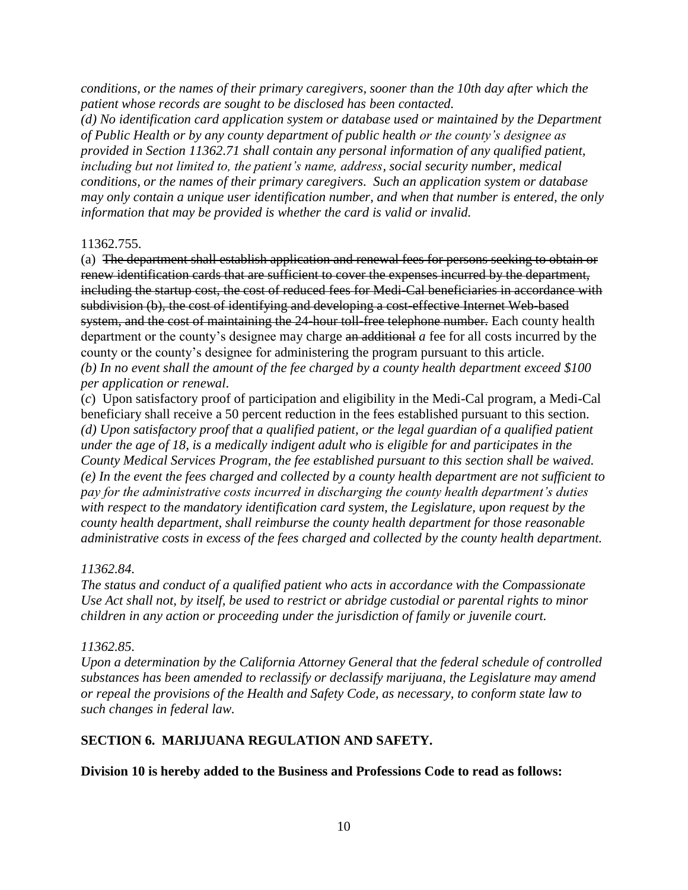*conditions, or the names of their primary caregivers, sooner than the 10th day after which the patient whose records are sought to be disclosed has been contacted.* 

*(d) No identification card application system or database used or maintained by the Department of Public Health or by any county department of public health or the county's designee as provided in Section 11362.71 shall contain any personal information of any qualified patient, including but not limited to, the patient's name, address, social security number, medical conditions, or the names of their primary caregivers. Such an application system or database may only contain a unique user identification number, and when that number is entered, the only information that may be provided is whether the card is valid or invalid.* 

## 11362.755.

(a) The department shall establish application and renewal fees for persons seeking to obtain or renew identification cards that are sufficient to cover the expenses incurred by the department, including the startup cost, the cost of reduced fees for Medi-Cal beneficiaries in accordance with subdivision (b), the cost of identifying and developing a cost-effective Internet Web-based system, and the cost of maintaining the 24-hour toll-free telephone number. Each county health department or the county's designee may charge an additional *a* fee for all costs incurred by the county or the county's designee for administering the program pursuant to this article. *(b) In no event shall the amount of the fee charged by a county health department exceed \$100 per application or renewal.* 

(*c*) Upon satisfactory proof of participation and eligibility in the Medi-Cal program, a Medi-Cal beneficiary shall receive a 50 percent reduction in the fees established pursuant to this section. *(d) Upon satisfactory proof that a qualified patient, or the legal guardian of a qualified patient under the age of 18, is a medically indigent adult who is eligible for and participates in the County Medical Services Program, the fee established pursuant to this section shall be waived. (e) In the event the fees charged and collected by a county health department are not sufficient to pay for the administrative costs incurred in discharging the county health department's duties with respect to the mandatory identification card system, the Legislature, upon request by the county health department, shall reimburse the county health department for those reasonable administrative costs in excess of the fees charged and collected by the county health department.* 

## *11362.84.*

*The status and conduct of a qualified patient who acts in accordance with the Compassionate Use Act shall not, by itself, be used to restrict or abridge custodial or parental rights to minor children in any action or proceeding under the jurisdiction of family or juvenile court.* 

#### *11362.85.*

*Upon a determination by the California Attorney General that the federal schedule of controlled substances has been amended to reclassify or declassify marijuana, the Legislature may amend or repeal the provisions of the Health and Safety Code, as necessary, to conform state law to such changes in federal law.*

## **SECTION 6. MARIJUANA REGULATION AND SAFETY.**

#### **Division 10 is hereby added to the Business and Professions Code to read as follows:**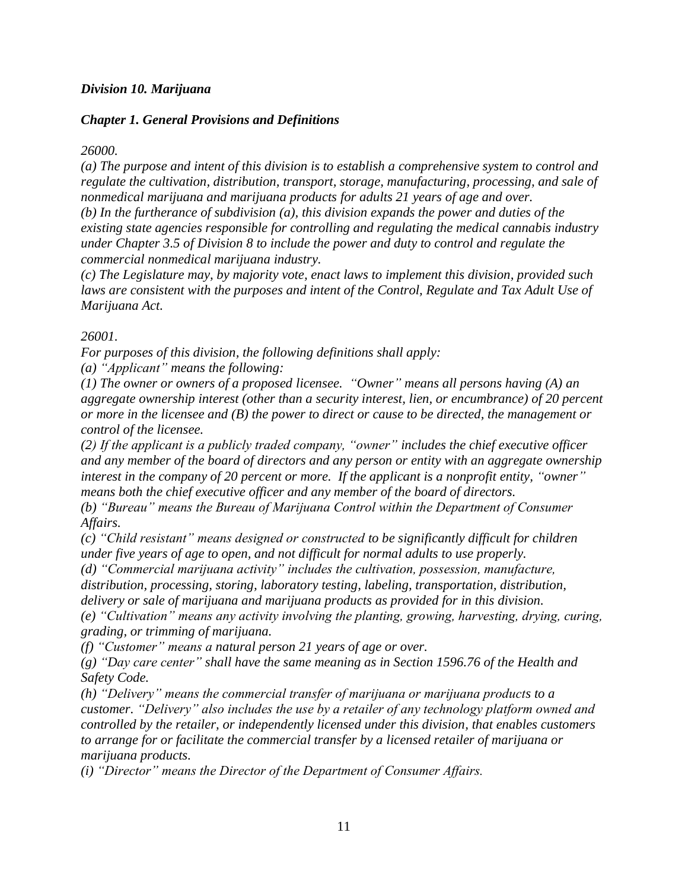### *Division 10. Marijuana*

#### *Chapter 1. General Provisions and Definitions*

*26000.* 

*(a) The purpose and intent of this division is to establish a comprehensive system to control and regulate the cultivation, distribution, transport, storage, manufacturing, processing, and sale of nonmedical marijuana and marijuana products for adults 21 years of age and over.* 

*(b) In the furtherance of subdivision (a), this division expands the power and duties of the existing state agencies responsible for controlling and regulating the medical cannabis industry under Chapter 3.5 of Division 8 to include the power and duty to control and regulate the commercial nonmedical marijuana industry.* 

*(c) The Legislature may, by majority vote, enact laws to implement this division, provided such laws are consistent with the purposes and intent of the Control, Regulate and Tax Adult Use of Marijuana Act.* 

#### *26001.*

*For purposes of this division, the following definitions shall apply:*

*(a) "Applicant" means the following:*

*(1) The owner or owners of a proposed licensee. "Owner" means all persons having (A) an aggregate ownership interest (other than a security interest, lien, or encumbrance) of 20 percent or more in the licensee and (B) the power to direct or cause to be directed, the management or control of the licensee.* 

*(2) If the applicant is a publicly traded company, "owner" includes the chief executive officer and any member of the board of directors and any person or entity with an aggregate ownership interest in the company of 20 percent or more. If the applicant is a nonprofit entity, "owner" means both the chief executive officer and any member of the board of directors.* 

*(b) "Bureau" means the Bureau of Marijuana Control within the Department of Consumer Affairs.* 

*(c) "Child resistant" means designed or constructed to be significantly difficult for children under five years of age to open, and not difficult for normal adults to use properly.*

*(d) "Commercial marijuana activity" includes the cultivation, possession, manufacture, distribution, processing, storing, laboratory testing, labeling, transportation, distribution,* 

*delivery or sale of marijuana and marijuana products as provided for in this division. (e) "Cultivation" means any activity involving the planting, growing, harvesting, drying, curing,* 

*grading, or trimming of marijuana.* 

*(f) "Customer" means a natural person 21 years of age or over.* 

*(g) "Day care center" shall have the same meaning as in Section 1596.76 of the Health and Safety Code.*

*(h) "Delivery" means the commercial transfer of marijuana or marijuana products to a customer. "Delivery" also includes the use by a retailer of any technology platform owned and controlled by the retailer, or independently licensed under this division, that enables customers to arrange for or facilitate the commercial transfer by a licensed retailer of marijuana or marijuana products.*

*(i) "Director" means the Director of the Department of Consumer Affairs.*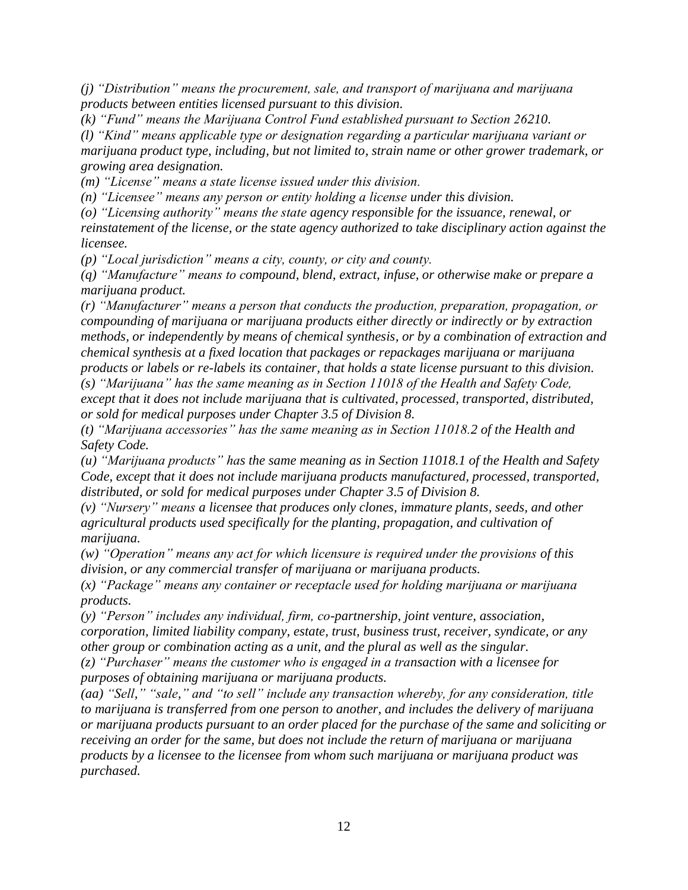*(j) "Distribution" means the procurement, sale, and transport of marijuana and marijuana products between entities licensed pursuant to this division.* 

*(k) "Fund" means the Marijuana Control Fund established pursuant to Section 26210.* 

*(l) "Kind" means applicable type or designation regarding a particular marijuana variant or marijuana product type, including, but not limited to, strain name or other grower trademark, or growing area designation.*

*(m) "License" means a state license issued under this division.*

*(n) "Licensee" means any person or entity holding a license under this division.*

*(o) "Licensing authority" means the state agency responsible for the issuance, renewal, or reinstatement of the license, or the state agency authorized to take disciplinary action against the licensee.*

*(p) "Local jurisdiction" means a city, county, or city and county.*

*(q) "Manufacture" means to compound, blend, extract, infuse, or otherwise make or prepare a marijuana product.*

*(r) "Manufacturer" means a person that conducts the production, preparation, propagation, or compounding of marijuana or marijuana products either directly or indirectly or by extraction methods, or independently by means of chemical synthesis, or by a combination of extraction and chemical synthesis at a fixed location that packages or repackages marijuana or marijuana products or labels or re-labels its container, that holds a state license pursuant to this division.*

*(s) "Marijuana" has the same meaning as in Section 11018 of the Health and Safety Code, except that it does not include marijuana that is cultivated, processed, transported, distributed, or sold for medical purposes under Chapter 3.5 of Division 8.*

*(t) "Marijuana accessories" has the same meaning as in Section 11018.2 of the Health and Safety Code.* 

*(u) "Marijuana products" has the same meaning as in Section 11018.1 of the Health and Safety Code, except that it does not include marijuana products manufactured, processed, transported, distributed, or sold for medical purposes under Chapter 3.5 of Division 8.*

*(v) "Nursery" means a licensee that produces only clones, immature plants, seeds, and other agricultural products used specifically for the planting, propagation, and cultivation of marijuana.*

*(w) "Operation" means any act for which licensure is required under the provisions of this division, or any commercial transfer of marijuana or marijuana products.* 

*(x) "Package" means any container or receptacle used for holding marijuana or marijuana products.*

*(y) "Person" includes any individual, firm, co-partnership, joint venture, association, corporation, limited liability company, estate, trust, business trust, receiver, syndicate, or any other group or combination acting as a unit, and the plural as well as the singular.*

*(z) "Purchaser" means the customer who is engaged in a transaction with a licensee for purposes of obtaining marijuana or marijuana products.* 

*(aa) "Sell," "sale," and "to sell" include any transaction whereby, for any consideration, title to marijuana is transferred from one person to another, and includes the delivery of marijuana or marijuana products pursuant to an order placed for the purchase of the same and soliciting or receiving an order for the same, but does not include the return of marijuana or marijuana products by a licensee to the licensee from whom such marijuana or marijuana product was purchased.*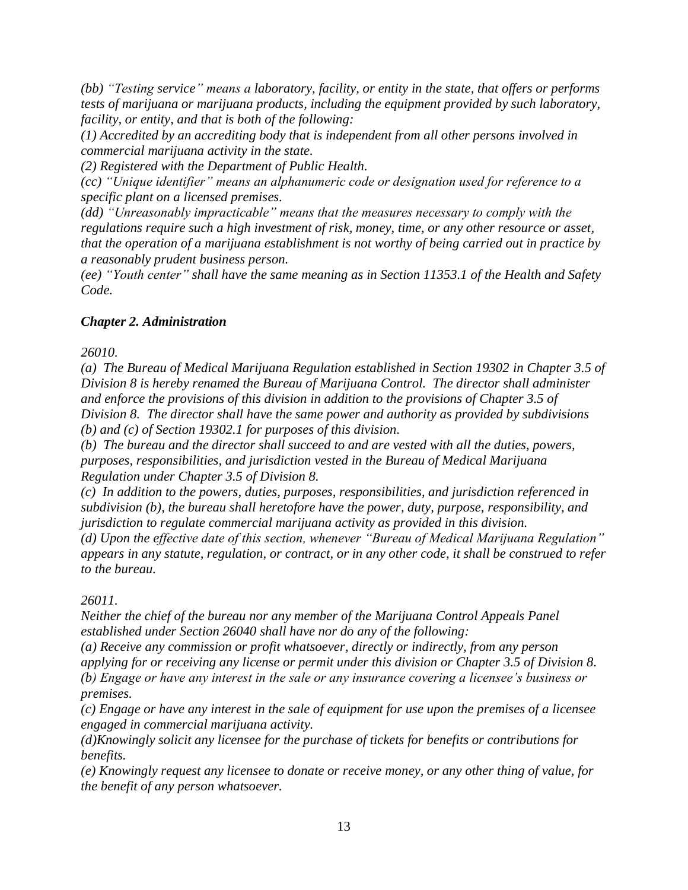*(bb) "Testing service" means a laboratory, facility, or entity in the state, that offers or performs tests of marijuana or marijuana products, including the equipment provided by such laboratory, facility, or entity, and that is both of the following:*

*(1) Accredited by an accrediting body that is independent from all other persons involved in commercial marijuana activity in the state.*

*(2) Registered with the Department of Public Health.*

*(cc) "Unique identifier" means an alphanumeric code or designation used for reference to a specific plant on a licensed premises.* 

*(dd) "Unreasonably impracticable" means that the measures necessary to comply with the regulations require such a high investment of risk, money, time, or any other resource or asset, that the operation of a marijuana establishment is not worthy of being carried out in practice by a reasonably prudent business person.* 

*(ee) "Youth center" shall have the same meaning as in Section 11353.1 of the Health and Safety Code.*

## *Chapter 2. Administration*

*26010.* 

*(a) The Bureau of Medical Marijuana Regulation established in Section 19302 in Chapter 3.5 of Division 8 is hereby renamed the Bureau of Marijuana Control. The director shall administer and enforce the provisions of this division in addition to the provisions of Chapter 3.5 of Division 8. The director shall have the same power and authority as provided by subdivisions (b) and (c) of Section 19302.1 for purposes of this division.* 

*(b) The bureau and the director shall succeed to and are vested with all the duties, powers, purposes, responsibilities, and jurisdiction vested in the Bureau of Medical Marijuana Regulation under Chapter 3.5 of Division 8.* 

*(c) In addition to the powers, duties, purposes, responsibilities, and jurisdiction referenced in subdivision (b), the bureau shall heretofore have the power, duty, purpose, responsibility, and jurisdiction to regulate commercial marijuana activity as provided in this division.* 

*(d) Upon the effective date of this section, whenever "Bureau of Medical Marijuana Regulation" appears in any statute, regulation, or contract, or in any other code, it shall be construed to refer to the bureau.* 

## *26011.*

*Neither the chief of the bureau nor any member of the Marijuana Control Appeals Panel established under Section 26040 shall have nor do any of the following:*

*(a) Receive any commission or profit whatsoever, directly or indirectly, from any person* 

*applying for or receiving any license or permit under this division or Chapter 3.5 of Division 8.*

*(b) Engage or have any interest in the sale or any insurance covering a licensee's business or premises.*

*(c) Engage or have any interest in the sale of equipment for use upon the premises of a licensee engaged in commercial marijuana activity.* 

*(d)Knowingly solicit any licensee for the purchase of tickets for benefits or contributions for benefits.*

*(e) Knowingly request any licensee to donate or receive money, or any other thing of value, for the benefit of any person whatsoever.*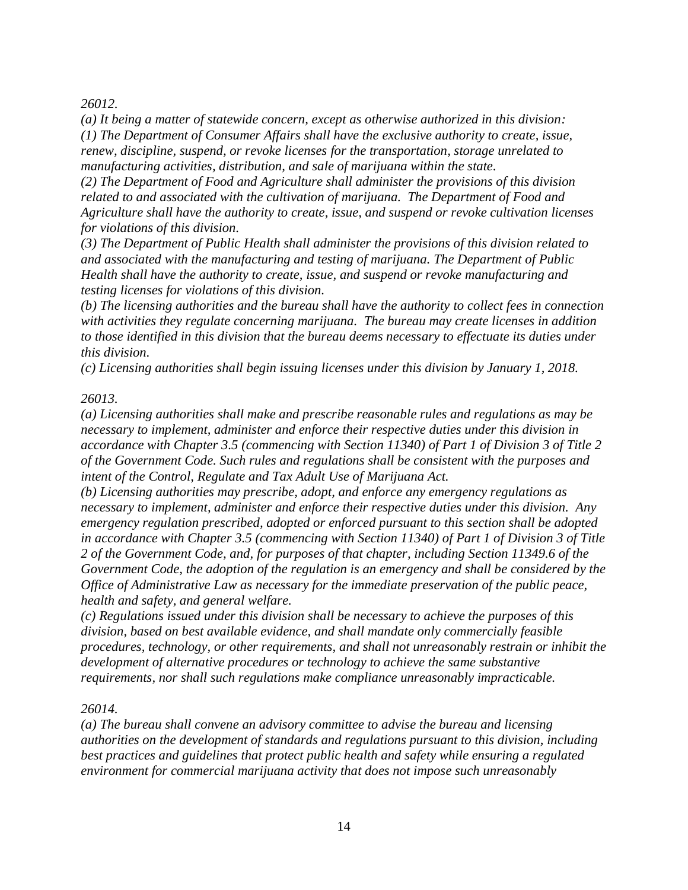*26012.* 

*(a) It being a matter of statewide concern, except as otherwise authorized in this division: (1) The Department of Consumer Affairs shall have the exclusive authority to create, issue, renew, discipline, suspend, or revoke licenses for the transportation, storage unrelated to manufacturing activities, distribution, and sale of marijuana within the state.*

*(2) The Department of Food and Agriculture shall administer the provisions of this division related to and associated with the cultivation of marijuana. The Department of Food and Agriculture shall have the authority to create, issue, and suspend or revoke cultivation licenses for violations of this division.*

*(3) The Department of Public Health shall administer the provisions of this division related to and associated with the manufacturing and testing of marijuana. The Department of Public Health shall have the authority to create, issue, and suspend or revoke manufacturing and testing licenses for violations of this division.*

*(b) The licensing authorities and the bureau shall have the authority to collect fees in connection with activities they regulate concerning marijuana. The bureau may create licenses in addition to those identified in this division that the bureau deems necessary to effectuate its duties under this division.* 

*(c) Licensing authorities shall begin issuing licenses under this division by January 1, 2018.* 

### *26013.*

*(a) Licensing authorities shall make and prescribe reasonable rules and regulations as may be necessary to implement, administer and enforce their respective duties under this division in accordance with Chapter 3.5 (commencing with Section 11340) of Part 1 of Division 3 of Title 2 of the Government Code. Such rules and regulations shall be consistent with the purposes and intent of the Control, Regulate and Tax Adult Use of Marijuana Act.*

*(b) Licensing authorities may prescribe, adopt, and enforce any emergency regulations as necessary to implement, administer and enforce their respective duties under this division. Any emergency regulation prescribed, adopted or enforced pursuant to this section shall be adopted in accordance with Chapter 3.5 (commencing with Section 11340) of Part 1 of Division 3 of Title 2 of the Government Code, and, for purposes of that chapter, including Section 11349.6 of the Government Code, the adoption of the regulation is an emergency and shall be considered by the Office of Administrative Law as necessary for the immediate preservation of the public peace, health and safety, and general welfare.*

*(c) Regulations issued under this division shall be necessary to achieve the purposes of this division, based on best available evidence, and shall mandate only commercially feasible procedures, technology, or other requirements, and shall not unreasonably restrain or inhibit the development of alternative procedures or technology to achieve the same substantive requirements, nor shall such regulations make compliance unreasonably impracticable.* 

*26014.*

*(a) The bureau shall convene an advisory committee to advise the bureau and licensing authorities on the development of standards and regulations pursuant to this division, including best practices and guidelines that protect public health and safety while ensuring a regulated environment for commercial marijuana activity that does not impose such unreasonably*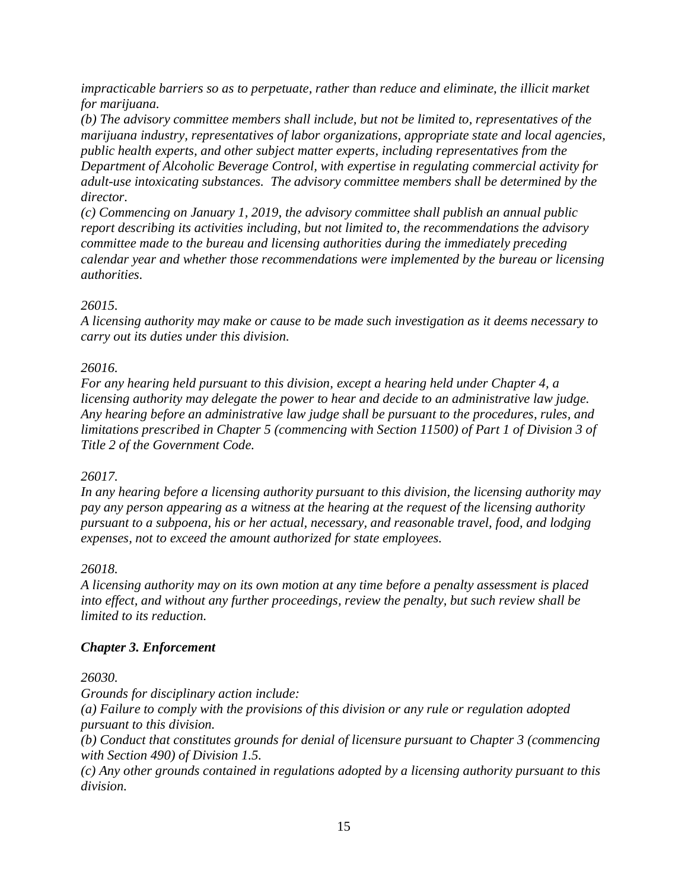*impracticable barriers so as to perpetuate, rather than reduce and eliminate, the illicit market for marijuana.* 

*(b) The advisory committee members shall include, but not be limited to, representatives of the marijuana industry, representatives of labor organizations, appropriate state and local agencies, public health experts, and other subject matter experts, including representatives from the Department of Alcoholic Beverage Control, with expertise in regulating commercial activity for adult-use intoxicating substances. The advisory committee members shall be determined by the director.*

*(c) Commencing on January 1, 2019, the advisory committee shall publish an annual public report describing its activities including, but not limited to, the recommendations the advisory committee made to the bureau and licensing authorities during the immediately preceding calendar year and whether those recommendations were implemented by the bureau or licensing authorities.* 

## *26015.*

*A licensing authority may make or cause to be made such investigation as it deems necessary to carry out its duties under this division.* 

### *26016.*

*For any hearing held pursuant to this division, except a hearing held under Chapter 4, a licensing authority may delegate the power to hear and decide to an administrative law judge. Any hearing before an administrative law judge shall be pursuant to the procedures, rules, and limitations prescribed in Chapter 5 (commencing with Section 11500) of Part 1 of Division 3 of Title 2 of the Government Code.*

#### *26017.*

*In any hearing before a licensing authority pursuant to this division, the licensing authority may pay any person appearing as a witness at the hearing at the request of the licensing authority pursuant to a subpoena, his or her actual, necessary, and reasonable travel, food, and lodging expenses, not to exceed the amount authorized for state employees.*

#### *26018.*

*A licensing authority may on its own motion at any time before a penalty assessment is placed into effect, and without any further proceedings, review the penalty, but such review shall be limited to its reduction.*

## *Chapter 3. Enforcement*

*26030.* 

*Grounds for disciplinary action include:* 

*(a) Failure to comply with the provisions of this division or any rule or regulation adopted pursuant to this division.*

*(b) Conduct that constitutes grounds for denial of licensure pursuant to Chapter 3 (commencing with Section 490) of Division 1.5.*

*(c) Any other grounds contained in regulations adopted by a licensing authority pursuant to this division.*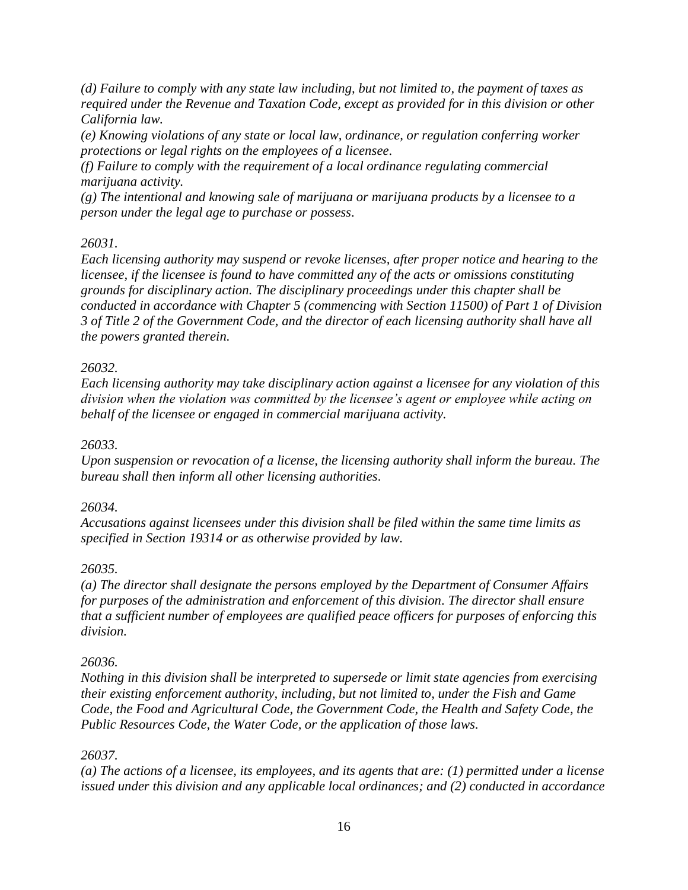*(d) Failure to comply with any state law including, but not limited to, the payment of taxes as required under the Revenue and Taxation Code, except as provided for in this division or other California law.*

*(e) Knowing violations of any state or local law, ordinance, or regulation conferring worker protections or legal rights on the employees of a licensee.* 

*(f) Failure to comply with the requirement of a local ordinance regulating commercial marijuana activity.* 

*(g) The intentional and knowing sale of marijuana or marijuana products by a licensee to a person under the legal age to purchase or possess.*

## *26031.*

*Each licensing authority may suspend or revoke licenses, after proper notice and hearing to the licensee, if the licensee is found to have committed any of the acts or omissions constituting grounds for disciplinary action. The disciplinary proceedings under this chapter shall be conducted in accordance with Chapter 5 (commencing with Section 11500) of Part 1 of Division 3 of Title 2 of the Government Code, and the director of each licensing authority shall have all the powers granted therein.*

## *26032.*

*Each licensing authority may take disciplinary action against a licensee for any violation of this division when the violation was committed by the licensee's agent or employee while acting on behalf of the licensee or engaged in commercial marijuana activity.*

## *26033.*

*Upon suspension or revocation of a license, the licensing authority shall inform the bureau. The bureau shall then inform all other licensing authorities.*

## *26034.*

*Accusations against licensees under this division shall be filed within the same time limits as specified in Section 19314 or as otherwise provided by law.* 

## *26035.*

*(a) The director shall designate the persons employed by the Department of Consumer Affairs for purposes of the administration and enforcement of this division. The director shall ensure that a sufficient number of employees are qualified peace officers for purposes of enforcing this division.* 

## *26036.*

*Nothing in this division shall be interpreted to supersede or limit state agencies from exercising their existing enforcement authority, including, but not limited to, under the Fish and Game Code, the Food and Agricultural Code, the Government Code, the Health and Safety Code, the Public Resources Code, the Water Code, or the application of those laws.*

## *26037.*

*(a) The actions of a licensee, its employees, and its agents that are: (1) permitted under a license issued under this division and any applicable local ordinances; and (2) conducted in accordance*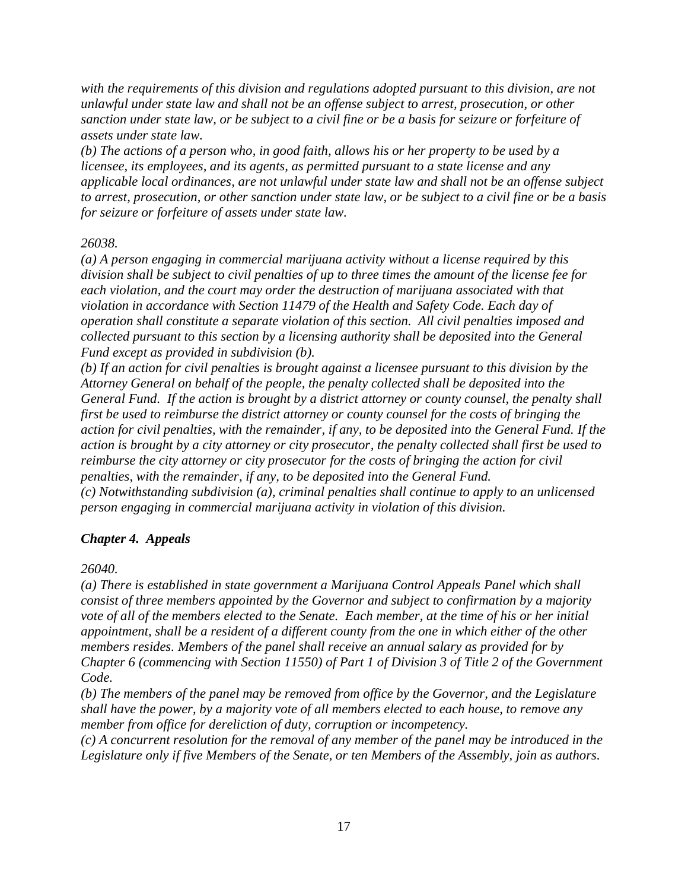*with the requirements of this division and regulations adopted pursuant to this division, are not unlawful under state law and shall not be an offense subject to arrest, prosecution, or other sanction under state law, or be subject to a civil fine or be a basis for seizure or forfeiture of assets under state law.*

*(b) The actions of a person who, in good faith, allows his or her property to be used by a licensee, its employees, and its agents, as permitted pursuant to a state license and any applicable local ordinances, are not unlawful under state law and shall not be an offense subject to arrest, prosecution, or other sanction under state law, or be subject to a civil fine or be a basis for seizure or forfeiture of assets under state law.*

## *26038.*

*(a) A person engaging in commercial marijuana activity without a license required by this division shall be subject to civil penalties of up to three times the amount of the license fee for each violation, and the court may order the destruction of marijuana associated with that violation in accordance with Section 11479 of the Health and Safety Code. Each day of operation shall constitute a separate violation of this section. All civil penalties imposed and collected pursuant to this section by a licensing authority shall be deposited into the General Fund except as provided in subdivision (b).* 

*(b) If an action for civil penalties is brought against a licensee pursuant to this division by the Attorney General on behalf of the people, the penalty collected shall be deposited into the General Fund. If the action is brought by a district attorney or county counsel, the penalty shall first be used to reimburse the district attorney or county counsel for the costs of bringing the action for civil penalties, with the remainder, if any, to be deposited into the General Fund. If the action is brought by a city attorney or city prosecutor, the penalty collected shall first be used to reimburse the city attorney or city prosecutor for the costs of bringing the action for civil penalties, with the remainder, if any, to be deposited into the General Fund. (c) Notwithstanding subdivision (a), criminal penalties shall continue to apply to an unlicensed person engaging in commercial marijuana activity in violation of this division.* 

## *Chapter 4. Appeals*

*26040.* 

*(a) There is established in state government a Marijuana Control Appeals Panel which shall consist of three members appointed by the Governor and subject to confirmation by a majority vote of all of the members elected to the Senate. Each member, at the time of his or her initial appointment, shall be a resident of a different county from the one in which either of the other members resides. Members of the panel shall receive an annual salary as provided for by Chapter 6 (commencing with Section 11550) of Part 1 of Division 3 of Title 2 of the Government Code.* 

*(b) The members of the panel may be removed from office by the Governor, and the Legislature shall have the power, by a majority vote of all members elected to each house, to remove any member from office for dereliction of duty, corruption or incompetency.*

*(c) A concurrent resolution for the removal of any member of the panel may be introduced in the Legislature only if five Members of the Senate, or ten Members of the Assembly, join as authors.*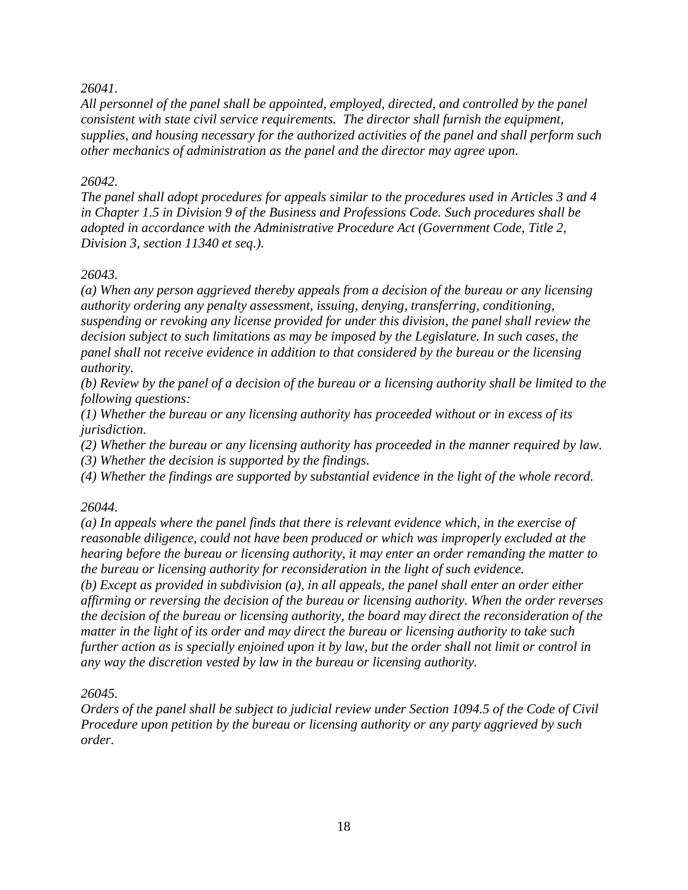### *26041.*

*All personnel of the panel shall be appointed, employed, directed, and controlled by the panel consistent with state civil service requirements. The director shall furnish the equipment, supplies, and housing necessary for the authorized activities of the panel and shall perform such other mechanics of administration as the panel and the director may agree upon.* 

## *26042.*

*The panel shall adopt procedures for appeals similar to the procedures used in Articles 3 and 4 in Chapter 1.5 in Division 9 of the Business and Professions Code. Such procedures shall be adopted in accordance with the Administrative Procedure Act (Government Code, Title 2, Division 3, section 11340 et seq.).*

### *26043.*

*(a) When any person aggrieved thereby appeals from a decision of the bureau or any licensing authority ordering any penalty assessment, issuing, denying, transferring, conditioning, suspending or revoking any license provided for under this division, the panel shall review the decision subject to such limitations as may be imposed by the Legislature. In such cases, the panel shall not receive evidence in addition to that considered by the bureau or the licensing authority.* 

*(b) Review by the panel of a decision of the bureau or a licensing authority shall be limited to the following questions:* 

*(1) Whether the bureau or any licensing authority has proceeded without or in excess of its jurisdiction.*

*(2) Whether the bureau or any licensing authority has proceeded in the manner required by law.*

*(3) Whether the decision is supported by the findings.*

*(4) Whether the findings are supported by substantial evidence in the light of the whole record.* 

#### *26044.*

*(a) In appeals where the panel finds that there is relevant evidence which, in the exercise of reasonable diligence, could not have been produced or which was improperly excluded at the hearing before the bureau or licensing authority, it may enter an order remanding the matter to the bureau or licensing authority for reconsideration in the light of such evidence.* 

*(b) Except as provided in subdivision (a), in all appeals, the panel shall enter an order either affirming or reversing the decision of the bureau or licensing authority. When the order reverses the decision of the bureau or licensing authority, the board may direct the reconsideration of the matter in the light of its order and may direct the bureau or licensing authority to take such further action as is specially enjoined upon it by law, but the order shall not limit or control in any way the discretion vested by law in the bureau or licensing authority.* 

*26045.*

*Orders of the panel shall be subject to judicial review under Section 1094.5 of the Code of Civil Procedure upon petition by the bureau or licensing authority or any party aggrieved by such order.*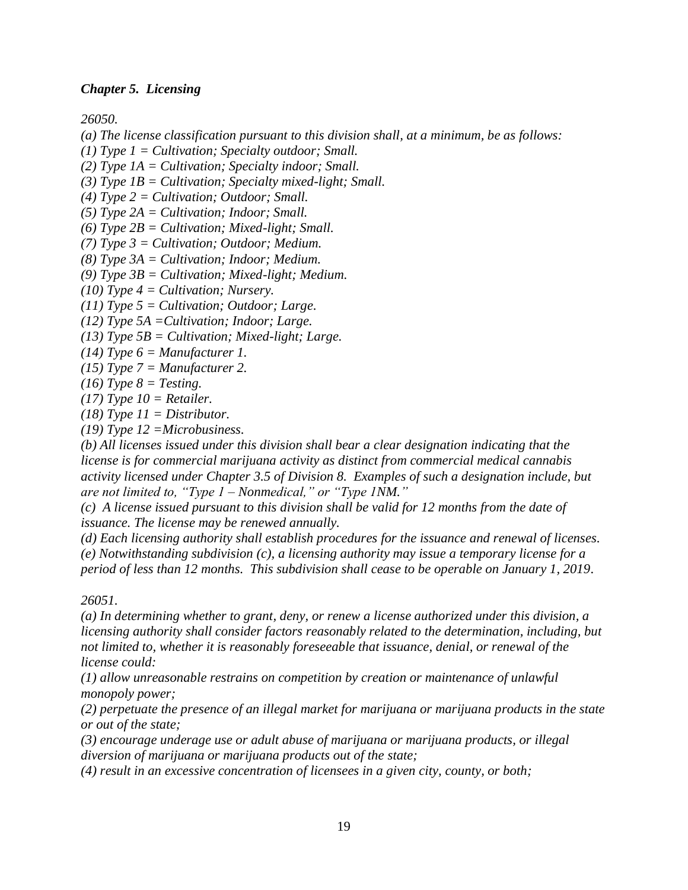### *Chapter 5. Licensing*

*26050.* 

- *(a) The license classification pursuant to this division shall, at a minimum, be as follows:*
- *(1) Type 1 = Cultivation; Specialty outdoor; Small.*
- *(2) Type 1A = Cultivation; Specialty indoor; Small.*
- *(3) Type 1B = Cultivation; Specialty mixed-light; Small.*
- *(4) Type 2 = Cultivation; Outdoor; Small.*
- *(5) Type 2A = Cultivation; Indoor; Small.*
- *(6) Type 2B = Cultivation; Mixed-light; Small.*
- *(7) Type 3 = Cultivation; Outdoor; Medium.*
- *(8) Type 3A = Cultivation; Indoor; Medium.*
- *(9) Type 3B = Cultivation; Mixed-light; Medium.*
- *(10) Type 4 = Cultivation; Nursery.*
- *(11) Type 5 = Cultivation; Outdoor; Large.*
- *(12) Type 5A =Cultivation; Indoor; Large.*
- *(13) Type 5B = Cultivation; Mixed-light; Large.*
- *(14) Type 6 = Manufacturer 1.*
- *(15) Type 7 = Manufacturer 2.*
- *(16) Type 8 = Testing.*
- *(17) Type 10 = Retailer.*
- *(18) Type 11 = Distributor.*
- *(19) Type 12 =Microbusiness.*

*(b) All licenses issued under this division shall bear a clear designation indicating that the license is for commercial marijuana activity as distinct from commercial medical cannabis activity licensed under Chapter 3.5 of Division 8. Examples of such a designation include, but are not limited to, "Type 1 – Nonmedical," or "Type 1NM."*

*(c) A license issued pursuant to this division shall be valid for 12 months from the date of issuance. The license may be renewed annually.* 

*(d) Each licensing authority shall establish procedures for the issuance and renewal of licenses. (e) Notwithstanding subdivision (c), a licensing authority may issue a temporary license for a period of less than 12 months. This subdivision shall cease to be operable on January 1, 2019.*

#### *26051.*

*(a) In determining whether to grant, deny, or renew a license authorized under this division, a licensing authority shall consider factors reasonably related to the determination, including, but not limited to, whether it is reasonably foreseeable that issuance, denial, or renewal of the license could:* 

*(1) allow unreasonable restrains on competition by creation or maintenance of unlawful monopoly power;* 

*(2) perpetuate the presence of an illegal market for marijuana or marijuana products in the state or out of the state;*

*(3) encourage underage use or adult abuse of marijuana or marijuana products, or illegal diversion of marijuana or marijuana products out of the state;*

*(4) result in an excessive concentration of licensees in a given city, county, or both;*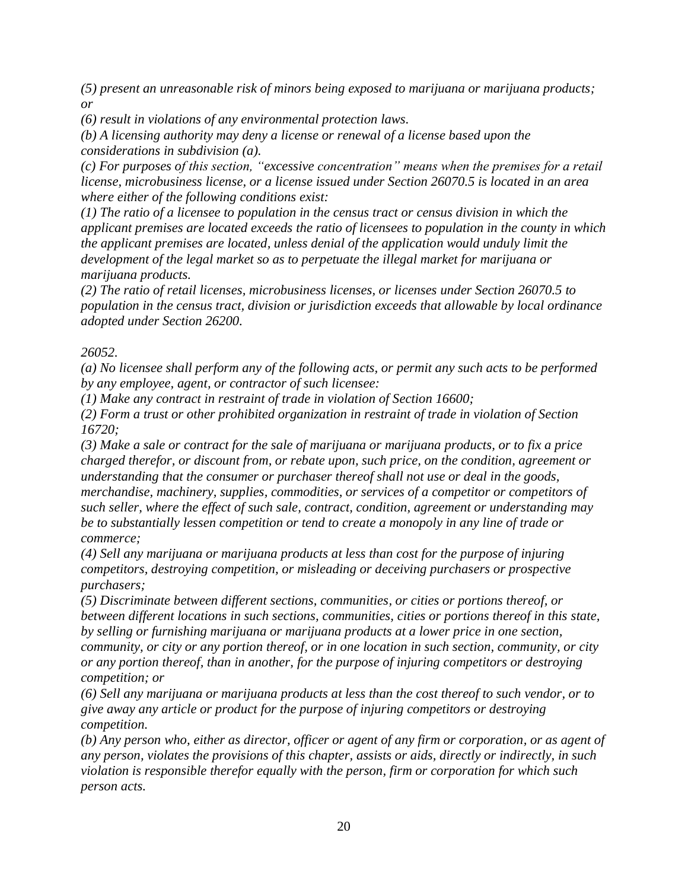*(5) present an unreasonable risk of minors being exposed to marijuana or marijuana products; or* 

*(6) result in violations of any environmental protection laws.* 

*(b) A licensing authority may deny a license or renewal of a license based upon the considerations in subdivision (a).* 

*(c) For purposes of this section, "excessive concentration" means when the premises for a retail license, microbusiness license, or a license issued under Section 26070.5 is located in an area where either of the following conditions exist:*

*(1) The ratio of a licensee to population in the census tract or census division in which the applicant premises are located exceeds the ratio of licensees to population in the county in which the applicant premises are located, unless denial of the application would unduly limit the development of the legal market so as to perpetuate the illegal market for marijuana or marijuana products.* 

*(2) The ratio of retail licenses, microbusiness licenses, or licenses under Section 26070.5 to population in the census tract, division or jurisdiction exceeds that allowable by local ordinance adopted under Section 26200.* 

## *26052.*

*(a) No licensee shall perform any of the following acts, or permit any such acts to be performed by any employee, agent, or contractor of such licensee:*

*(1) Make any contract in restraint of trade in violation of Section 16600;*

*(2) Form a trust or other prohibited organization in restraint of trade in violation of Section 16720;*

*(3) Make a sale or contract for the sale of marijuana or marijuana products, or to fix a price charged therefor, or discount from, or rebate upon, such price, on the condition, agreement or understanding that the consumer or purchaser thereof shall not use or deal in the goods, merchandise, machinery, supplies, commodities, or services of a competitor or competitors of such seller, where the effect of such sale, contract, condition, agreement or understanding may be to substantially lessen competition or tend to create a monopoly in any line of trade or commerce;*

*(4) Sell any marijuana or marijuana products at less than cost for the purpose of injuring competitors, destroying competition, or misleading or deceiving purchasers or prospective purchasers;*

*(5) Discriminate between different sections, communities, or cities or portions thereof, or between different locations in such sections, communities, cities or portions thereof in this state, by selling or furnishing marijuana or marijuana products at a lower price in one section, community, or city or any portion thereof, or in one location in such section, community, or city or any portion thereof, than in another, for the purpose of injuring competitors or destroying competition; or*

*(6) Sell any marijuana or marijuana products at less than the cost thereof to such vendor, or to give away any article or product for the purpose of injuring competitors or destroying competition.*

*(b) Any person who, either as director, officer or agent of any firm or corporation, or as agent of any person, violates the provisions of this chapter, assists or aids, directly or indirectly, in such violation is responsible therefor equally with the person, firm or corporation for which such person acts.*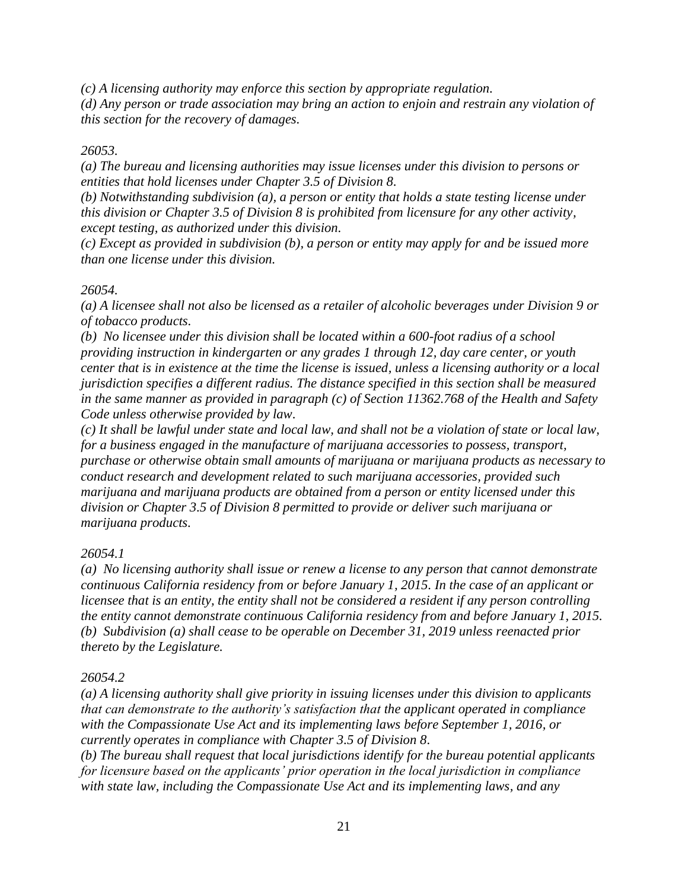*(c) A licensing authority may enforce this section by appropriate regulation.*

*(d) Any person or trade association may bring an action to enjoin and restrain any violation of this section for the recovery of damages.*

## *26053.*

*(a) The bureau and licensing authorities may issue licenses under this division to persons or entities that hold licenses under Chapter 3.5 of Division 8.*

*(b) Notwithstanding subdivision (a), a person or entity that holds a state testing license under this division or Chapter 3.5 of Division 8 is prohibited from licensure for any other activity, except testing, as authorized under this division.* 

*(c) Except as provided in subdivision (b), a person or entity may apply for and be issued more than one license under this division.* 

## *26054.*

*(a) A licensee shall not also be licensed as a retailer of alcoholic beverages under Division 9 or of tobacco products.* 

*(b) No licensee under this division shall be located within a 600-foot radius of a school providing instruction in kindergarten or any grades 1 through 12, day care center, or youth center that is in existence at the time the license is issued, unless a licensing authority or a local jurisdiction specifies a different radius. The distance specified in this section shall be measured in the same manner as provided in paragraph (c) of Section 11362.768 of the Health and Safety Code unless otherwise provided by law.*

*(c) It shall be lawful under state and local law, and shall not be a violation of state or local law, for a business engaged in the manufacture of marijuana accessories to possess, transport, purchase or otherwise obtain small amounts of marijuana or marijuana products as necessary to conduct research and development related to such marijuana accessories, provided such marijuana and marijuana products are obtained from a person or entity licensed under this division or Chapter 3.5 of Division 8 permitted to provide or deliver such marijuana or marijuana products.*

## *26054.1*

*(a) No licensing authority shall issue or renew a license to any person that cannot demonstrate continuous California residency from or before January 1, 2015. In the case of an applicant or licensee that is an entity, the entity shall not be considered a resident if any person controlling the entity cannot demonstrate continuous California residency from and before January 1, 2015. (b) Subdivision (a) shall cease to be operable on December 31, 2019 unless reenacted prior thereto by the Legislature.* 

## *26054.2*

*(a) A licensing authority shall give priority in issuing licenses under this division to applicants that can demonstrate to the authority's satisfaction that the applicant operated in compliance with the Compassionate Use Act and its implementing laws before September 1, 2016, or currently operates in compliance with Chapter 3.5 of Division 8.* 

*(b) The bureau shall request that local jurisdictions identify for the bureau potential applicants for licensure based on the applicants' prior operation in the local jurisdiction in compliance with state law, including the Compassionate Use Act and its implementing laws, and any*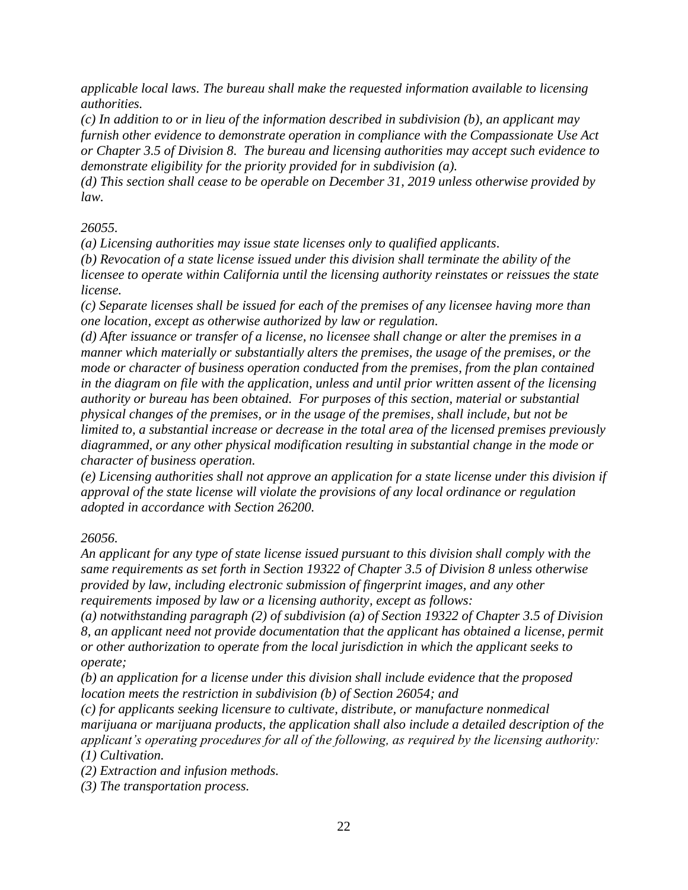*applicable local laws. The bureau shall make the requested information available to licensing authorities.* 

*(c) In addition to or in lieu of the information described in subdivision (b), an applicant may furnish other evidence to demonstrate operation in compliance with the Compassionate Use Act or Chapter 3.5 of Division 8. The bureau and licensing authorities may accept such evidence to demonstrate eligibility for the priority provided for in subdivision (a).*

*(d) This section shall cease to be operable on December 31, 2019 unless otherwise provided by law.* 

## *26055.*

*(a) Licensing authorities may issue state licenses only to qualified applicants.*

*(b) Revocation of a state license issued under this division shall terminate the ability of the licensee to operate within California until the licensing authority reinstates or reissues the state license.* 

*(c) Separate licenses shall be issued for each of the premises of any licensee having more than one location, except as otherwise authorized by law or regulation.* 

*(d) After issuance or transfer of a license, no licensee shall change or alter the premises in a manner which materially or substantially alters the premises, the usage of the premises, or the mode or character of business operation conducted from the premises, from the plan contained in the diagram on file with the application, unless and until prior written assent of the licensing authority or bureau has been obtained. For purposes of this section, material or substantial physical changes of the premises, or in the usage of the premises, shall include, but not be limited to, a substantial increase or decrease in the total area of the licensed premises previously diagrammed, or any other physical modification resulting in substantial change in the mode or character of business operation.*

*(e) Licensing authorities shall not approve an application for a state license under this division if approval of the state license will violate the provisions of any local ordinance or regulation adopted in accordance with Section 26200.*

# *26056.*

*An applicant for any type of state license issued pursuant to this division shall comply with the same requirements as set forth in Section 19322 of Chapter 3.5 of Division 8 unless otherwise provided by law, including electronic submission of fingerprint images, and any other requirements imposed by law or a licensing authority, except as follows:*

*(a) notwithstanding paragraph (2) of subdivision (a) of Section 19322 of Chapter 3.5 of Division 8, an applicant need not provide documentation that the applicant has obtained a license, permit or other authorization to operate from the local jurisdiction in which the applicant seeks to operate;* 

*(b) an application for a license under this division shall include evidence that the proposed location meets the restriction in subdivision (b) of Section 26054; and* 

*(c) for applicants seeking licensure to cultivate, distribute, or manufacture nonmedical marijuana or marijuana products, the application shall also include a detailed description of the applicant's operating procedures for all of the following, as required by the licensing authority: (1) Cultivation.*

*(2) Extraction and infusion methods.*

*(3) The transportation process.*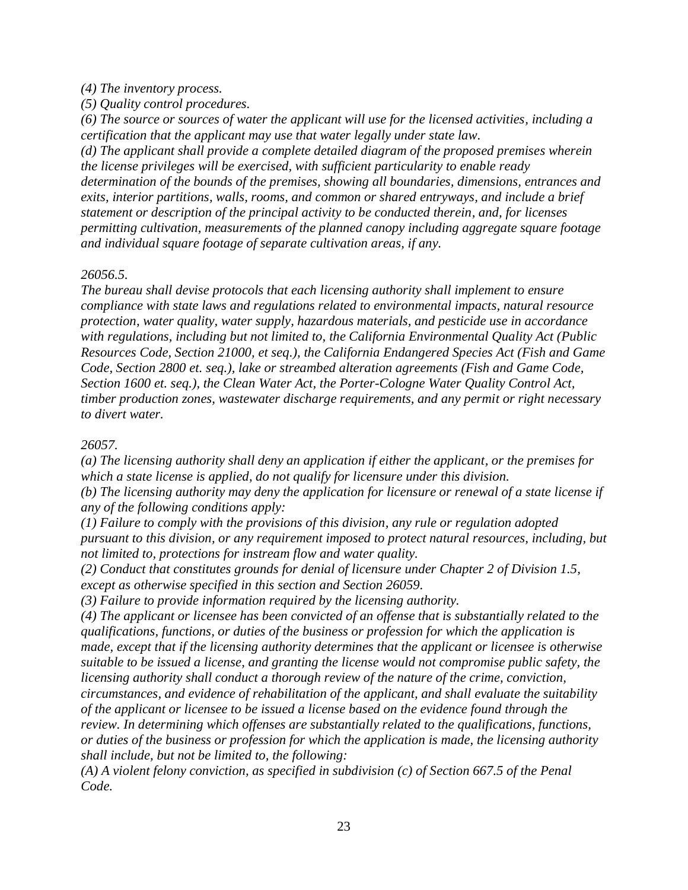- *(4) The inventory process.*
- *(5) Quality control procedures.*

*(6) The source or sources of water the applicant will use for the licensed activities, including a certification that the applicant may use that water legally under state law.*

*(d) The applicant shall provide a complete detailed diagram of the proposed premises wherein the license privileges will be exercised, with sufficient particularity to enable ready determination of the bounds of the premises, showing all boundaries, dimensions, entrances and exits, interior partitions, walls, rooms, and common or shared entryways, and include a brief statement or description of the principal activity to be conducted therein, and, for licenses permitting cultivation, measurements of the planned canopy including aggregate square footage and individual square footage of separate cultivation areas, if any.*

### *26056.5.*

*The bureau shall devise protocols that each licensing authority shall implement to ensure compliance with state laws and regulations related to environmental impacts, natural resource protection, water quality, water supply, hazardous materials, and pesticide use in accordance with regulations, including but not limited to, the California Environmental Quality Act (Public Resources Code, Section 21000, et seq.), the California Endangered Species Act (Fish and Game Code, Section 2800 et. seq.), lake or streambed alteration agreements (Fish and Game Code, Section 1600 et. seq.), the Clean Water Act, the Porter-Cologne Water Quality Control Act, timber production zones, wastewater discharge requirements, and any permit or right necessary to divert water.*

## *26057.*

*(a) The licensing authority shall deny an application if either the applicant, or the premises for which a state license is applied, do not qualify for licensure under this division.*

*(b) The licensing authority may deny the application for licensure or renewal of a state license if any of the following conditions apply:*

*(1) Failure to comply with the provisions of this division, any rule or regulation adopted pursuant to this division, or any requirement imposed to protect natural resources, including, but not limited to, protections for instream flow and water quality.*

*(2) Conduct that constitutes grounds for denial of licensure under Chapter 2 of Division 1.5, except as otherwise specified in this section and Section 26059.* 

*(3) Failure to provide information required by the licensing authority.*

*(4) The applicant or licensee has been convicted of an offense that is substantially related to the qualifications, functions, or duties of the business or profession for which the application is made, except that if the licensing authority determines that the applicant or licensee is otherwise suitable to be issued a license, and granting the license would not compromise public safety, the licensing authority shall conduct a thorough review of the nature of the crime, conviction, circumstances, and evidence of rehabilitation of the applicant, and shall evaluate the suitability of the applicant or licensee to be issued a license based on the evidence found through the review. In determining which offenses are substantially related to the qualifications, functions, or duties of the business or profession for which the application is made, the licensing authority shall include, but not be limited to, the following:*

*(A) A violent felony conviction, as specified in subdivision (c) of Section 667.5 of the Penal Code.*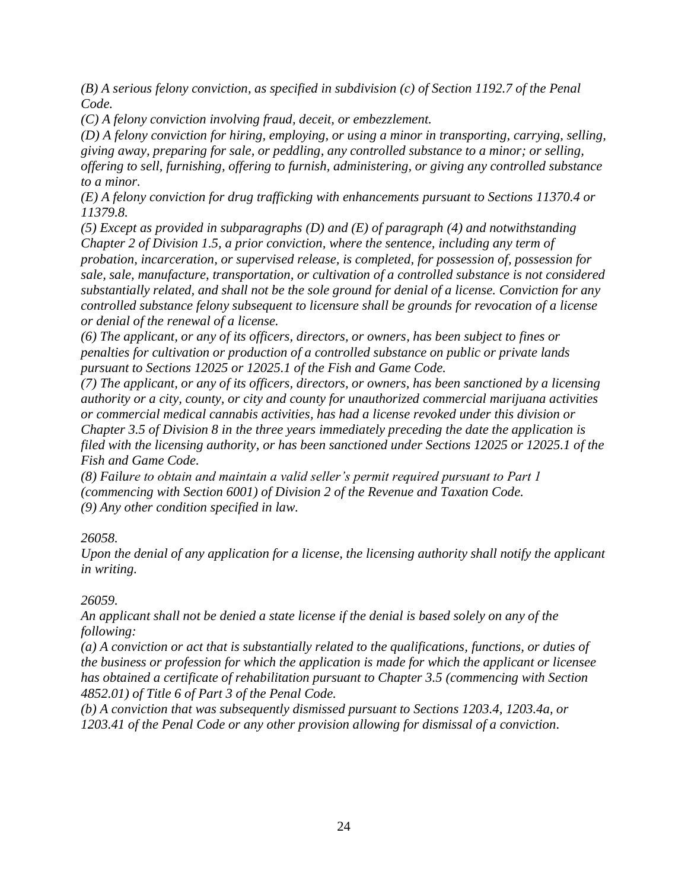*(B) A serious felony conviction, as specified in subdivision (c) of Section 1192.7 of the Penal Code.*

*(C) A felony conviction involving fraud, deceit, or embezzlement.*

*(D) A felony conviction for hiring, employing, or using a minor in transporting, carrying, selling, giving away, preparing for sale, or peddling, any controlled substance to a minor; or selling, offering to sell, furnishing, offering to furnish, administering, or giving any controlled substance to a minor.*

*(E) A felony conviction for drug trafficking with enhancements pursuant to Sections 11370.4 or 11379.8.*

*(5) Except as provided in subparagraphs (D) and (E) of paragraph (4) and notwithstanding Chapter 2 of Division 1.5, a prior conviction, where the sentence, including any term of probation, incarceration, or supervised release, is completed, for possession of, possession for sale, sale, manufacture, transportation, or cultivation of a controlled substance is not considered substantially related, and shall not be the sole ground for denial of a license. Conviction for any controlled substance felony subsequent to licensure shall be grounds for revocation of a license or denial of the renewal of a license.*

*(6) The applicant, or any of its officers, directors, or owners, has been subject to fines or penalties for cultivation or production of a controlled substance on public or private lands pursuant to Sections 12025 or 12025.1 of the Fish and Game Code.*

*(7) The applicant, or any of its officers, directors, or owners, has been sanctioned by a licensing authority or a city, county, or city and county for unauthorized commercial marijuana activities or commercial medical cannabis activities, has had a license revoked under this division or Chapter 3.5 of Division 8 in the three years immediately preceding the date the application is filed with the licensing authority, or has been sanctioned under Sections 12025 or 12025.1 of the Fish and Game Code.*

*(8) Failure to obtain and maintain a valid seller's permit required pursuant to Part 1 (commencing with Section 6001) of Division 2 of the Revenue and Taxation Code. (9) Any other condition specified in law.* 

# *26058.*

*Upon the denial of any application for a license, the licensing authority shall notify the applicant in writing.* 

# *26059.*

*An applicant shall not be denied a state license if the denial is based solely on any of the following:*

*(a) A conviction or act that is substantially related to the qualifications, functions, or duties of the business or profession for which the application is made for which the applicant or licensee has obtained a certificate of rehabilitation pursuant to Chapter 3.5 (commencing with Section 4852.01) of Title 6 of Part 3 of the Penal Code.*

*(b) A conviction that was subsequently dismissed pursuant to Sections 1203.4, 1203.4a, or 1203.41 of the Penal Code or any other provision allowing for dismissal of a conviction.*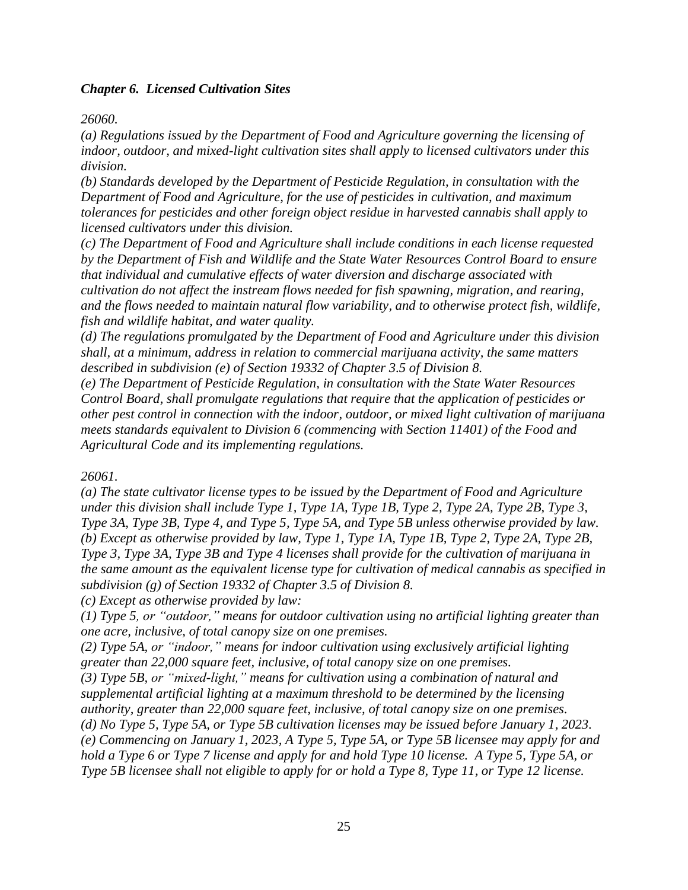## *Chapter 6. Licensed Cultivation Sites*

*26060.* 

*(a) Regulations issued by the Department of Food and Agriculture governing the licensing of indoor, outdoor, and mixed-light cultivation sites shall apply to licensed cultivators under this division.*

*(b) Standards developed by the Department of Pesticide Regulation, in consultation with the Department of Food and Agriculture, for the use of pesticides in cultivation, and maximum tolerances for pesticides and other foreign object residue in harvested cannabis shall apply to licensed cultivators under this division.*

*(c) The Department of Food and Agriculture shall include conditions in each license requested by the Department of Fish and Wildlife and the State Water Resources Control Board to ensure that individual and cumulative effects of water diversion and discharge associated with cultivation do not affect the instream flows needed for fish spawning, migration, and rearing, and the flows needed to maintain natural flow variability, and to otherwise protect fish, wildlife, fish and wildlife habitat, and water quality.* 

*(d) The regulations promulgated by the Department of Food and Agriculture under this division shall, at a minimum, address in relation to commercial marijuana activity, the same matters described in subdivision (e) of Section 19332 of Chapter 3.5 of Division 8.*

*(e) The Department of Pesticide Regulation, in consultation with the State Water Resources Control Board, shall promulgate regulations that require that the application of pesticides or other pest control in connection with the indoor, outdoor, or mixed light cultivation of marijuana meets standards equivalent to Division 6 (commencing with Section 11401) of the Food and Agricultural Code and its implementing regulations.*

#### *26061.*

*(a) The state cultivator license types to be issued by the Department of Food and Agriculture under this division shall include Type 1, Type 1A, Type 1B, Type 2, Type 2A, Type 2B, Type 3, Type 3A, Type 3B, Type 4, and Type 5, Type 5A, and Type 5B unless otherwise provided by law. (b) Except as otherwise provided by law, Type 1, Type 1A, Type 1B, Type 2, Type 2A, Type 2B, Type 3, Type 3A, Type 3B and Type 4 licenses shall provide for the cultivation of marijuana in the same amount as the equivalent license type for cultivation of medical cannabis as specified in subdivision (g) of Section 19332 of Chapter 3.5 of Division 8.*

*(c) Except as otherwise provided by law:*

*(1) Type 5, or "outdoor," means for outdoor cultivation using no artificial lighting greater than one acre, inclusive, of total canopy size on one premises.* 

*(2) Type 5A, or "indoor," means for indoor cultivation using exclusively artificial lighting greater than 22,000 square feet, inclusive, of total canopy size on one premises.* 

*(3) Type 5B, or "mixed-light," means for cultivation using a combination of natural and supplemental artificial lighting at a maximum threshold to be determined by the licensing authority, greater than 22,000 square feet, inclusive, of total canopy size on one premises. (d) No Type 5, Type 5A, or Type 5B cultivation licenses may be issued before January 1, 2023. (e) Commencing on January 1, 2023, A Type 5, Type 5A, or Type 5B licensee may apply for and hold a Type 6 or Type 7 license and apply for and hold Type 10 license. A Type 5, Type 5A, or Type 5B licensee shall not eligible to apply for or hold a Type 8, Type 11, or Type 12 license.*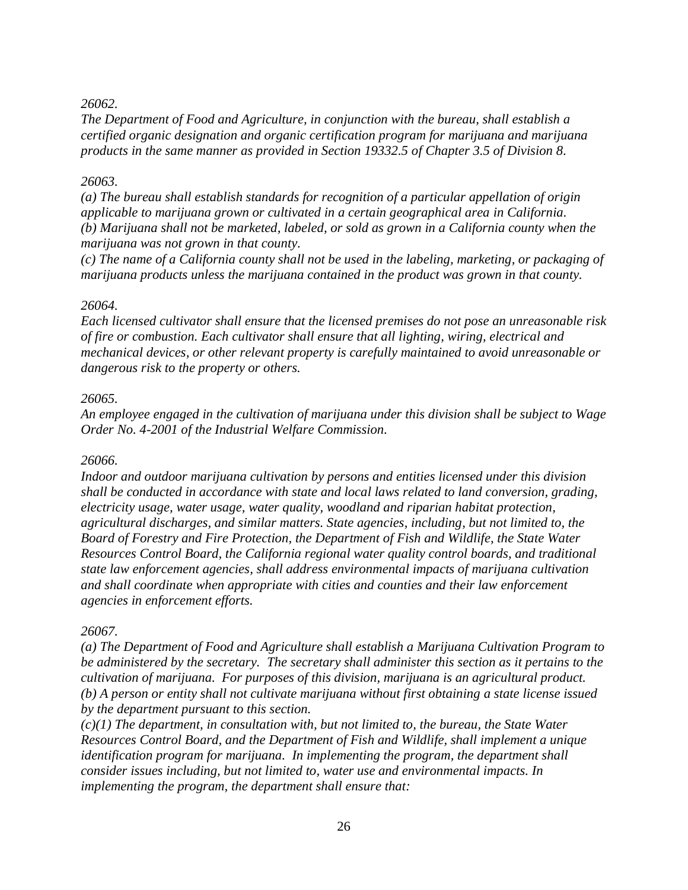## *26062.*

*The Department of Food and Agriculture, in conjunction with the bureau, shall establish a certified organic designation and organic certification program for marijuana and marijuana products in the same manner as provided in Section 19332.5 of Chapter 3.5 of Division 8.* 

#### *26063.*

*(a) The bureau shall establish standards for recognition of a particular appellation of origin applicable to marijuana grown or cultivated in a certain geographical area in California. (b) Marijuana shall not be marketed, labeled, or sold as grown in a California county when the marijuana was not grown in that county.* 

*(c) The name of a California county shall not be used in the labeling, marketing, or packaging of marijuana products unless the marijuana contained in the product was grown in that county.* 

#### *26064.*

*Each licensed cultivator shall ensure that the licensed premises do not pose an unreasonable risk of fire or combustion. Each cultivator shall ensure that all lighting, wiring, electrical and mechanical devices, or other relevant property is carefully maintained to avoid unreasonable or dangerous risk to the property or others.* 

### *26065.*

*An employee engaged in the cultivation of marijuana under this division shall be subject to Wage Order No. 4-2001 of the Industrial Welfare Commission.*

#### *26066.*

*Indoor and outdoor marijuana cultivation by persons and entities licensed under this division shall be conducted in accordance with state and local laws related to land conversion, grading, electricity usage, water usage, water quality, woodland and riparian habitat protection, agricultural discharges, and similar matters. State agencies, including, but not limited to, the Board of Forestry and Fire Protection, the Department of Fish and Wildlife, the State Water Resources Control Board, the California regional water quality control boards, and traditional state law enforcement agencies, shall address environmental impacts of marijuana cultivation and shall coordinate when appropriate with cities and counties and their law enforcement agencies in enforcement efforts.*

#### *26067.*

*(a) The Department of Food and Agriculture shall establish a Marijuana Cultivation Program to be administered by the secretary. The secretary shall administer this section as it pertains to the cultivation of marijuana. For purposes of this division, marijuana is an agricultural product. (b) A person or entity shall not cultivate marijuana without first obtaining a state license issued by the department pursuant to this section.*

*(c)(1) The department, in consultation with, but not limited to, the bureau, the State Water Resources Control Board, and the Department of Fish and Wildlife, shall implement a unique identification program for marijuana. In implementing the program, the department shall consider issues including, but not limited to, water use and environmental impacts. In implementing the program, the department shall ensure that:*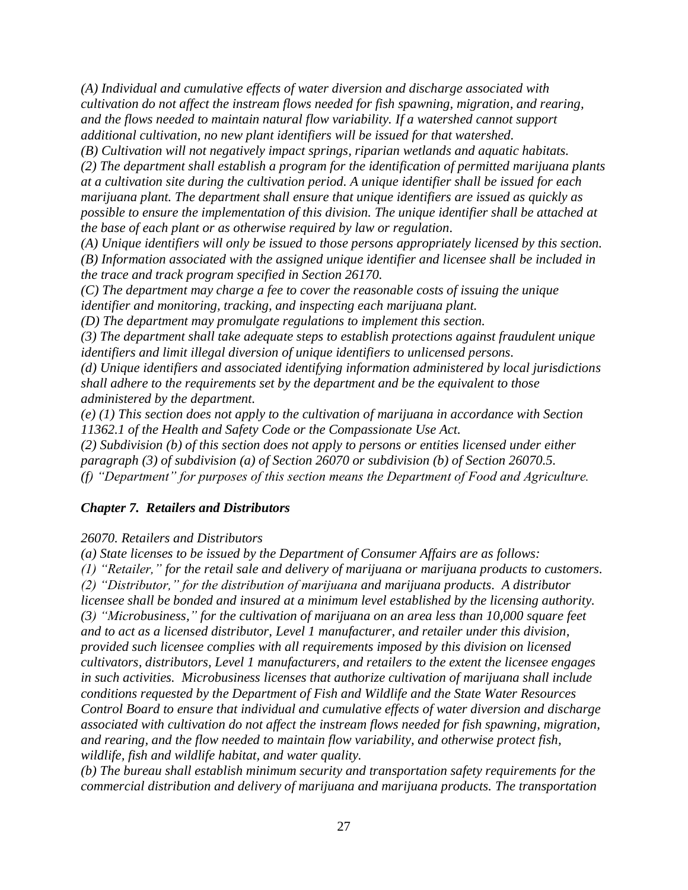*(A) Individual and cumulative effects of water diversion and discharge associated with cultivation do not affect the instream flows needed for fish spawning, migration, and rearing, and the flows needed to maintain natural flow variability. If a watershed cannot support additional cultivation, no new plant identifiers will be issued for that watershed.* 

*(B) Cultivation will not negatively impact springs, riparian wetlands and aquatic habitats. (2) The department shall establish a program for the identification of permitted marijuana plants at a cultivation site during the cultivation period. A unique identifier shall be issued for each marijuana plant. The department shall ensure that unique identifiers are issued as quickly as possible to ensure the implementation of this division. The unique identifier shall be attached at the base of each plant or as otherwise required by law or regulation.* 

*(A) Unique identifiers will only be issued to those persons appropriately licensed by this section. (B) Information associated with the assigned unique identifier and licensee shall be included in the trace and track program specified in Section 26170.*

*(C) The department may charge a fee to cover the reasonable costs of issuing the unique identifier and monitoring, tracking, and inspecting each marijuana plant.*

*(D) The department may promulgate regulations to implement this section.*

*(3) The department shall take adequate steps to establish protections against fraudulent unique identifiers and limit illegal diversion of unique identifiers to unlicensed persons.*

*(d) Unique identifiers and associated identifying information administered by local jurisdictions shall adhere to the requirements set by the department and be the equivalent to those administered by the department.*

*(e) (1) This section does not apply to the cultivation of marijuana in accordance with Section 11362.1 of the Health and Safety Code or the Compassionate Use Act.*

*(2) Subdivision (b) of this section does not apply to persons or entities licensed under either paragraph (3) of subdivision (a) of Section 26070 or subdivision (b) of Section 26070.5. (f) "Department" for purposes of this section means the Department of Food and Agriculture.* 

## *Chapter 7. Retailers and Distributors*

## *26070. Retailers and Distributors*

*(a) State licenses to be issued by the Department of Consumer Affairs are as follows:*

*(1) "Retailer," for the retail sale and delivery of marijuana or marijuana products to customers.* 

*(2) "Distributor," for the distribution of marijuana and marijuana products. A distributor licensee shall be bonded and insured at a minimum level established by the licensing authority. (3) "Microbusiness," for the cultivation of marijuana on an area less than 10,000 square feet and to act as a licensed distributor, Level 1 manufacturer, and retailer under this division, provided such licensee complies with all requirements imposed by this division on licensed cultivators, distributors, Level 1 manufacturers, and retailers to the extent the licensee engages in such activities. Microbusiness licenses that authorize cultivation of marijuana shall include conditions requested by the Department of Fish and Wildlife and the State Water Resources Control Board to ensure that individual and cumulative effects of water diversion and discharge associated with cultivation do not affect the instream flows needed for fish spawning, migration, and rearing, and the flow needed to maintain flow variability, and otherwise protect fish, wildlife, fish and wildlife habitat, and water quality.*

*(b) The bureau shall establish minimum security and transportation safety requirements for the commercial distribution and delivery of marijuana and marijuana products. The transportation*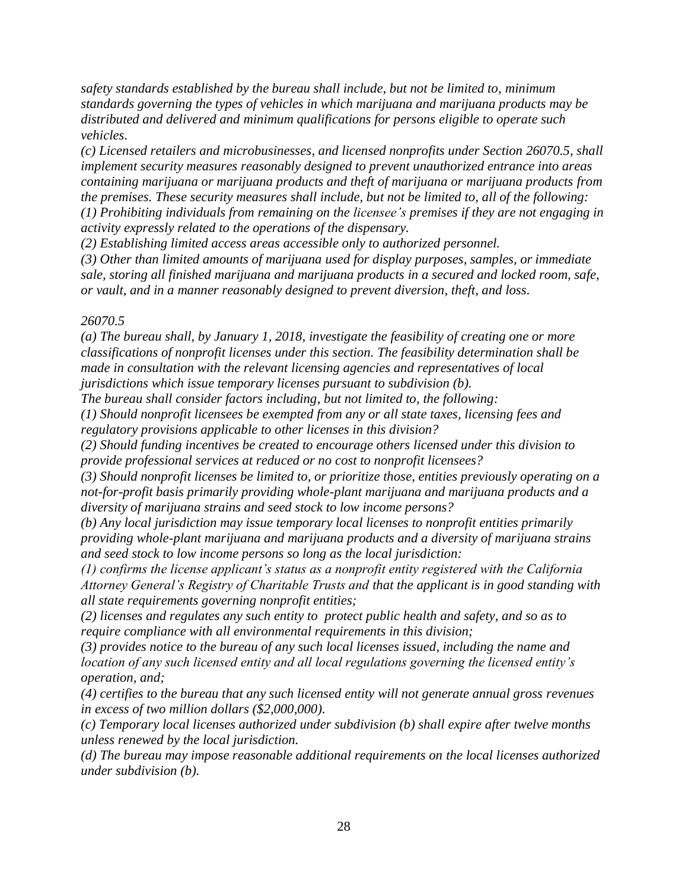*safety standards established by the bureau shall include, but not be limited to, minimum standards governing the types of vehicles in which marijuana and marijuana products may be distributed and delivered and minimum qualifications for persons eligible to operate such vehicles.* 

*(c) Licensed retailers and microbusinesses, and licensed nonprofits under Section 26070.5, shall implement security measures reasonably designed to prevent unauthorized entrance into areas containing marijuana or marijuana products and theft of marijuana or marijuana products from the premises. These security measures shall include, but not be limited to, all of the following: (1) Prohibiting individuals from remaining on the licensee's premises if they are not engaging in activity expressly related to the operations of the dispensary.*

*(2) Establishing limited access areas accessible only to authorized personnel.*

*(3) Other than limited amounts of marijuana used for display purposes, samples, or immediate sale, storing all finished marijuana and marijuana products in a secured and locked room, safe, or vault, and in a manner reasonably designed to prevent diversion, theft, and loss.*

#### *26070.5*

*(a) The bureau shall, by January 1, 2018, investigate the feasibility of creating one or more classifications of nonprofit licenses under this section. The feasibility determination shall be made in consultation with the relevant licensing agencies and representatives of local jurisdictions which issue temporary licenses pursuant to subdivision (b).*

*The bureau shall consider factors including, but not limited to, the following:*

*(1) Should nonprofit licensees be exempted from any or all state taxes, licensing fees and regulatory provisions applicable to other licenses in this division?*

*(2) Should funding incentives be created to encourage others licensed under this division to provide professional services at reduced or no cost to nonprofit licensees?*

*(3) Should nonprofit licenses be limited to, or prioritize those, entities previously operating on a not-for-profit basis primarily providing whole-plant marijuana and marijuana products and a diversity of marijuana strains and seed stock to low income persons?*

*(b) Any local jurisdiction may issue temporary local licenses to nonprofit entities primarily providing whole-plant marijuana and marijuana products and a diversity of marijuana strains and seed stock to low income persons so long as the local jurisdiction:*

*(1) confirms the license applicant's status as a nonprofit entity registered with the California Attorney General's Registry of Charitable Trusts and that the applicant is in good standing with all state requirements governing nonprofit entities;* 

*(2) licenses and regulates any such entity to protect public health and safety, and so as to require compliance with all environmental requirements in this division;*

*(3) provides notice to the bureau of any such local licenses issued, including the name and location of any such licensed entity and all local regulations governing the licensed entity's operation, and;*

*(4) certifies to the bureau that any such licensed entity will not generate annual gross revenues in excess of two million dollars (\$2,000,000).*

*(c) Temporary local licenses authorized under subdivision (b) shall expire after twelve months unless renewed by the local jurisdiction.*

*(d) The bureau may impose reasonable additional requirements on the local licenses authorized under subdivision (b).*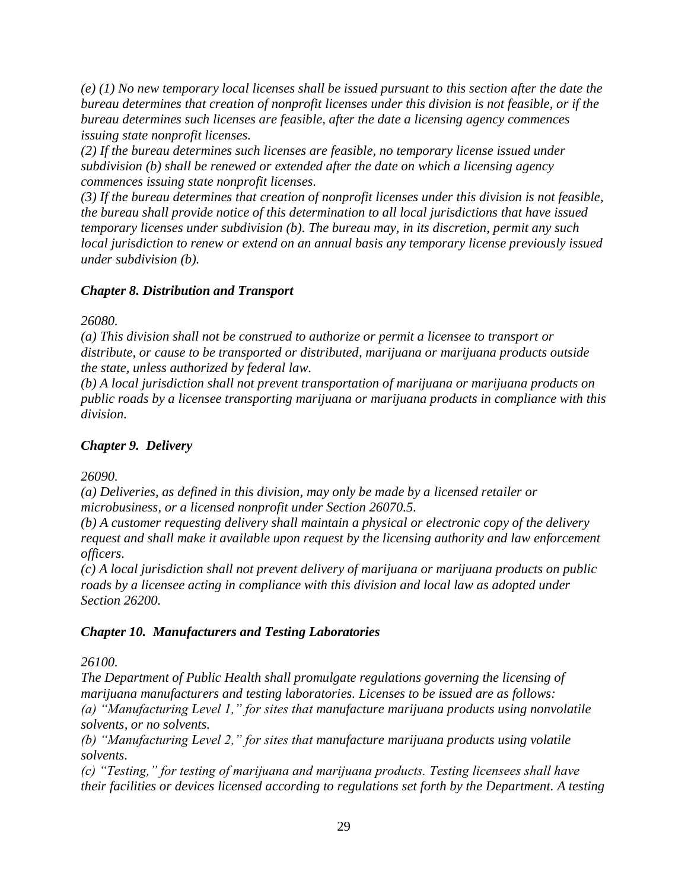*(e) (1) No new temporary local licenses shall be issued pursuant to this section after the date the bureau determines that creation of nonprofit licenses under this division is not feasible, or if the bureau determines such licenses are feasible, after the date a licensing agency commences issuing state nonprofit licenses.*

*(2) If the bureau determines such licenses are feasible, no temporary license issued under subdivision (b) shall be renewed or extended after the date on which a licensing agency commences issuing state nonprofit licenses.*

*(3) If the bureau determines that creation of nonprofit licenses under this division is not feasible, the bureau shall provide notice of this determination to all local jurisdictions that have issued temporary licenses under subdivision (b). The bureau may, in its discretion, permit any such local jurisdiction to renew or extend on an annual basis any temporary license previously issued under subdivision (b).*

## *Chapter 8. Distribution and Transport*

*26080.*

*(a) This division shall not be construed to authorize or permit a licensee to transport or distribute, or cause to be transported or distributed, marijuana or marijuana products outside the state, unless authorized by federal law.*

*(b) A local jurisdiction shall not prevent transportation of marijuana or marijuana products on public roads by a licensee transporting marijuana or marijuana products in compliance with this division.*

## *Chapter 9. Delivery*

*26090.*

*(a) Deliveries, as defined in this division, may only be made by a licensed retailer or microbusiness, or a licensed nonprofit under Section 26070.5.*

*(b) A customer requesting delivery shall maintain a physical or electronic copy of the delivery request and shall make it available upon request by the licensing authority and law enforcement officers.* 

*(c) A local jurisdiction shall not prevent delivery of marijuana or marijuana products on public roads by a licensee acting in compliance with this division and local law as adopted under Section 26200.* 

## *Chapter 10. Manufacturers and Testing Laboratories*

*26100.* 

*The Department of Public Health shall promulgate regulations governing the licensing of marijuana manufacturers and testing laboratories. Licenses to be issued are as follows: (a) "Manufacturing Level 1," for sites that manufacture marijuana products using nonvolatile solvents, or no solvents.*

*(b) "Manufacturing Level 2," for sites that manufacture marijuana products using volatile solvents.*

*(c) "Testing," for testing of marijuana and marijuana products. Testing licensees shall have their facilities or devices licensed according to regulations set forth by the Department. A testing*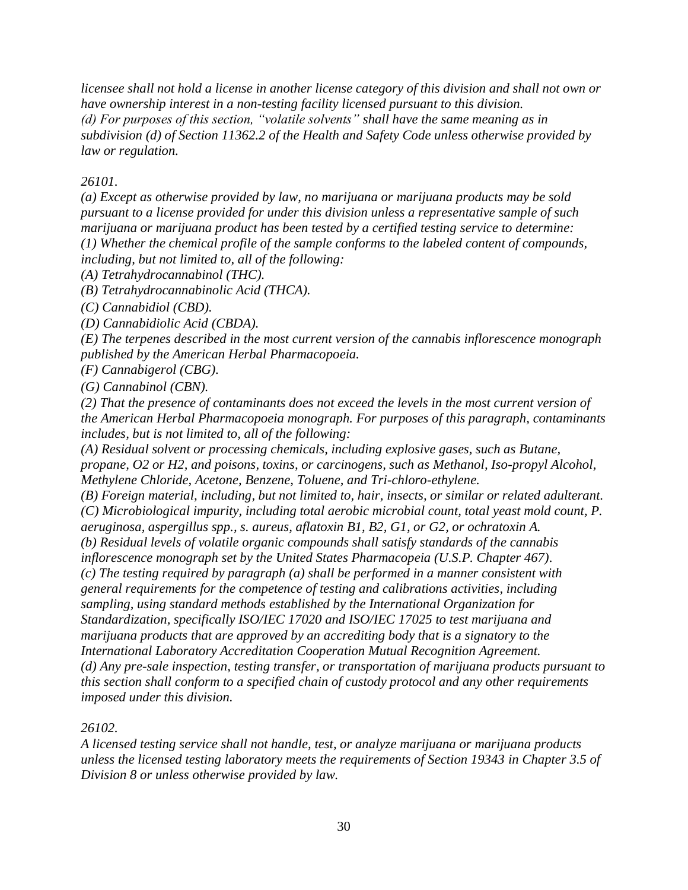*licensee shall not hold a license in another license category of this division and shall not own or have ownership interest in a non-testing facility licensed pursuant to this division. (d) For purposes of this section, "volatile solvents" shall have the same meaning as in subdivision (d) of Section 11362.2 of the Health and Safety Code unless otherwise provided by law or regulation.* 

### *26101.*

*(a) Except as otherwise provided by law, no marijuana or marijuana products may be sold pursuant to a license provided for under this division unless a representative sample of such marijuana or marijuana product has been tested by a certified testing service to determine: (1) Whether the chemical profile of the sample conforms to the labeled content of compounds, including, but not limited to, all of the following:* 

*(A) Tetrahydrocannabinol (THC).*

*(B) Tetrahydrocannabinolic Acid (THCA).*

*(C) Cannabidiol (CBD).*

*(D) Cannabidiolic Acid (CBDA).*

*(E) The terpenes described in the most current version of the cannabis inflorescence monograph published by the American Herbal Pharmacopoeia.* 

*(F) Cannabigerol (CBG).*

*(G) Cannabinol (CBN).*

*(2) That the presence of contaminants does not exceed the levels in the most current version of the American Herbal Pharmacopoeia monograph. For purposes of this paragraph, contaminants includes, but is not limited to, all of the following:* 

*(A) Residual solvent or processing chemicals, including explosive gases, such as Butane, propane, O2 or H2, and poisons, toxins, or carcinogens, such as Methanol, Iso-propyl Alcohol, Methylene Chloride, Acetone, Benzene, Toluene, and Tri-chloro-ethylene.*

*(B) Foreign material, including, but not limited to, hair, insects, or similar or related adulterant. (C) Microbiological impurity, including total aerobic microbial count, total yeast mold count, P.* 

*aeruginosa, aspergillus spp., s. aureus, aflatoxin B1, B2, G1, or G2, or ochratoxin A.* 

*(b) Residual levels of volatile organic compounds shall satisfy standards of the cannabis inflorescence monograph set by the United States Pharmacopeia (U.S.P. Chapter 467).*

*(c) The testing required by paragraph (a) shall be performed in a manner consistent with* 

*general requirements for the competence of testing and calibrations activities, including* 

*sampling, using standard methods established by the International Organization for Standardization, specifically ISO/IEC 17020 and ISO/IEC 17025 to test marijuana and* 

*marijuana products that are approved by an accrediting body that is a signatory to the* 

*International Laboratory Accreditation Cooperation Mutual Recognition Agreement. (d) Any pre-sale inspection, testing transfer, or transportation of marijuana products pursuant to this section shall conform to a specified chain of custody protocol and any other requirements imposed under this division.* 

#### *26102.*

*A licensed testing service shall not handle, test, or analyze marijuana or marijuana products unless the licensed testing laboratory meets the requirements of Section 19343 in Chapter 3.5 of Division 8 or unless otherwise provided by law.*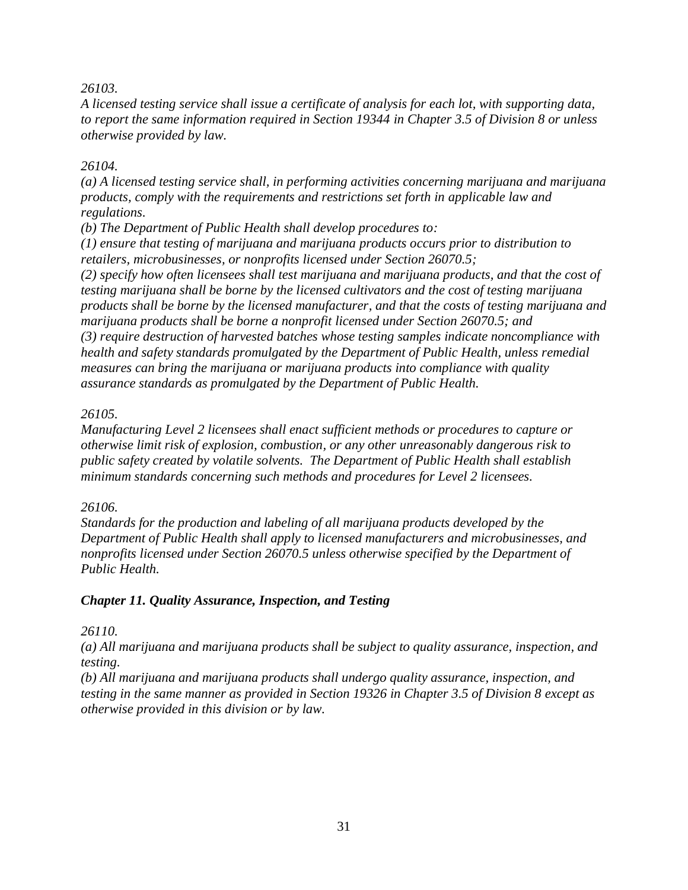#### *26103.*

*A licensed testing service shall issue a certificate of analysis for each lot, with supporting data, to report the same information required in Section 19344 in Chapter 3.5 of Division 8 or unless otherwise provided by law.* 

## *26104.*

*(a) A licensed testing service shall, in performing activities concerning marijuana and marijuana products, comply with the requirements and restrictions set forth in applicable law and regulations.* 

*(b) The Department of Public Health shall develop procedures to:*

*(1) ensure that testing of marijuana and marijuana products occurs prior to distribution to retailers, microbusinesses, or nonprofits licensed under Section 26070.5;*

*(2) specify how often licensees shall test marijuana and marijuana products, and that the cost of testing marijuana shall be borne by the licensed cultivators and the cost of testing marijuana products shall be borne by the licensed manufacturer, and that the costs of testing marijuana and marijuana products shall be borne a nonprofit licensed under Section 26070.5; and (3) require destruction of harvested batches whose testing samples indicate noncompliance with health and safety standards promulgated by the Department of Public Health, unless remedial measures can bring the marijuana or marijuana products into compliance with quality assurance standards as promulgated by the Department of Public Health.*

### *26105.*

*Manufacturing Level 2 licensees shall enact sufficient methods or procedures to capture or otherwise limit risk of explosion, combustion, or any other unreasonably dangerous risk to public safety created by volatile solvents. The Department of Public Health shall establish minimum standards concerning such methods and procedures for Level 2 licensees.* 

#### *26106.*

*Standards for the production and labeling of all marijuana products developed by the Department of Public Health shall apply to licensed manufacturers and microbusinesses, and nonprofits licensed under Section 26070.5 unless otherwise specified by the Department of Public Health.*

#### *Chapter 11. Quality Assurance, Inspection, and Testing*

*26110.*

*(a) All marijuana and marijuana products shall be subject to quality assurance, inspection, and testing.*

*(b) All marijuana and marijuana products shall undergo quality assurance, inspection, and testing in the same manner as provided in Section 19326 in Chapter 3.5 of Division 8 except as otherwise provided in this division or by law.*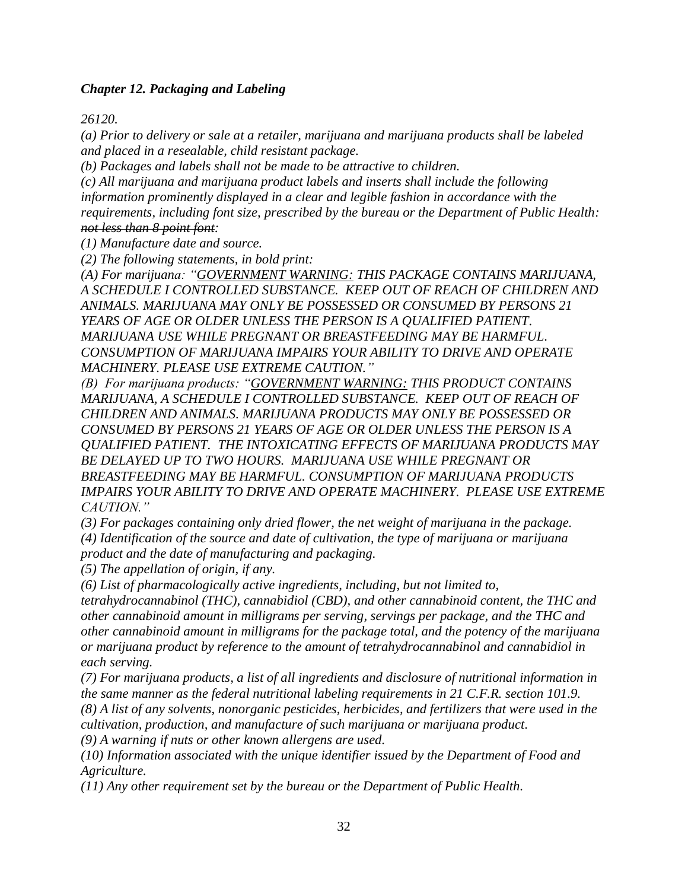## *Chapter 12. Packaging and Labeling*

*26120.* 

*(a) Prior to delivery or sale at a retailer, marijuana and marijuana products shall be labeled and placed in a resealable, child resistant package.*

*(b) Packages and labels shall not be made to be attractive to children.*

*(c) All marijuana and marijuana product labels and inserts shall include the following information prominently displayed in a clear and legible fashion in accordance with the requirements, including font size, prescribed by the bureau or the Department of Public Health: not less than 8 point font:* 

*(1) Manufacture date and source.*

*(2) The following statements, in bold print:* 

*(A) For marijuana: "GOVERNMENT WARNING: THIS PACKAGE CONTAINS MARIJUANA, A SCHEDULE I CONTROLLED SUBSTANCE. KEEP OUT OF REACH OF CHILDREN AND ANIMALS. MARIJUANA MAY ONLY BE POSSESSED OR CONSUMED BY PERSONS 21*  YEARS OF AGE OR OLDER UNLESS THE PERSON IS A QUALIFIED PATIENT. *MARIJUANA USE WHILE PREGNANT OR BREASTFEEDING MAY BE HARMFUL. CONSUMPTION OF MARIJUANA IMPAIRS YOUR ABILITY TO DRIVE AND OPERATE MACHINERY. PLEASE USE EXTREME CAUTION."* 

*(B) For marijuana products: "GOVERNMENT WARNING: THIS PRODUCT CONTAINS MARIJUANA, A SCHEDULE I CONTROLLED SUBSTANCE. KEEP OUT OF REACH OF CHILDREN AND ANIMALS. MARIJUANA PRODUCTS MAY ONLY BE POSSESSED OR CONSUMED BY PERSONS 21 YEARS OF AGE OR OLDER UNLESS THE PERSON IS A QUALIFIED PATIENT. THE INTOXICATING EFFECTS OF MARIJUANA PRODUCTS MAY BE DELAYED UP TO TWO HOURS. MARIJUANA USE WHILE PREGNANT OR BREASTFEEDING MAY BE HARMFUL. CONSUMPTION OF MARIJUANA PRODUCTS IMPAIRS YOUR ABILITY TO DRIVE AND OPERATE MACHINERY. PLEASE USE EXTREME CAUTION."* 

*(3) For packages containing only dried flower, the net weight of marijuana in the package. (4) Identification of the source and date of cultivation, the type of marijuana or marijuana product and the date of manufacturing and packaging.*

*(5) The appellation of origin, if any.*

*(6) List of pharmacologically active ingredients, including, but not limited to,* 

*tetrahydrocannabinol (THC), cannabidiol (CBD), and other cannabinoid content, the THC and other cannabinoid amount in milligrams per serving, servings per package, and the THC and other cannabinoid amount in milligrams for the package total, and the potency of the marijuana or marijuana product by reference to the amount of tetrahydrocannabinol and cannabidiol in each serving.*

*(7) For marijuana products, a list of all ingredients and disclosure of nutritional information in the same manner as the federal nutritional labeling requirements in 21 C.F.R. section 101.9.* 

*(8) A list of any solvents, nonorganic pesticides, herbicides, and fertilizers that were used in the cultivation, production, and manufacture of such marijuana or marijuana product.*

*(9) A warning if nuts or other known allergens are used.*

*(10) Information associated with the unique identifier issued by the Department of Food and Agriculture.*

*(11) Any other requirement set by the bureau or the Department of Public Health.*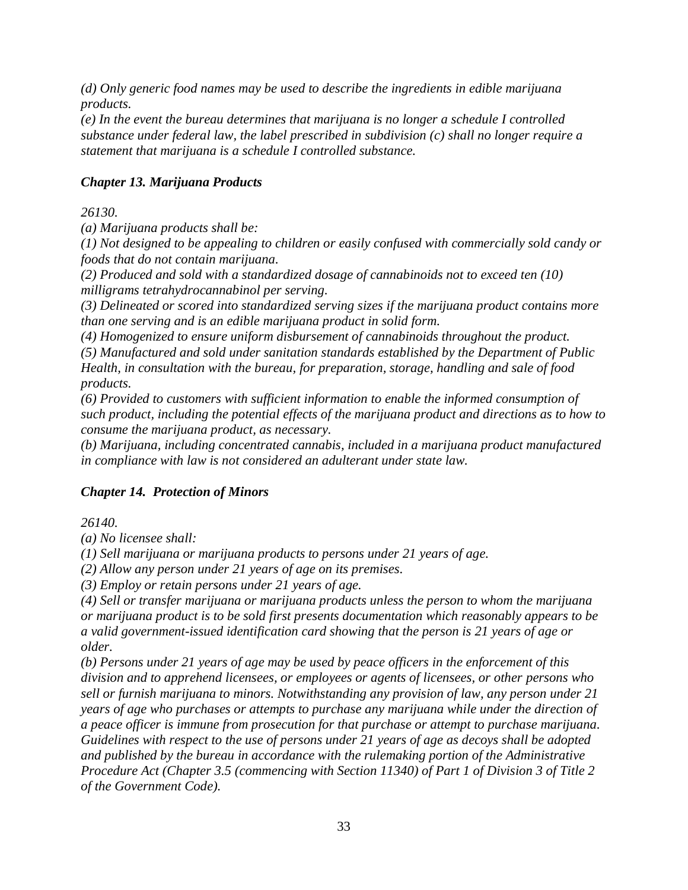*(d) Only generic food names may be used to describe the ingredients in edible marijuana products.*

*(e) In the event the bureau determines that marijuana is no longer a schedule I controlled substance under federal law, the label prescribed in subdivision (c) shall no longer require a statement that marijuana is a schedule I controlled substance.* 

# *Chapter 13. Marijuana Products*

*26130.* 

*(a) Marijuana products shall be:*

*(1) Not designed to be appealing to children or easily confused with commercially sold candy or foods that do not contain marijuana.*

*(2) Produced and sold with a standardized dosage of cannabinoids not to exceed ten (10) milligrams tetrahydrocannabinol per serving.*

*(3) Delineated or scored into standardized serving sizes if the marijuana product contains more than one serving and is an edible marijuana product in solid form.*

*(4) Homogenized to ensure uniform disbursement of cannabinoids throughout the product.*

*(5) Manufactured and sold under sanitation standards established by the Department of Public Health, in consultation with the bureau, for preparation, storage, handling and sale of food products.*

*(6) Provided to customers with sufficient information to enable the informed consumption of such product, including the potential effects of the marijuana product and directions as to how to consume the marijuana product, as necessary.* 

*(b) Marijuana, including concentrated cannabis, included in a marijuana product manufactured in compliance with law is not considered an adulterant under state law.* 

# *Chapter 14. Protection of Minors*

*26140.* 

*(a) No licensee shall:* 

*(1) Sell marijuana or marijuana products to persons under 21 years of age.*

*(2) Allow any person under 21 years of age on its premises.* 

*(3) Employ or retain persons under 21 years of age.* 

*(4) Sell or transfer marijuana or marijuana products unless the person to whom the marijuana or marijuana product is to be sold first presents documentation which reasonably appears to be a valid government-issued identification card showing that the person is 21 years of age or older.* 

*(b) Persons under 21 years of age may be used by peace officers in the enforcement of this division and to apprehend licensees, or employees or agents of licensees, or other persons who sell or furnish marijuana to minors. Notwithstanding any provision of law, any person under 21 years of age who purchases or attempts to purchase any marijuana while under the direction of a peace officer is immune from prosecution for that purchase or attempt to purchase marijuana. Guidelines with respect to the use of persons under 21 years of age as decoys shall be adopted and published by the bureau in accordance with the rulemaking portion of the Administrative Procedure Act (Chapter 3.5 (commencing with Section 11340) of Part 1 of Division 3 of Title 2 of the Government Code).*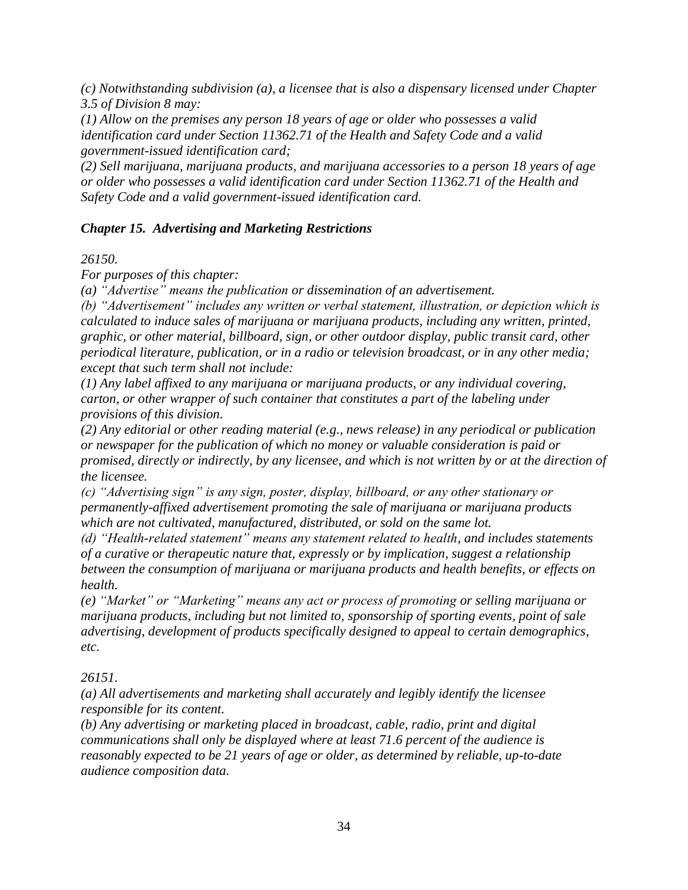*(c) Notwithstanding subdivision (a), a licensee that is also a dispensary licensed under Chapter 3.5 of Division 8 may:*

*(1) Allow on the premises any person 18 years of age or older who possesses a valid identification card under Section 11362.71 of the Health and Safety Code and a valid government-issued identification card;*

*(2) Sell marijuana, marijuana products, and marijuana accessories to a person 18 years of age or older who possesses a valid identification card under Section 11362.71 of the Health and Safety Code and a valid government-issued identification card.*

## *Chapter 15. Advertising and Marketing Restrictions*

*26150.* 

*For purposes of this chapter:*

*(a) "Advertise" means the publication or dissemination of an advertisement.*

*(b) "Advertisement" includes any written or verbal statement, illustration, or depiction which is calculated to induce sales of marijuana or marijuana products, including any written, printed, graphic, or other material, billboard, sign, or other outdoor display, public transit card, other periodical literature, publication, or in a radio or television broadcast, or in any other media; except that such term shall not include:*

*(1) Any label affixed to any marijuana or marijuana products, or any individual covering, carton, or other wrapper of such container that constitutes a part of the labeling under provisions of this division.*

*(2) Any editorial or other reading material (e.g., news release) in any periodical or publication or newspaper for the publication of which no money or valuable consideration is paid or promised, directly or indirectly, by any licensee, and which is not written by or at the direction of the licensee.*

*(c) "Advertising sign" is any sign, poster, display, billboard, or any other stationary or permanently-affixed advertisement promoting the sale of marijuana or marijuana products which are not cultivated, manufactured, distributed, or sold on the same lot.*

*(d) "Health-related statement" means any statement related to health, and includes statements of a curative or therapeutic nature that, expressly or by implication, suggest a relationship between the consumption of marijuana or marijuana products and health benefits, or effects on health.*

*(e) "Market" or "Marketing" means any act or process of promoting or selling marijuana or marijuana products, including but not limited to, sponsorship of sporting events, point of sale advertising, development of products specifically designed to appeal to certain demographics, etc.*

## *26151.*

*(a) All advertisements and marketing shall accurately and legibly identify the licensee responsible for its content.*

*(b) Any advertising or marketing placed in broadcast, cable, radio, print and digital communications shall only be displayed where at least 71.6 percent of the audience is reasonably expected to be 21 years of age or older, as determined by reliable, up-to-date audience composition data.*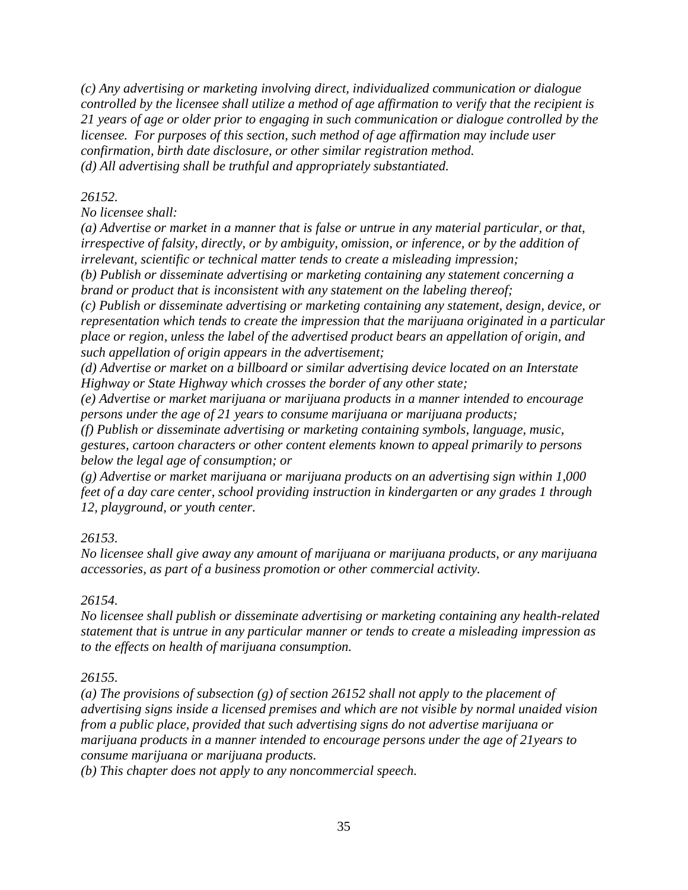*(c) Any advertising or marketing involving direct, individualized communication or dialogue controlled by the licensee shall utilize a method of age affirmation to verify that the recipient is 21 years of age or older prior to engaging in such communication or dialogue controlled by the licensee. For purposes of this section, such method of age affirmation may include user confirmation, birth date disclosure, or other similar registration method. (d) All advertising shall be truthful and appropriately substantiated.* 

## *26152.*

*No licensee shall:*

*(a) Advertise or market in a manner that is false or untrue in any material particular, or that, irrespective of falsity, directly, or by ambiguity, omission, or inference, or by the addition of irrelevant, scientific or technical matter tends to create a misleading impression;*

*(b) Publish or disseminate advertising or marketing containing any statement concerning a brand or product that is inconsistent with any statement on the labeling thereof;*

*(c) Publish or disseminate advertising or marketing containing any statement, design, device, or representation which tends to create the impression that the marijuana originated in a particular place or region, unless the label of the advertised product bears an appellation of origin, and such appellation of origin appears in the advertisement;*

*(d) Advertise or market on a billboard or similar advertising device located on an Interstate Highway or State Highway which crosses the border of any other state;*

*(e) Advertise or market marijuana or marijuana products in a manner intended to encourage persons under the age of 21 years to consume marijuana or marijuana products;* 

*(f) Publish or disseminate advertising or marketing containing symbols, language, music, gestures, cartoon characters or other content elements known to appeal primarily to persons below the legal age of consumption; or*

*(g) Advertise or market marijuana or marijuana products on an advertising sign within 1,000 feet of a day care center, school providing instruction in kindergarten or any grades 1 through 12, playground, or youth center.*

## *26153.*

*No licensee shall give away any amount of marijuana or marijuana products, or any marijuana accessories, as part of a business promotion or other commercial activity.*

## *26154.*

*No licensee shall publish or disseminate advertising or marketing containing any health-related statement that is untrue in any particular manner or tends to create a misleading impression as to the effects on health of marijuana consumption.* 

## *26155.*

*(a) The provisions of subsection (g) of section 26152 shall not apply to the placement of advertising signs inside a licensed premises and which are not visible by normal unaided vision from a public place, provided that such advertising signs do not advertise marijuana or marijuana products in a manner intended to encourage persons under the age of 21years to consume marijuana or marijuana products.* 

*(b) This chapter does not apply to any noncommercial speech.*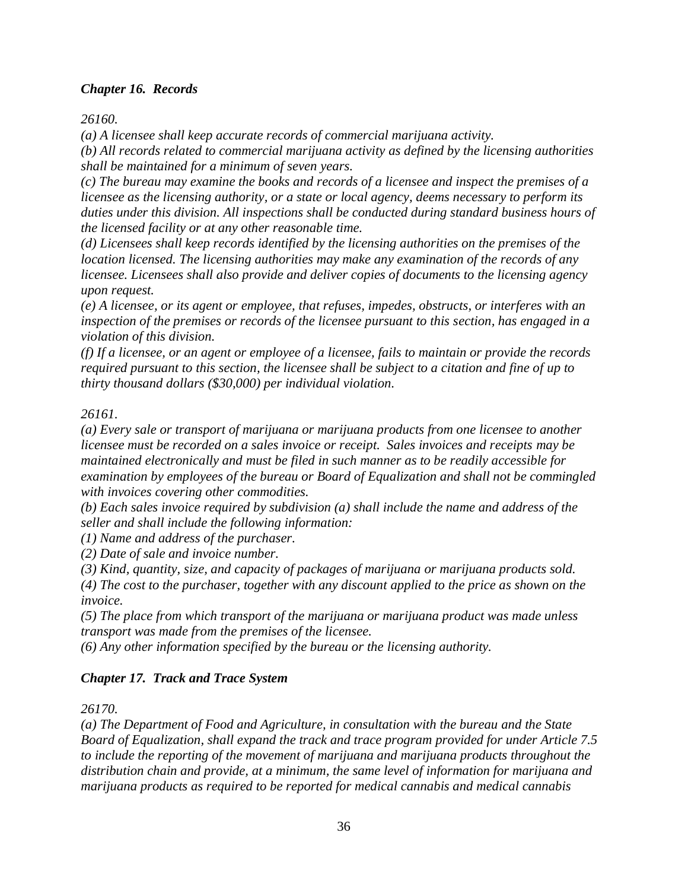## *Chapter 16. Records*

*26160.* 

*(a) A licensee shall keep accurate records of commercial marijuana activity.* 

*(b) All records related to commercial marijuana activity as defined by the licensing authorities shall be maintained for a minimum of seven years.*

*(c) The bureau may examine the books and records of a licensee and inspect the premises of a licensee as the licensing authority, or a state or local agency, deems necessary to perform its duties under this division. All inspections shall be conducted during standard business hours of the licensed facility or at any other reasonable time.*

*(d) Licensees shall keep records identified by the licensing authorities on the premises of the location licensed. The licensing authorities may make any examination of the records of any licensee. Licensees shall also provide and deliver copies of documents to the licensing agency upon request.*

*(e) A licensee, or its agent or employee, that refuses, impedes, obstructs, or interferes with an inspection of the premises or records of the licensee pursuant to this section, has engaged in a violation of this division.*

*(f) If a licensee, or an agent or employee of a licensee, fails to maintain or provide the records required pursuant to this section, the licensee shall be subject to a citation and fine of up to thirty thousand dollars (\$30,000) per individual violation.*

# *26161.*

*(a) Every sale or transport of marijuana or marijuana products from one licensee to another licensee must be recorded on a sales invoice or receipt. Sales invoices and receipts may be maintained electronically and must be filed in such manner as to be readily accessible for examination by employees of the bureau or Board of Equalization and shall not be commingled with invoices covering other commodities.*

*(b) Each sales invoice required by subdivision (a) shall include the name and address of the seller and shall include the following information:*

*(1) Name and address of the purchaser.*

*(2) Date of sale and invoice number.*

*(3) Kind, quantity, size, and capacity of packages of marijuana or marijuana products sold.*

*(4) The cost to the purchaser, together with any discount applied to the price as shown on the invoice.*

*(5) The place from which transport of the marijuana or marijuana product was made unless transport was made from the premises of the licensee.*

*(6) Any other information specified by the bureau or the licensing authority.*

# *Chapter 17. Track and Trace System*

*26170.* 

*(a) The Department of Food and Agriculture, in consultation with the bureau and the State Board of Equalization, shall expand the track and trace program provided for under Article 7.5 to include the reporting of the movement of marijuana and marijuana products throughout the distribution chain and provide, at a minimum, the same level of information for marijuana and marijuana products as required to be reported for medical cannabis and medical cannabis*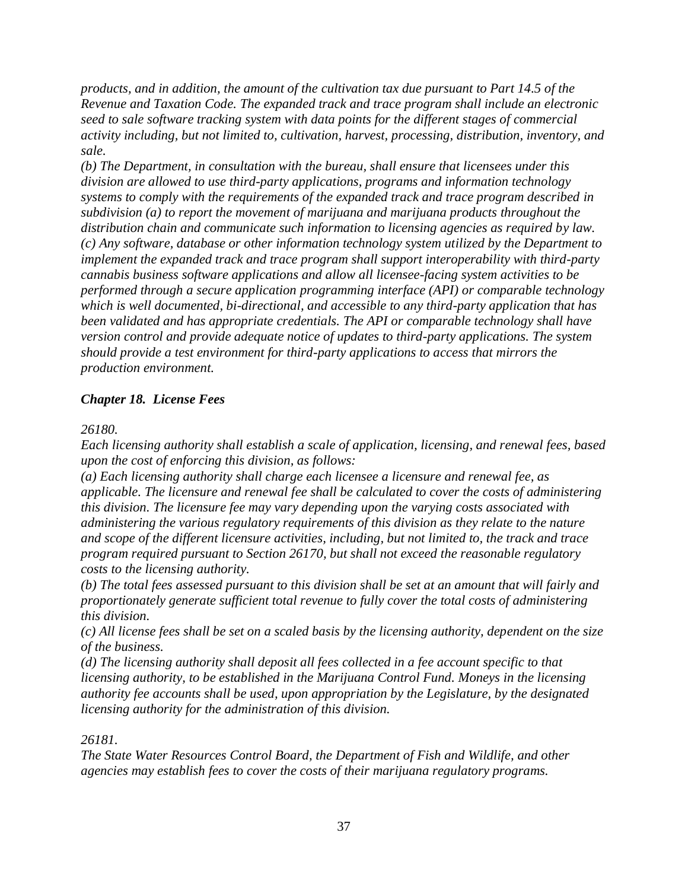*products, and in addition, the amount of the cultivation tax due pursuant to Part 14.5 of the Revenue and Taxation Code. The expanded track and trace program shall include an electronic seed to sale software tracking system with data points for the different stages of commercial activity including, but not limited to, cultivation, harvest, processing, distribution, inventory, and sale.*

*(b) The Department, in consultation with the bureau, shall ensure that licensees under this division are allowed to use third-party applications, programs and information technology systems to comply with the requirements of the expanded track and trace program described in subdivision (a) to report the movement of marijuana and marijuana products throughout the distribution chain and communicate such information to licensing agencies as required by law. (c) Any software, database or other information technology system utilized by the Department to implement the expanded track and trace program shall support interoperability with third-party cannabis business software applications and allow all licensee-facing system activities to be performed through a secure application programming interface (API) or comparable technology which is well documented, bi-directional, and accessible to any third-party application that has been validated and has appropriate credentials. The API or comparable technology shall have version control and provide adequate notice of updates to third-party applications. The system should provide a test environment for third-party applications to access that mirrors the production environment.*

## *Chapter 18. License Fees*

### *26180.*

*Each licensing authority shall establish a scale of application, licensing, and renewal fees, based upon the cost of enforcing this division, as follows:*

*(a) Each licensing authority shall charge each licensee a licensure and renewal fee, as applicable. The licensure and renewal fee shall be calculated to cover the costs of administering this division. The licensure fee may vary depending upon the varying costs associated with administering the various regulatory requirements of this division as they relate to the nature and scope of the different licensure activities, including, but not limited to, the track and trace program required pursuant to Section 26170, but shall not exceed the reasonable regulatory costs to the licensing authority.*

*(b) The total fees assessed pursuant to this division shall be set at an amount that will fairly and proportionately generate sufficient total revenue to fully cover the total costs of administering this division.*

*(c) All license fees shall be set on a scaled basis by the licensing authority, dependent on the size of the business.*

*(d) The licensing authority shall deposit all fees collected in a fee account specific to that licensing authority, to be established in the Marijuana Control Fund. Moneys in the licensing authority fee accounts shall be used, upon appropriation by the Legislature, by the designated licensing authority for the administration of this division.*

#### *26181.*

*The State Water Resources Control Board, the Department of Fish and Wildlife, and other agencies may establish fees to cover the costs of their marijuana regulatory programs.*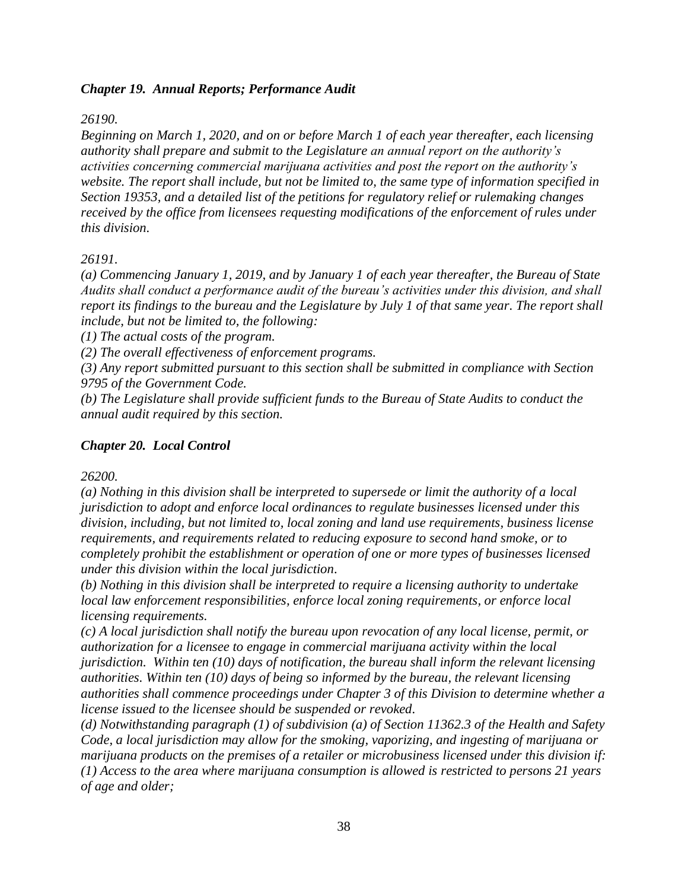### *Chapter 19. Annual Reports; Performance Audit*

### *26190.*

*Beginning on March 1, 2020, and on or before March 1 of each year thereafter, each licensing authority shall prepare and submit to the Legislature an annual report on the authority's activities concerning commercial marijuana activities and post the report on the authority's website. The report shall include, but not be limited to, the same type of information specified in Section 19353, and a detailed list of the petitions for regulatory relief or rulemaking changes received by the office from licensees requesting modifications of the enforcement of rules under this division.* 

### *26191.*

*(a) Commencing January 1, 2019, and by January 1 of each year thereafter, the Bureau of State Audits shall conduct a performance audit of the bureau's activities under this division, and shall report its findings to the bureau and the Legislature by July 1 of that same year. The report shall include, but not be limited to, the following:*

*(1) The actual costs of the program.* 

*(2) The overall effectiveness of enforcement programs.* 

*(3) Any report submitted pursuant to this section shall be submitted in compliance with Section 9795 of the Government Code.*

*(b) The Legislature shall provide sufficient funds to the Bureau of State Audits to conduct the annual audit required by this section.* 

## *Chapter 20. Local Control*

*26200.*

*(a) Nothing in this division shall be interpreted to supersede or limit the authority of a local jurisdiction to adopt and enforce local ordinances to regulate businesses licensed under this division, including, but not limited to, local zoning and land use requirements, business license requirements, and requirements related to reducing exposure to second hand smoke, or to completely prohibit the establishment or operation of one or more types of businesses licensed under this division within the local jurisdiction.* 

*(b) Nothing in this division shall be interpreted to require a licensing authority to undertake local law enforcement responsibilities, enforce local zoning requirements, or enforce local licensing requirements.*

*(c) A local jurisdiction shall notify the bureau upon revocation of any local license, permit, or authorization for a licensee to engage in commercial marijuana activity within the local jurisdiction. Within ten (10) days of notification, the bureau shall inform the relevant licensing authorities. Within ten (10) days of being so informed by the bureau, the relevant licensing authorities shall commence proceedings under Chapter 3 of this Division to determine whether a license issued to the licensee should be suspended or revoked.*

*(d) Notwithstanding paragraph (1) of subdivision (a) of Section 11362.3 of the Health and Safety Code, a local jurisdiction may allow for the smoking, vaporizing, and ingesting of marijuana or marijuana products on the premises of a retailer or microbusiness licensed under this division if: (1) Access to the area where marijuana consumption is allowed is restricted to persons 21 years of age and older;*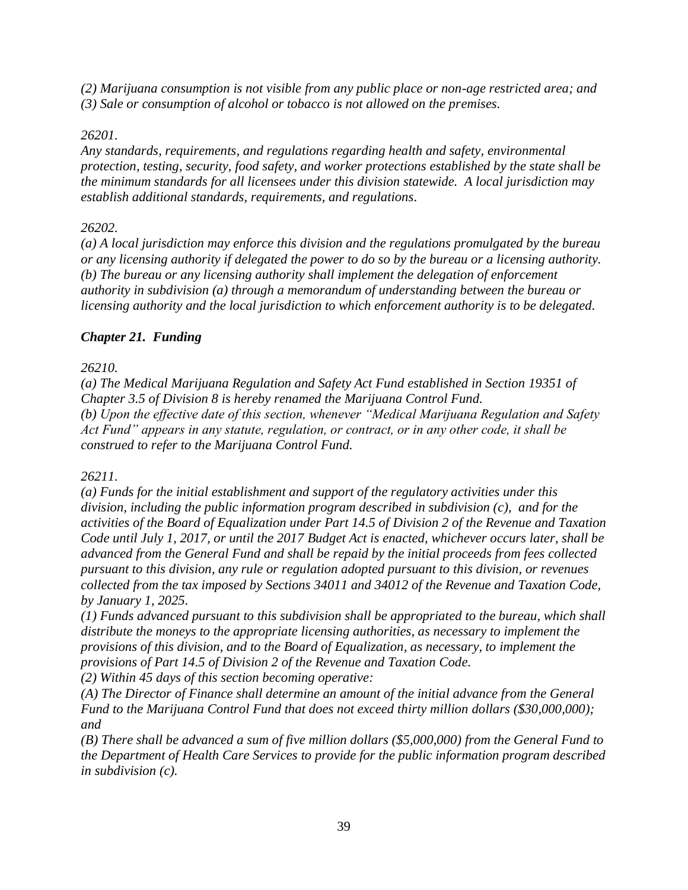*(2) Marijuana consumption is not visible from any public place or non-age restricted area; and (3) Sale or consumption of alcohol or tobacco is not allowed on the premises.*

## *26201.*

*Any standards, requirements, and regulations regarding health and safety, environmental protection, testing, security, food safety, and worker protections established by the state shall be the minimum standards for all licensees under this division statewide. A local jurisdiction may establish additional standards, requirements, and regulations.*

## *26202.*

*(a) A local jurisdiction may enforce this division and the regulations promulgated by the bureau or any licensing authority if delegated the power to do so by the bureau or a licensing authority. (b) The bureau or any licensing authority shall implement the delegation of enforcement authority in subdivision (a) through a memorandum of understanding between the bureau or licensing authority and the local jurisdiction to which enforcement authority is to be delegated.* 

## *Chapter 21. Funding*

*26210.* 

*(a) The Medical Marijuana Regulation and Safety Act Fund established in Section 19351 of Chapter 3.5 of Division 8 is hereby renamed the Marijuana Control Fund. (b) Upon the effective date of this section, whenever "Medical Marijuana Regulation and Safety Act Fund" appears in any statute, regulation, or contract, or in any other code, it shall be construed to refer to the Marijuana Control Fund.*

# *26211.*

*(a) Funds for the initial establishment and support of the regulatory activities under this division, including the public information program described in subdivision (c), and for the activities of the Board of Equalization under Part 14.5 of Division 2 of the Revenue and Taxation Code until July 1, 2017, or until the 2017 Budget Act is enacted, whichever occurs later, shall be advanced from the General Fund and shall be repaid by the initial proceeds from fees collected pursuant to this division, any rule or regulation adopted pursuant to this division, or revenues collected from the tax imposed by Sections 34011 and 34012 of the Revenue and Taxation Code, by January 1, 2025.* 

*(1) Funds advanced pursuant to this subdivision shall be appropriated to the bureau, which shall distribute the moneys to the appropriate licensing authorities, as necessary to implement the provisions of this division, and to the Board of Equalization, as necessary, to implement the provisions of Part 14.5 of Division 2 of the Revenue and Taxation Code.* 

*(2) Within 45 days of this section becoming operative:*

*(A) The Director of Finance shall determine an amount of the initial advance from the General Fund to the Marijuana Control Fund that does not exceed thirty million dollars (\$30,000,000); and*

*(B) There shall be advanced a sum of five million dollars (\$5,000,000) from the General Fund to the Department of Health Care Services to provide for the public information program described in subdivision (c).*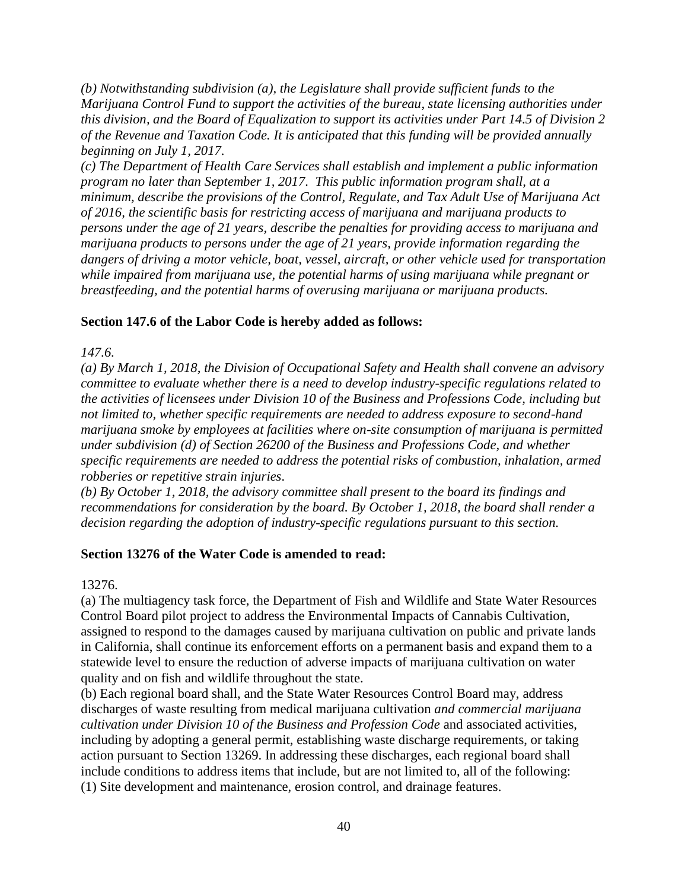*(b) Notwithstanding subdivision (a), the Legislature shall provide sufficient funds to the Marijuana Control Fund to support the activities of the bureau, state licensing authorities under this division, and the Board of Equalization to support its activities under Part 14.5 of Division 2 of the Revenue and Taxation Code. It is anticipated that this funding will be provided annually beginning on July 1, 2017.* 

*(c) The Department of Health Care Services shall establish and implement a public information program no later than September 1, 2017. This public information program shall, at a minimum, describe the provisions of the Control, Regulate, and Tax Adult Use of Marijuana Act of 2016, the scientific basis for restricting access of marijuana and marijuana products to persons under the age of 21 years, describe the penalties for providing access to marijuana and marijuana products to persons under the age of 21 years, provide information regarding the dangers of driving a motor vehicle, boat, vessel, aircraft, or other vehicle used for transportation while impaired from marijuana use, the potential harms of using marijuana while pregnant or breastfeeding, and the potential harms of overusing marijuana or marijuana products.* 

### **Section 147.6 of the Labor Code is hereby added as follows:**

#### *147.6.*

*(a) By March 1, 2018, the Division of Occupational Safety and Health shall convene an advisory committee to evaluate whether there is a need to develop industry-specific regulations related to the activities of licensees under Division 10 of the Business and Professions Code, including but not limited to, whether specific requirements are needed to address exposure to second-hand marijuana smoke by employees at facilities where on-site consumption of marijuana is permitted under subdivision (d) of Section 26200 of the Business and Professions Code, and whether specific requirements are needed to address the potential risks of combustion, inhalation, armed robberies or repetitive strain injuries.* 

*(b) By October 1, 2018, the advisory committee shall present to the board its findings and recommendations for consideration by the board. By October 1, 2018, the board shall render a decision regarding the adoption of industry-specific regulations pursuant to this section.*

#### **Section 13276 of the Water Code is amended to read:**

#### 13276.

(a) The multiagency task force, the Department of Fish and Wildlife and State Water Resources Control Board pilot project to address the Environmental Impacts of Cannabis Cultivation, assigned to respond to the damages caused by marijuana cultivation on public and private lands in California, shall continue its enforcement efforts on a permanent basis and expand them to a statewide level to ensure the reduction of adverse impacts of marijuana cultivation on water quality and on fish and wildlife throughout the state.

(b) Each regional board shall, and the State Water Resources Control Board may, address discharges of waste resulting from medical marijuana cultivation *and commercial marijuana cultivation under Division 10 of the Business and Profession Code* and associated activities, including by adopting a general permit, establishing waste discharge requirements, or taking action pursuant to Section 13269. In addressing these discharges, each regional board shall include conditions to address items that include, but are not limited to, all of the following: (1) Site development and maintenance, erosion control, and drainage features.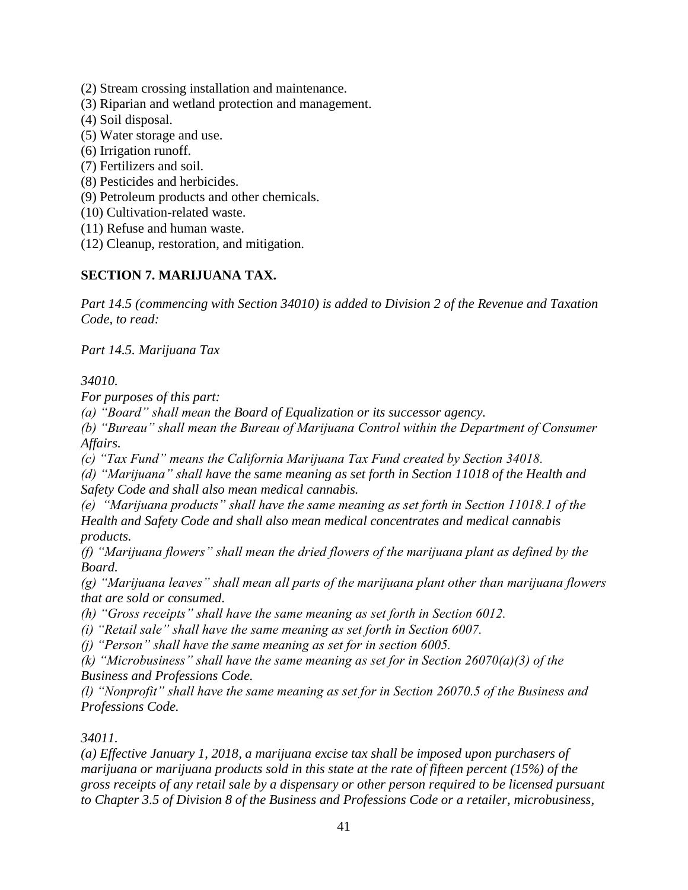(2) Stream crossing installation and maintenance.

- (3) Riparian and wetland protection and management.
- (4) Soil disposal.
- (5) Water storage and use.
- (6) Irrigation runoff.
- (7) Fertilizers and soil.
- (8) Pesticides and herbicides.
- (9) Petroleum products and other chemicals.
- (10) Cultivation-related waste.
- (11) Refuse and human waste.
- (12) Cleanup, restoration, and mitigation.

## **SECTION 7. MARIJUANA TAX.**

*Part 14.5 (commencing with Section 34010) is added to Division 2 of the Revenue and Taxation Code, to read:*

*Part 14.5. Marijuana Tax*

*34010.* 

*For purposes of this part:*

*(a) "Board" shall mean the Board of Equalization or its successor agency.*

*(b) "Bureau" shall mean the Bureau of Marijuana Control within the Department of Consumer Affairs.*

*(c) "Tax Fund" means the California Marijuana Tax Fund created by Section 34018.* 

*(d) "Marijuana" shall have the same meaning as set forth in Section 11018 of the Health and Safety Code and shall also mean medical cannabis.*

*(e) "Marijuana products" shall have the same meaning as set forth in Section 11018.1 of the Health and Safety Code and shall also mean medical concentrates and medical cannabis products.*

*(f) "Marijuana flowers" shall mean the dried flowers of the marijuana plant as defined by the Board.*

*(g) "Marijuana leaves" shall mean all parts of the marijuana plant other than marijuana flowers that are sold or consumed.*

*(h) "Gross receipts" shall have the same meaning as set forth in Section 6012.* 

*(i) "Retail sale" shall have the same meaning as set forth in Section 6007.*

*(j) "Person" shall have the same meaning as set for in section 6005.*

*(k) "Microbusiness" shall have the same meaning as set for in Section 26070(a)(3) of the Business and Professions Code.*

*(l) "Nonprofit" shall have the same meaning as set for in Section 26070.5 of the Business and Professions Code.*

## *34011.*

*(a) Effective January 1, 2018, a marijuana excise tax shall be imposed upon purchasers of marijuana or marijuana products sold in this state at the rate of fifteen percent (15%) of the gross receipts of any retail sale by a dispensary or other person required to be licensed pursuant to Chapter 3.5 of Division 8 of the Business and Professions Code or a retailer, microbusiness,*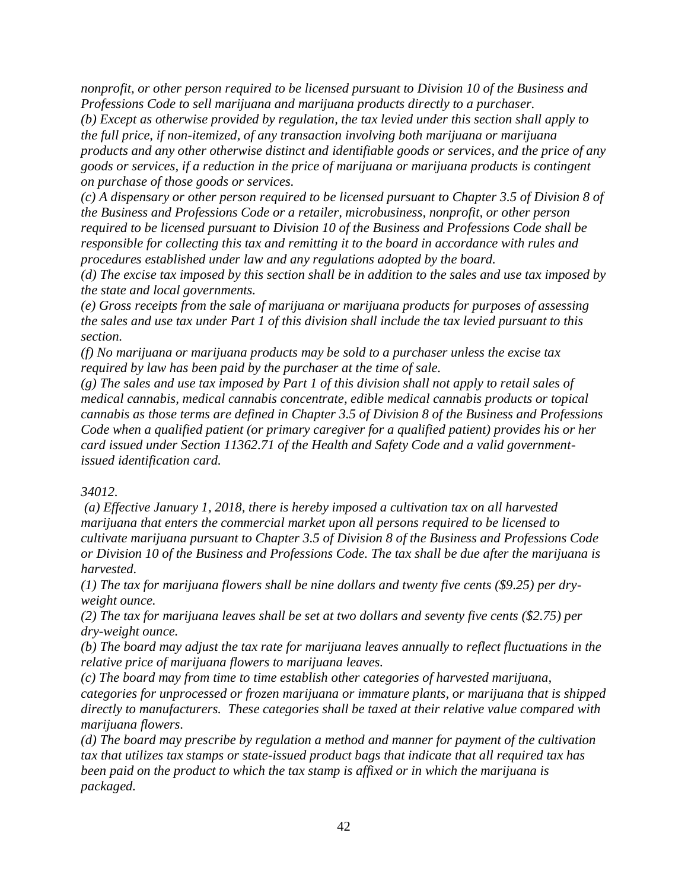*nonprofit, or other person required to be licensed pursuant to Division 10 of the Business and Professions Code to sell marijuana and marijuana products directly to a purchaser.* 

*(b) Except as otherwise provided by regulation, the tax levied under this section shall apply to the full price, if non-itemized, of any transaction involving both marijuana or marijuana products and any other otherwise distinct and identifiable goods or services, and the price of any goods or services, if a reduction in the price of marijuana or marijuana products is contingent on purchase of those goods or services.* 

*(c) A dispensary or other person required to be licensed pursuant to Chapter 3.5 of Division 8 of the Business and Professions Code or a retailer, microbusiness, nonprofit, or other person required to be licensed pursuant to Division 10 of the Business and Professions Code shall be responsible for collecting this tax and remitting it to the board in accordance with rules and procedures established under law and any regulations adopted by the board.* 

*(d) The excise tax imposed by this section shall be in addition to the sales and use tax imposed by the state and local governments.* 

*(e) Gross receipts from the sale of marijuana or marijuana products for purposes of assessing the sales and use tax under Part 1 of this division shall include the tax levied pursuant to this section.*

*(f) No marijuana or marijuana products may be sold to a purchaser unless the excise tax required by law has been paid by the purchaser at the time of sale.*

*(g) The sales and use tax imposed by Part 1 of this division shall not apply to retail sales of medical cannabis, medical cannabis concentrate, edible medical cannabis products or topical cannabis as those terms are defined in Chapter 3.5 of Division 8 of the Business and Professions Code when a qualified patient (or primary caregiver for a qualified patient) provides his or her card issued under Section 11362.71 of the Health and Safety Code and a valid governmentissued identification card.*

## *34012.*

*(a) Effective January 1, 2018, there is hereby imposed a cultivation tax on all harvested marijuana that enters the commercial market upon all persons required to be licensed to cultivate marijuana pursuant to Chapter 3.5 of Division 8 of the Business and Professions Code or Division 10 of the Business and Professions Code. The tax shall be due after the marijuana is harvested.*

*(1) The tax for marijuana flowers shall be nine dollars and twenty five cents (\$9.25) per dryweight ounce.* 

*(2) The tax for marijuana leaves shall be set at two dollars and seventy five cents (\$2.75) per dry-weight ounce.*

*(b) The board may adjust the tax rate for marijuana leaves annually to reflect fluctuations in the relative price of marijuana flowers to marijuana leaves.*

*(c) The board may from time to time establish other categories of harvested marijuana, categories for unprocessed or frozen marijuana or immature plants, or marijuana that is shipped directly to manufacturers. These categories shall be taxed at their relative value compared with marijuana flowers.* 

*(d) The board may prescribe by regulation a method and manner for payment of the cultivation tax that utilizes tax stamps or state-issued product bags that indicate that all required tax has been paid on the product to which the tax stamp is affixed or in which the marijuana is packaged.*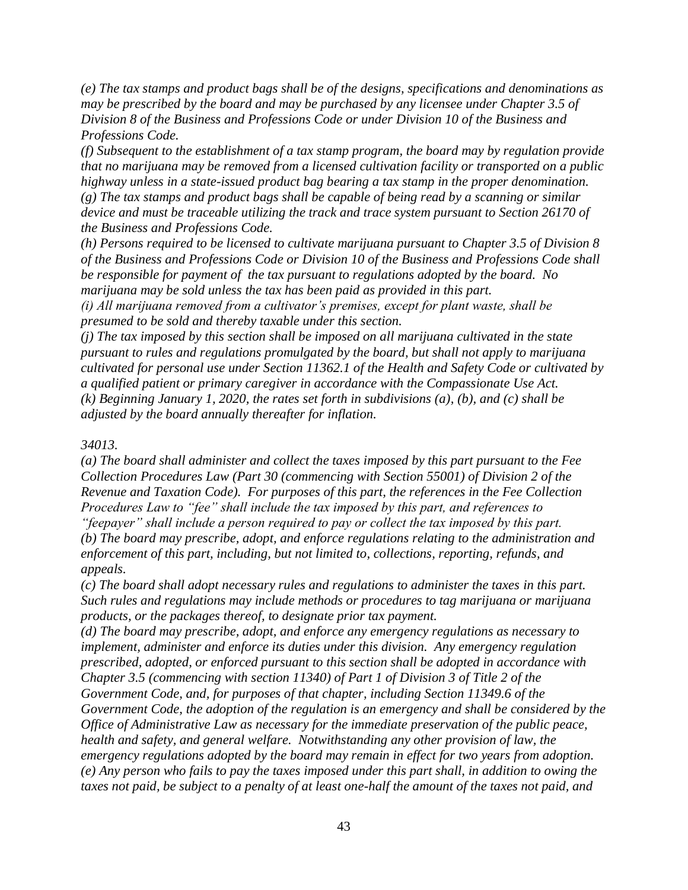*(e) The tax stamps and product bags shall be of the designs, specifications and denominations as may be prescribed by the board and may be purchased by any licensee under Chapter 3.5 of Division 8 of the Business and Professions Code or under Division 10 of the Business and Professions Code.* 

*(f) Subsequent to the establishment of a tax stamp program, the board may by regulation provide that no marijuana may be removed from a licensed cultivation facility or transported on a public highway unless in a state-issued product bag bearing a tax stamp in the proper denomination. (g) The tax stamps and product bags shall be capable of being read by a scanning or similar device and must be traceable utilizing the track and trace system pursuant to Section 26170 of the Business and Professions Code.* 

*(h) Persons required to be licensed to cultivate marijuana pursuant to Chapter 3.5 of Division 8 of the Business and Professions Code or Division 10 of the Business and Professions Code shall be responsible for payment of the tax pursuant to regulations adopted by the board. No marijuana may be sold unless the tax has been paid as provided in this part.* 

*(i) All marijuana removed from a cultivator's premises, except for plant waste, shall be presumed to be sold and thereby taxable under this section.*

*(j) The tax imposed by this section shall be imposed on all marijuana cultivated in the state pursuant to rules and regulations promulgated by the board, but shall not apply to marijuana cultivated for personal use under Section 11362.1 of the Health and Safety Code or cultivated by a qualified patient or primary caregiver in accordance with the Compassionate Use Act. (k) Beginning January 1, 2020, the rates set forth in subdivisions (a), (b), and (c) shall be adjusted by the board annually thereafter for inflation.*

#### *34013.*

*(a) The board shall administer and collect the taxes imposed by this part pursuant to the Fee Collection Procedures Law (Part 30 (commencing with Section 55001) of Division 2 of the Revenue and Taxation Code). For purposes of this part, the references in the Fee Collection Procedures Law to "fee" shall include the tax imposed by this part, and references to "feepayer" shall include a person required to pay or collect the tax imposed by this part. (b) The board may prescribe, adopt, and enforce regulations relating to the administration and enforcement of this part, including, but not limited to, collections, reporting, refunds, and appeals.*

*(c) The board shall adopt necessary rules and regulations to administer the taxes in this part. Such rules and regulations may include methods or procedures to tag marijuana or marijuana products, or the packages thereof, to designate prior tax payment.* 

*(d) The board may prescribe, adopt, and enforce any emergency regulations as necessary to implement, administer and enforce its duties under this division. Any emergency regulation prescribed, adopted, or enforced pursuant to this section shall be adopted in accordance with Chapter 3.5 (commencing with section 11340) of Part 1 of Division 3 of Title 2 of the Government Code, and, for purposes of that chapter, including Section 11349.6 of the Government Code, the adoption of the regulation is an emergency and shall be considered by the Office of Administrative Law as necessary for the immediate preservation of the public peace, health and safety, and general welfare. Notwithstanding any other provision of law, the emergency regulations adopted by the board may remain in effect for two years from adoption. (e) Any person who fails to pay the taxes imposed under this part shall, in addition to owing the taxes not paid, be subject to a penalty of at least one-half the amount of the taxes not paid, and*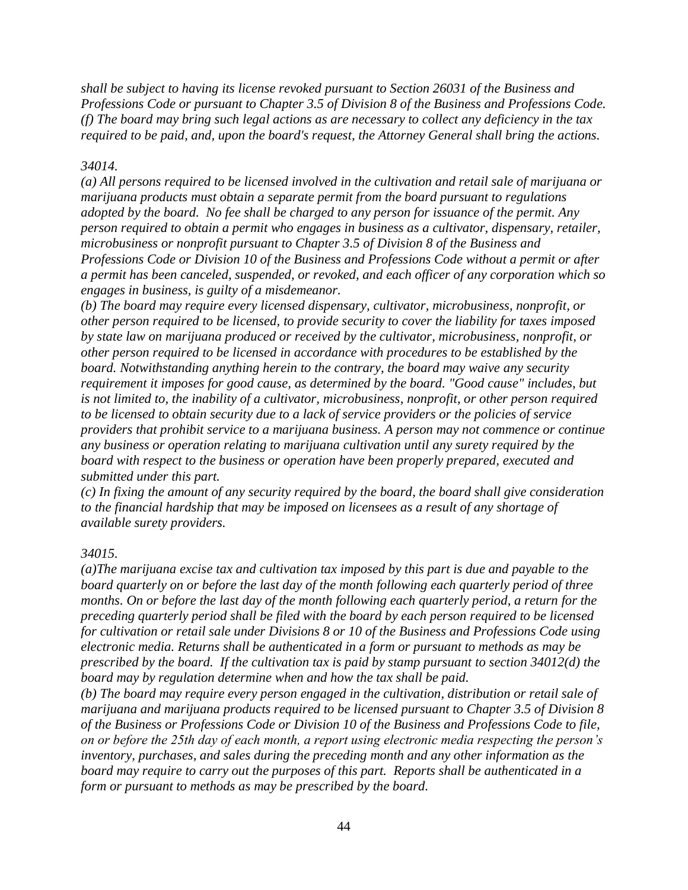*shall be subject to having its license revoked pursuant to Section 26031 of the Business and Professions Code or pursuant to Chapter 3.5 of Division 8 of the Business and Professions Code. (f) The board may bring such legal actions as are necessary to collect any deficiency in the tax required to be paid, and, upon the board's request, the Attorney General shall bring the actions.*

### *34014.*

*(a) All persons required to be licensed involved in the cultivation and retail sale of marijuana or marijuana products must obtain a separate permit from the board pursuant to regulations adopted by the board. No fee shall be charged to any person for issuance of the permit. Any person required to obtain a permit who engages in business as a cultivator, dispensary, retailer, microbusiness or nonprofit pursuant to Chapter 3.5 of Division 8 of the Business and Professions Code or Division 10 of the Business and Professions Code without a permit or after a permit has been canceled, suspended, or revoked, and each officer of any corporation which so engages in business, is guilty of a misdemeanor.*

*(b) The board may require every licensed dispensary, cultivator, microbusiness, nonprofit, or other person required to be licensed, to provide security to cover the liability for taxes imposed by state law on marijuana produced or received by the cultivator, microbusiness, nonprofit, or other person required to be licensed in accordance with procedures to be established by the board. Notwithstanding anything herein to the contrary, the board may waive any security requirement it imposes for good cause, as determined by the board. "Good cause" includes, but is not limited to, the inability of a cultivator, microbusiness, nonprofit, or other person required to be licensed to obtain security due to a lack of service providers or the policies of service providers that prohibit service to a marijuana business. A person may not commence or continue any business or operation relating to marijuana cultivation until any surety required by the board with respect to the business or operation have been properly prepared, executed and submitted under this part.*

*(c) In fixing the amount of any security required by the board, the board shall give consideration to the financial hardship that may be imposed on licensees as a result of any shortage of available surety providers.*

## *34015.*

*(a)The marijuana excise tax and cultivation tax imposed by this part is due and payable to the board quarterly on or before the last day of the month following each quarterly period of three months. On or before the last day of the month following each quarterly period, a return for the preceding quarterly period shall be filed with the board by each person required to be licensed for cultivation or retail sale under Divisions 8 or 10 of the Business and Professions Code using electronic media. Returns shall be authenticated in a form or pursuant to methods as may be prescribed by the board. If the cultivation tax is paid by stamp pursuant to section 34012(d) the board may by regulation determine when and how the tax shall be paid.*

*(b) The board may require every person engaged in the cultivation, distribution or retail sale of marijuana and marijuana products required to be licensed pursuant to Chapter 3.5 of Division 8 of the Business or Professions Code or Division 10 of the Business and Professions Code to file, on or before the 25th day of each month, a report using electronic media respecting the person's inventory, purchases, and sales during the preceding month and any other information as the board may require to carry out the purposes of this part. Reports shall be authenticated in a form or pursuant to methods as may be prescribed by the board.*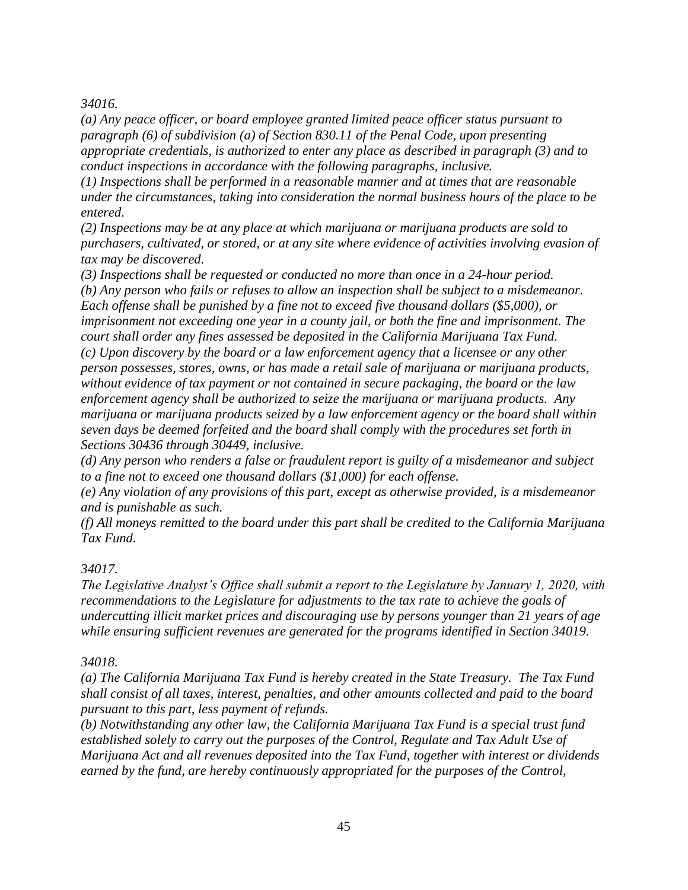## *34016.*

*(a) Any peace officer, or board employee granted limited peace officer status pursuant to paragraph (6) of subdivision (a) of Section 830.11 of the Penal Code, upon presenting appropriate credentials, is authorized to enter any place as described in paragraph (3) and to conduct inspections in accordance with the following paragraphs, inclusive.*

*(1) Inspections shall be performed in a reasonable manner and at times that are reasonable under the circumstances, taking into consideration the normal business hours of the place to be entered.*

*(2) Inspections may be at any place at which marijuana or marijuana products are sold to purchasers, cultivated, or stored, or at any site where evidence of activities involving evasion of tax may be discovered.*

*(3) Inspections shall be requested or conducted no more than once in a 24-hour period. (b) Any person who fails or refuses to allow an inspection shall be subject to a misdemeanor. Each offense shall be punished by a fine not to exceed five thousand dollars (\$5,000), or imprisonment not exceeding one year in a county jail, or both the fine and imprisonment. The court shall order any fines assessed be deposited in the California Marijuana Tax Fund.*

*(c) Upon discovery by the board or a law enforcement agency that a licensee or any other person possesses, stores, owns, or has made a retail sale of marijuana or marijuana products, without evidence of tax payment or not contained in secure packaging, the board or the law enforcement agency shall be authorized to seize the marijuana or marijuana products. Any marijuana or marijuana products seized by a law enforcement agency or the board shall within seven days be deemed forfeited and the board shall comply with the procedures set forth in Sections 30436 through 30449, inclusive.*

*(d) Any person who renders a false or fraudulent report is guilty of a misdemeanor and subject to a fine not to exceed one thousand dollars (\$1,000) for each offense.*

*(e) Any violation of any provisions of this part, except as otherwise provided, is a misdemeanor and is punishable as such.*

*(f) All moneys remitted to the board under this part shall be credited to the California Marijuana Tax Fund.*

## *34017.*

*The Legislative Analyst's Office shall submit a report to the Legislature by January 1, 2020, with recommendations to the Legislature for adjustments to the tax rate to achieve the goals of undercutting illicit market prices and discouraging use by persons younger than 21 years of age while ensuring sufficient revenues are generated for the programs identified in Section 34019.* 

#### *34018.*

*(a) The California Marijuana Tax Fund is hereby created in the State Treasury. The Tax Fund shall consist of all taxes, interest, penalties, and other amounts collected and paid to the board pursuant to this part, less payment of refunds.*

*(b) Notwithstanding any other law, the California Marijuana Tax Fund is a special trust fund established solely to carry out the purposes of the Control, Regulate and Tax Adult Use of Marijuana Act and all revenues deposited into the Tax Fund, together with interest or dividends earned by the fund, are hereby continuously appropriated for the purposes of the Control,*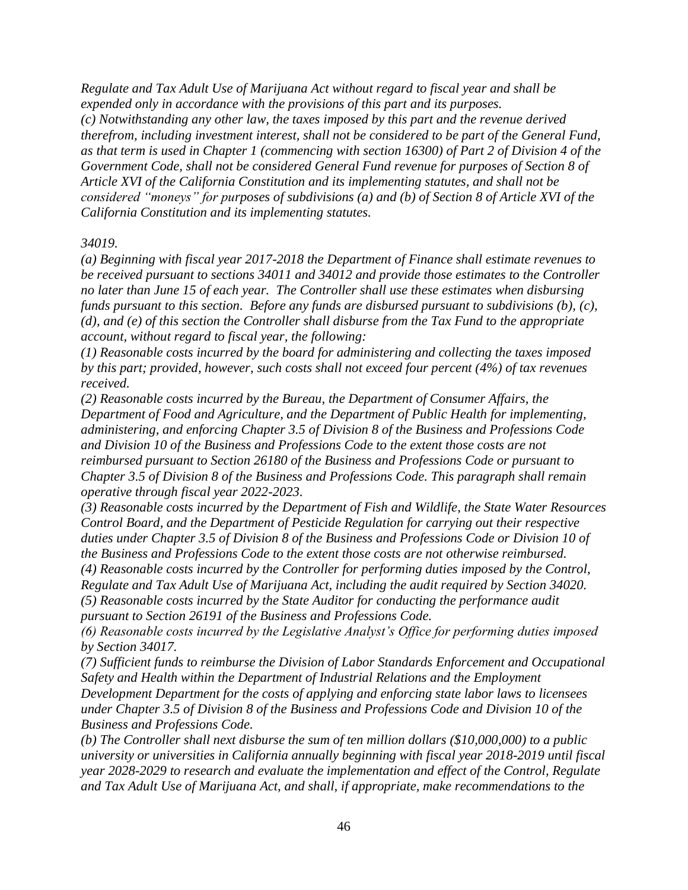*Regulate and Tax Adult Use of Marijuana Act without regard to fiscal year and shall be expended only in accordance with the provisions of this part and its purposes. (c) Notwithstanding any other law, the taxes imposed by this part and the revenue derived therefrom, including investment interest, shall not be considered to be part of the General Fund, as that term is used in Chapter 1 (commencing with section 16300) of Part 2 of Division 4 of the Government Code, shall not be considered General Fund revenue for purposes of Section 8 of Article XVI of the California Constitution and its implementing statutes, and shall not be considered "moneys" for purposes of subdivisions (a) and (b) of Section 8 of Article XVI of the California Constitution and its implementing statutes.*

#### *34019.*

*(a) Beginning with fiscal year 2017-2018 the Department of Finance shall estimate revenues to be received pursuant to sections 34011 and 34012 and provide those estimates to the Controller no later than June 15 of each year. The Controller shall use these estimates when disbursing funds pursuant to this section. Before any funds are disbursed pursuant to subdivisions (b), (c), (d), and (e) of this section the Controller shall disburse from the Tax Fund to the appropriate account, without regard to fiscal year, the following:*

*(1) Reasonable costs incurred by the board for administering and collecting the taxes imposed by this part; provided, however, such costs shall not exceed four percent (4%) of tax revenues received.*

*(2) Reasonable costs incurred by the Bureau, the Department of Consumer Affairs, the Department of Food and Agriculture, and the Department of Public Health for implementing, administering, and enforcing Chapter 3.5 of Division 8 of the Business and Professions Code and Division 10 of the Business and Professions Code to the extent those costs are not reimbursed pursuant to Section 26180 of the Business and Professions Code or pursuant to Chapter 3.5 of Division 8 of the Business and Professions Code. This paragraph shall remain operative through fiscal year 2022-2023.*

*(3) Reasonable costs incurred by the Department of Fish and Wildlife, the State Water Resources Control Board, and the Department of Pesticide Regulation for carrying out their respective duties under Chapter 3.5 of Division 8 of the Business and Professions Code or Division 10 of the Business and Professions Code to the extent those costs are not otherwise reimbursed.* 

*(4) Reasonable costs incurred by the Controller for performing duties imposed by the Control, Regulate and Tax Adult Use of Marijuana Act, including the audit required by Section 34020.*

*(5) Reasonable costs incurred by the State Auditor for conducting the performance audit pursuant to Section 26191 of the Business and Professions Code.*

*(6) Reasonable costs incurred by the Legislative Analyst's Office for performing duties imposed by Section 34017.*

*(7) Sufficient funds to reimburse the Division of Labor Standards Enforcement and Occupational Safety and Health within the Department of Industrial Relations and the Employment Development Department for the costs of applying and enforcing state labor laws to licensees under Chapter 3.5 of Division 8 of the Business and Professions Code and Division 10 of the Business and Professions Code.* 

*(b) The Controller shall next disburse the sum of ten million dollars (\$10,000,000) to a public university or universities in California annually beginning with fiscal year 2018-2019 until fiscal year 2028-2029 to research and evaluate the implementation and effect of the Control, Regulate and Tax Adult Use of Marijuana Act, and shall, if appropriate, make recommendations to the*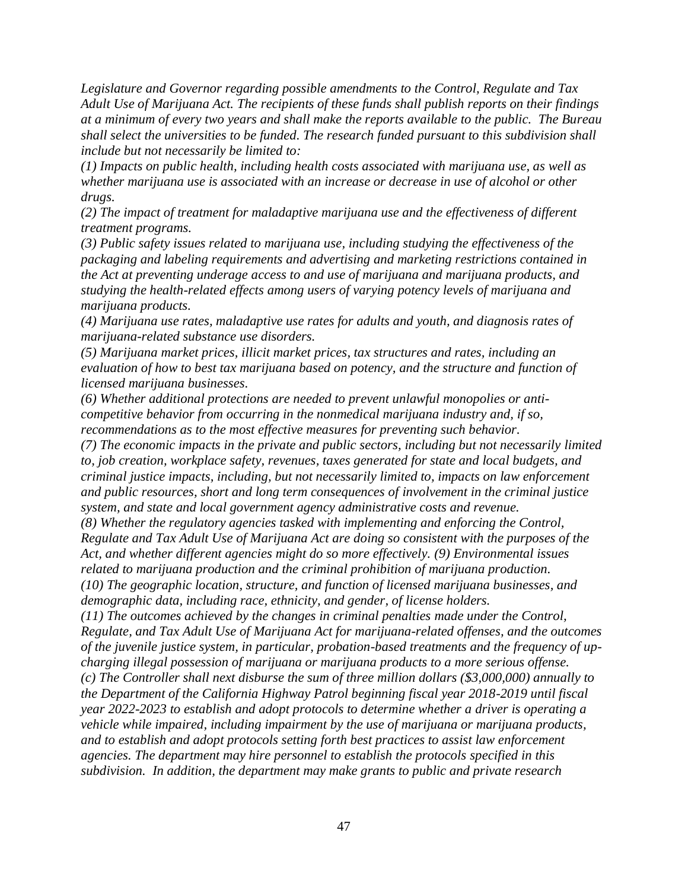*Legislature and Governor regarding possible amendments to the Control, Regulate and Tax Adult Use of Marijuana Act. The recipients of these funds shall publish reports on their findings at a minimum of every two years and shall make the reports available to the public. The Bureau shall select the universities to be funded. The research funded pursuant to this subdivision shall include but not necessarily be limited to:*

*(1) Impacts on public health, including health costs associated with marijuana use, as well as whether marijuana use is associated with an increase or decrease in use of alcohol or other drugs.*

*(2) The impact of treatment for maladaptive marijuana use and the effectiveness of different treatment programs.*

*(3) Public safety issues related to marijuana use, including studying the effectiveness of the packaging and labeling requirements and advertising and marketing restrictions contained in the Act at preventing underage access to and use of marijuana and marijuana products, and studying the health-related effects among users of varying potency levels of marijuana and marijuana products.* 

*(4) Marijuana use rates, maladaptive use rates for adults and youth, and diagnosis rates of marijuana-related substance use disorders.*

*(5) Marijuana market prices, illicit market prices, tax structures and rates, including an evaluation of how to best tax marijuana based on potency, and the structure and function of licensed marijuana businesses.*

*(6) Whether additional protections are needed to prevent unlawful monopolies or anticompetitive behavior from occurring in the nonmedical marijuana industry and, if so, recommendations as to the most effective measures for preventing such behavior.* 

*(7) The economic impacts in the private and public sectors, including but not necessarily limited to, job creation, workplace safety, revenues, taxes generated for state and local budgets, and criminal justice impacts, including, but not necessarily limited to, impacts on law enforcement and public resources, short and long term consequences of involvement in the criminal justice system, and state and local government agency administrative costs and revenue.*

*(8) Whether the regulatory agencies tasked with implementing and enforcing the Control, Regulate and Tax Adult Use of Marijuana Act are doing so consistent with the purposes of the Act, and whether different agencies might do so more effectively. (9) Environmental issues related to marijuana production and the criminal prohibition of marijuana production. (10) The geographic location, structure, and function of licensed marijuana businesses, and demographic data, including race, ethnicity, and gender, of license holders.*

*(11) The outcomes achieved by the changes in criminal penalties made under the Control, Regulate, and Tax Adult Use of Marijuana Act for marijuana-related offenses, and the outcomes of the juvenile justice system, in particular, probation-based treatments and the frequency of upcharging illegal possession of marijuana or marijuana products to a more serious offense. (c) The Controller shall next disburse the sum of three million dollars (\$3,000,000) annually to the Department of the California Highway Patrol beginning fiscal year 2018-2019 until fiscal year 2022-2023 to establish and adopt protocols to determine whether a driver is operating a vehicle while impaired, including impairment by the use of marijuana or marijuana products, and to establish and adopt protocols setting forth best practices to assist law enforcement agencies. The department may hire personnel to establish the protocols specified in this subdivision. In addition, the department may make grants to public and private research*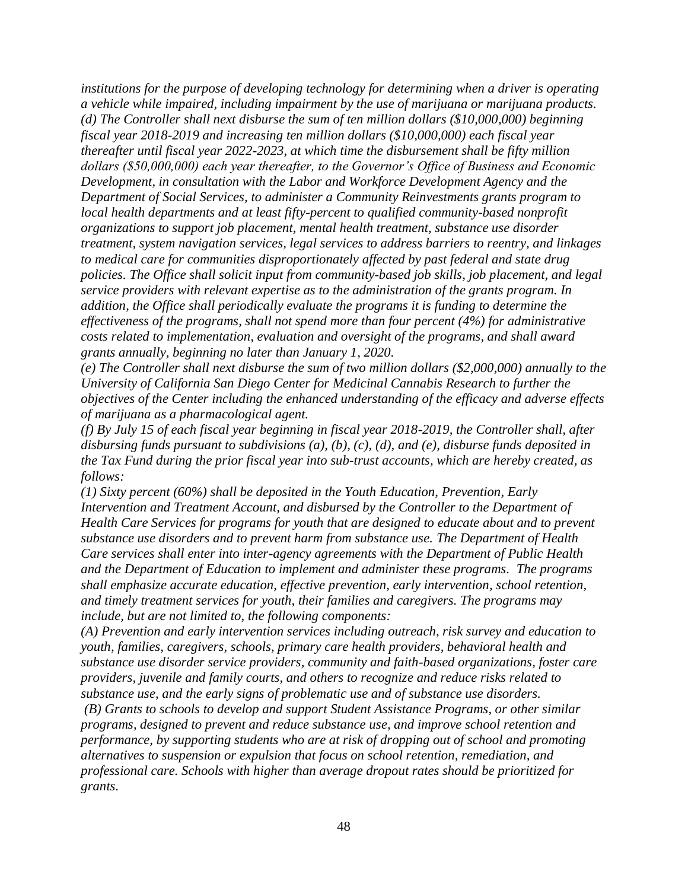*institutions for the purpose of developing technology for determining when a driver is operating a vehicle while impaired, including impairment by the use of marijuana or marijuana products. (d) The Controller shall next disburse the sum of ten million dollars (\$10,000,000) beginning fiscal year 2018-2019 and increasing ten million dollars (\$10,000,000) each fiscal year thereafter until fiscal year 2022-2023, at which time the disbursement shall be fifty million dollars (\$50,000,000) each year thereafter, to the Governor's Office of Business and Economic Development, in consultation with the Labor and Workforce Development Agency and the Department of Social Services, to administer a Community Reinvestments grants program to local health departments and at least fifty-percent to qualified community-based nonprofit organizations to support job placement, mental health treatment, substance use disorder treatment, system navigation services, legal services to address barriers to reentry, and linkages to medical care for communities disproportionately affected by past federal and state drug policies. The Office shall solicit input from community-based job skills, job placement, and legal service providers with relevant expertise as to the administration of the grants program. In addition, the Office shall periodically evaluate the programs it is funding to determine the effectiveness of the programs, shall not spend more than four percent (4%) for administrative costs related to implementation, evaluation and oversight of the programs, and shall award grants annually, beginning no later than January 1, 2020.*

*(e) The Controller shall next disburse the sum of two million dollars (\$2,000,000) annually to the University of California San Diego Center for Medicinal Cannabis Research to further the objectives of the Center including the enhanced understanding of the efficacy and adverse effects of marijuana as a pharmacological agent.*

*(f) By July 15 of each fiscal year beginning in fiscal year 2018-2019, the Controller shall, after disbursing funds pursuant to subdivisions (a), (b), (c), (d), and (e), disburse funds deposited in the Tax Fund during the prior fiscal year into sub-trust accounts, which are hereby created, as follows:* 

*(1) Sixty percent (60%) shall be deposited in the Youth Education, Prevention, Early Intervention and Treatment Account, and disbursed by the Controller to the Department of Health Care Services for programs for youth that are designed to educate about and to prevent substance use disorders and to prevent harm from substance use. The Department of Health Care services shall enter into inter-agency agreements with the Department of Public Health and the Department of Education to implement and administer these programs. The programs shall emphasize accurate education, effective prevention, early intervention, school retention, and timely treatment services for youth, their families and caregivers. The programs may include, but are not limited to, the following components:* 

*(A) Prevention and early intervention services including outreach, risk survey and education to youth, families, caregivers, schools, primary care health providers, behavioral health and substance use disorder service providers, community and faith-based organizations, foster care providers, juvenile and family courts, and others to recognize and reduce risks related to substance use, and the early signs of problematic use and of substance use disorders.*

*(B) Grants to schools to develop and support Student Assistance Programs, or other similar programs, designed to prevent and reduce substance use, and improve school retention and performance, by supporting students who are at risk of dropping out of school and promoting alternatives to suspension or expulsion that focus on school retention, remediation, and professional care. Schools with higher than average dropout rates should be prioritized for grants.*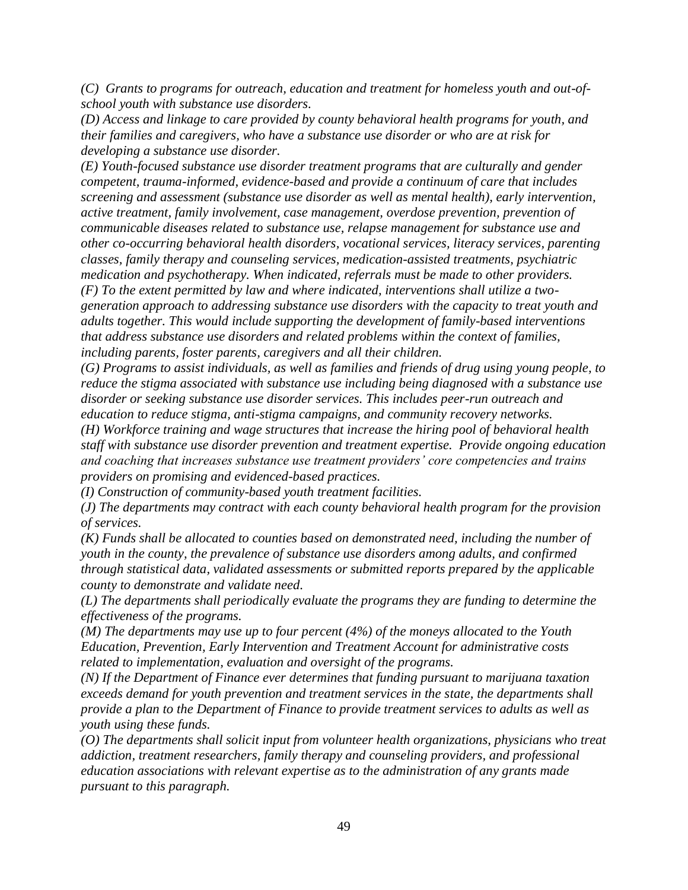*(C) Grants to programs for outreach, education and treatment for homeless youth and out-ofschool youth with substance use disorders.* 

*(D) Access and linkage to care provided by county behavioral health programs for youth, and their families and caregivers, who have a substance use disorder or who are at risk for developing a substance use disorder.* 

*(E) Youth-focused substance use disorder treatment programs that are culturally and gender competent, trauma-informed, evidence-based and provide a continuum of care that includes screening and assessment (substance use disorder as well as mental health), early intervention, active treatment, family involvement, case management, overdose prevention, prevention of communicable diseases related to substance use, relapse management for substance use and other co-occurring behavioral health disorders, vocational services, literacy services, parenting classes, family therapy and counseling services, medication-assisted treatments, psychiatric medication and psychotherapy. When indicated, referrals must be made to other providers. (F) To the extent permitted by law and where indicated, interventions shall utilize a twogeneration approach to addressing substance use disorders with the capacity to treat youth and adults together. This would include supporting the development of family-based interventions that address substance use disorders and related problems within the context of families, including parents, foster parents, caregivers and all their children.* 

*(G) Programs to assist individuals, as well as families and friends of drug using young people, to reduce the stigma associated with substance use including being diagnosed with a substance use disorder or seeking substance use disorder services. This includes peer-run outreach and education to reduce stigma, anti-stigma campaigns, and community recovery networks.*

*(H) Workforce training and wage structures that increase the hiring pool of behavioral health staff with substance use disorder prevention and treatment expertise. Provide ongoing education and coaching that increases substance use treatment providers' core competencies and trains providers on promising and evidenced-based practices.* 

*(I) Construction of community-based youth treatment facilities.*

*(J) The departments may contract with each county behavioral health program for the provision of services.*

*(K) Funds shall be allocated to counties based on demonstrated need, including the number of youth in the county, the prevalence of substance use disorders among adults, and confirmed through statistical data, validated assessments or submitted reports prepared by the applicable county to demonstrate and validate need.*

*(L) The departments shall periodically evaluate the programs they are funding to determine the effectiveness of the programs.*

*(M) The departments may use up to four percent (4%) of the moneys allocated to the Youth Education, Prevention, Early Intervention and Treatment Account for administrative costs related to implementation, evaluation and oversight of the programs.*

*(N) If the Department of Finance ever determines that funding pursuant to marijuana taxation exceeds demand for youth prevention and treatment services in the state, the departments shall provide a plan to the Department of Finance to provide treatment services to adults as well as youth using these funds.*

*(O) The departments shall solicit input from volunteer health organizations, physicians who treat addiction, treatment researchers, family therapy and counseling providers, and professional education associations with relevant expertise as to the administration of any grants made pursuant to this paragraph.*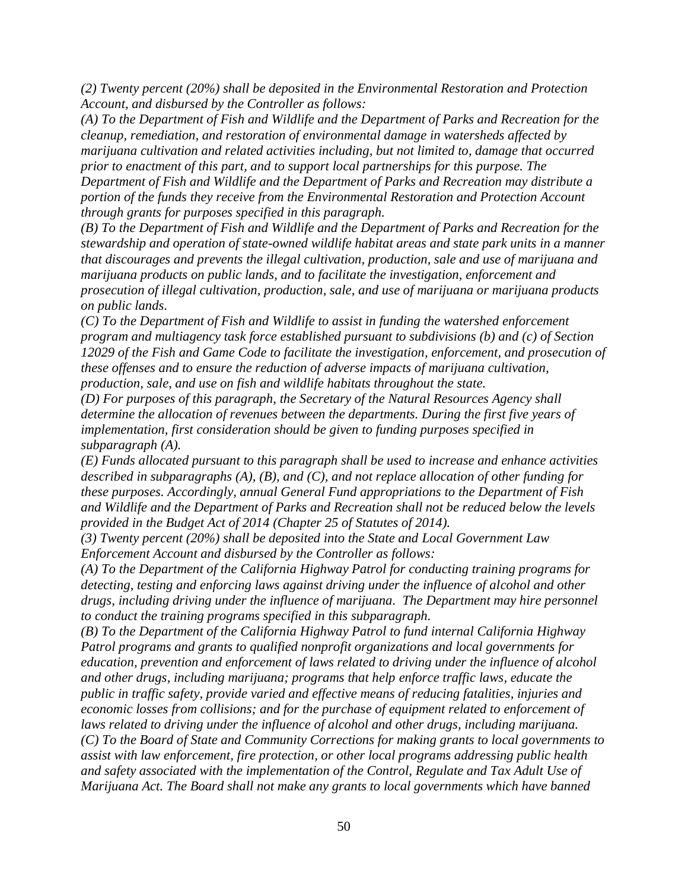*(2) Twenty percent (20%) shall be deposited in the Environmental Restoration and Protection Account, and disbursed by the Controller as follows:* 

*(A) To the Department of Fish and Wildlife and the Department of Parks and Recreation for the cleanup, remediation, and restoration of environmental damage in watersheds affected by marijuana cultivation and related activities including, but not limited to, damage that occurred prior to enactment of this part, and to support local partnerships for this purpose. The Department of Fish and Wildlife and the Department of Parks and Recreation may distribute a portion of the funds they receive from the Environmental Restoration and Protection Account through grants for purposes specified in this paragraph.* 

*(B) To the Department of Fish and Wildlife and the Department of Parks and Recreation for the stewardship and operation of state-owned wildlife habitat areas and state park units in a manner that discourages and prevents the illegal cultivation, production, sale and use of marijuana and marijuana products on public lands, and to facilitate the investigation, enforcement and prosecution of illegal cultivation, production, sale, and use of marijuana or marijuana products on public lands.*

*(C) To the Department of Fish and Wildlife to assist in funding the watershed enforcement program and multiagency task force established pursuant to subdivisions (b) and (c) of Section 12029 of the Fish and Game Code to facilitate the investigation, enforcement, and prosecution of these offenses and to ensure the reduction of adverse impacts of marijuana cultivation, production, sale, and use on fish and wildlife habitats throughout the state.*

*(D) For purposes of this paragraph, the Secretary of the Natural Resources Agency shall determine the allocation of revenues between the departments. During the first five years of implementation, first consideration should be given to funding purposes specified in subparagraph (A).*

*(E) Funds allocated pursuant to this paragraph shall be used to increase and enhance activities described in subparagraphs (A), (B), and (C), and not replace allocation of other funding for these purposes. Accordingly, annual General Fund appropriations to the Department of Fish and Wildlife and the Department of Parks and Recreation shall not be reduced below the levels provided in the Budget Act of 2014 (Chapter 25 of Statutes of 2014).*

*(3) Twenty percent (20%) shall be deposited into the State and Local Government Law Enforcement Account and disbursed by the Controller as follows:*

*(A) To the Department of the California Highway Patrol for conducting training programs for detecting, testing and enforcing laws against driving under the influence of alcohol and other drugs, including driving under the influence of marijuana. The Department may hire personnel to conduct the training programs specified in this subparagraph.*

*(B) To the Department of the California Highway Patrol to fund internal California Highway Patrol programs and grants to qualified nonprofit organizations and local governments for education, prevention and enforcement of laws related to driving under the influence of alcohol and other drugs, including marijuana; programs that help enforce traffic laws, educate the public in traffic safety, provide varied and effective means of reducing fatalities, injuries and economic losses from collisions; and for the purchase of equipment related to enforcement of laws related to driving under the influence of alcohol and other drugs, including marijuana. (C) To the Board of State and Community Corrections for making grants to local governments to assist with law enforcement, fire protection, or other local programs addressing public health and safety associated with the implementation of the Control, Regulate and Tax Adult Use of Marijuana Act. The Board shall not make any grants to local governments which have banned*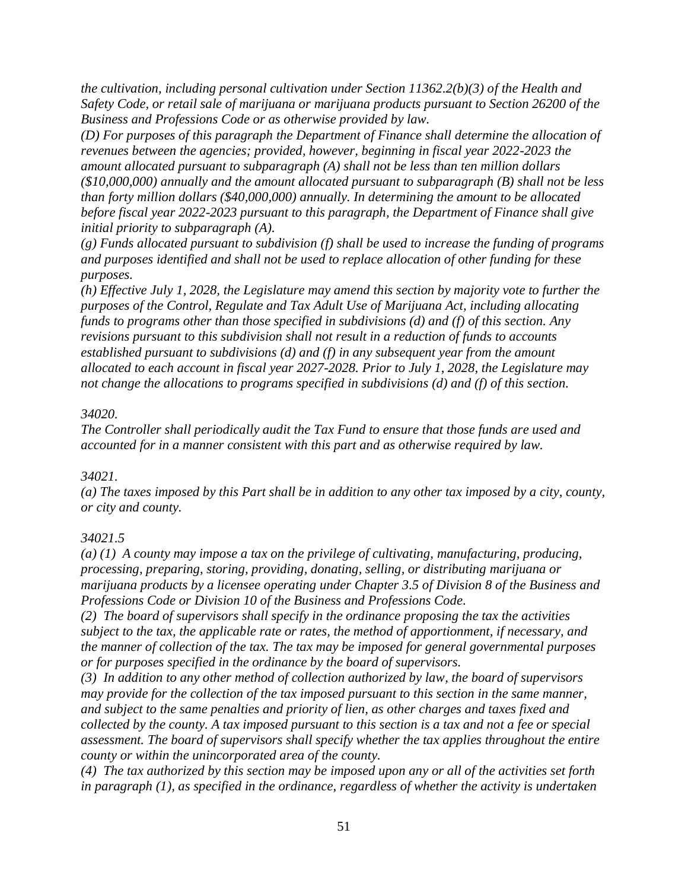*the cultivation, including personal cultivation under Section 11362.2(b)(3) of the Health and Safety Code, or retail sale of marijuana or marijuana products pursuant to Section 26200 of the Business and Professions Code or as otherwise provided by law.* 

*(D) For purposes of this paragraph the Department of Finance shall determine the allocation of revenues between the agencies; provided, however, beginning in fiscal year 2022-2023 the amount allocated pursuant to subparagraph (A) shall not be less than ten million dollars (\$10,000,000) annually and the amount allocated pursuant to subparagraph (B) shall not be less than forty million dollars (\$40,000,000) annually. In determining the amount to be allocated before fiscal year 2022-2023 pursuant to this paragraph, the Department of Finance shall give initial priority to subparagraph (A).*

*(g) Funds allocated pursuant to subdivision (f) shall be used to increase the funding of programs and purposes identified and shall not be used to replace allocation of other funding for these purposes.* 

*(h) Effective July 1, 2028, the Legislature may amend this section by majority vote to further the purposes of the Control, Regulate and Tax Adult Use of Marijuana Act, including allocating funds to programs other than those specified in subdivisions (d) and (f) of this section. Any revisions pursuant to this subdivision shall not result in a reduction of funds to accounts established pursuant to subdivisions (d) and (f) in any subsequent year from the amount allocated to each account in fiscal year 2027-2028. Prior to July 1, 2028, the Legislature may not change the allocations to programs specified in subdivisions (d) and (f) of this section.*

### *34020.*

*The Controller shall periodically audit the Tax Fund to ensure that those funds are used and accounted for in a manner consistent with this part and as otherwise required by law.*

## *34021.*

*(a) The taxes imposed by this Part shall be in addition to any other tax imposed by a city, county, or city and county.* 

## *34021.5*

*(a) (1) A county may impose a tax on the privilege of cultivating, manufacturing, producing, processing, preparing, storing, providing, donating, selling, or distributing marijuana or marijuana products by a licensee operating under Chapter 3.5 of Division 8 of the Business and Professions Code or Division 10 of the Business and Professions Code.*

*(2) The board of supervisors shall specify in the ordinance proposing the tax the activities subject to the tax, the applicable rate or rates, the method of apportionment, if necessary, and the manner of collection of the tax. The tax may be imposed for general governmental purposes or for purposes specified in the ordinance by the board of supervisors.*

*(3) In addition to any other method of collection authorized by law, the board of supervisors may provide for the collection of the tax imposed pursuant to this section in the same manner, and subject to the same penalties and priority of lien, as other charges and taxes fixed and collected by the county. A tax imposed pursuant to this section is a tax and not a fee or special assessment. The board of supervisors shall specify whether the tax applies throughout the entire county or within the unincorporated area of the county.*

*(4) The tax authorized by this section may be imposed upon any or all of the activities set forth in paragraph (1), as specified in the ordinance, regardless of whether the activity is undertaken*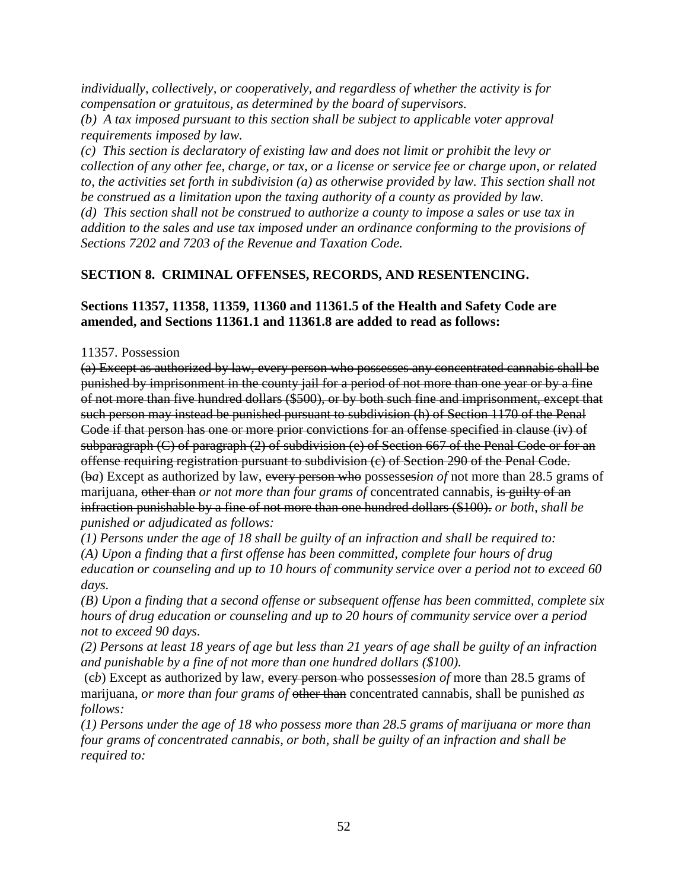*individually, collectively, or cooperatively, and regardless of whether the activity is for compensation or gratuitous, as determined by the board of supervisors.*

*(b) A tax imposed pursuant to this section shall be subject to applicable voter approval requirements imposed by law.*

*(c) This section is declaratory of existing law and does not limit or prohibit the levy or collection of any other fee, charge, or tax, or a license or service fee or charge upon, or related to, the activities set forth in subdivision (a) as otherwise provided by law. This section shall not be construed as a limitation upon the taxing authority of a county as provided by law.*

*(d) This section shall not be construed to authorize a county to impose a sales or use tax in addition to the sales and use tax imposed under an ordinance conforming to the provisions of Sections 7202 and 7203 of the Revenue and Taxation Code.*

## **SECTION 8. CRIMINAL OFFENSES, RECORDS, AND RESENTENCING.**

## **Sections 11357, 11358, 11359, 11360 and 11361.5 of the Health and Safety Code are amended, and Sections 11361.1 and 11361.8 are added to read as follows:**

11357. Possession

(a) Except as authorized by law, every person who possesses any concentrated cannabis shall be punished by imprisonment in the county jail for a period of not more than one year or by a fine of not more than five hundred dollars (\$500), or by both such fine and imprisonment, except that such person may instead be punished pursuant to subdivision (h) of Section 1170 of the Penal Code if that person has one or more prior convictions for an offense specified in clause (iv) of subparagraph (C) of paragraph (2) of subdivision (e) of Section 667 of the Penal Code or for an offense requiring registration pursuant to subdivision (c) of Section 290 of the Penal Code. (b*a*) Except as authorized by law, every person who possesses*ion of* not more than 28.5 grams of marijuana, other than *or not more than four grams of* concentrated cannabis, is guilty of an infraction punishable by a fine of not more than one hundred dollars (\$100). *or both*, *shall be punished or adjudicated as follows:* 

*(1) Persons under the age of 18 shall be guilty of an infraction and shall be required to: (A) Upon a finding that a first offense has been committed, complete four hours of drug education or counseling and up to 10 hours of community service over a period not to exceed 60 days.* 

*(B) Upon a finding that a second offense or subsequent offense has been committed, complete six hours of drug education or counseling and up to 20 hours of community service over a period not to exceed 90 days.* 

*(2) Persons at least 18 years of age but less than 21 years of age shall be guilty of an infraction and punishable by a fine of not more than one hundred dollars (\$100).*

(c*b*) Except as authorized by law, every person who possesses*ion of* more than 28.5 grams of marijuana, *or more than four grams of* other than concentrated cannabis, shall be punished *as follows:* 

*(1) Persons under the age of 18 who possess more than 28.5 grams of marijuana or more than four grams of concentrated cannabis, or both, shall be guilty of an infraction and shall be required to:*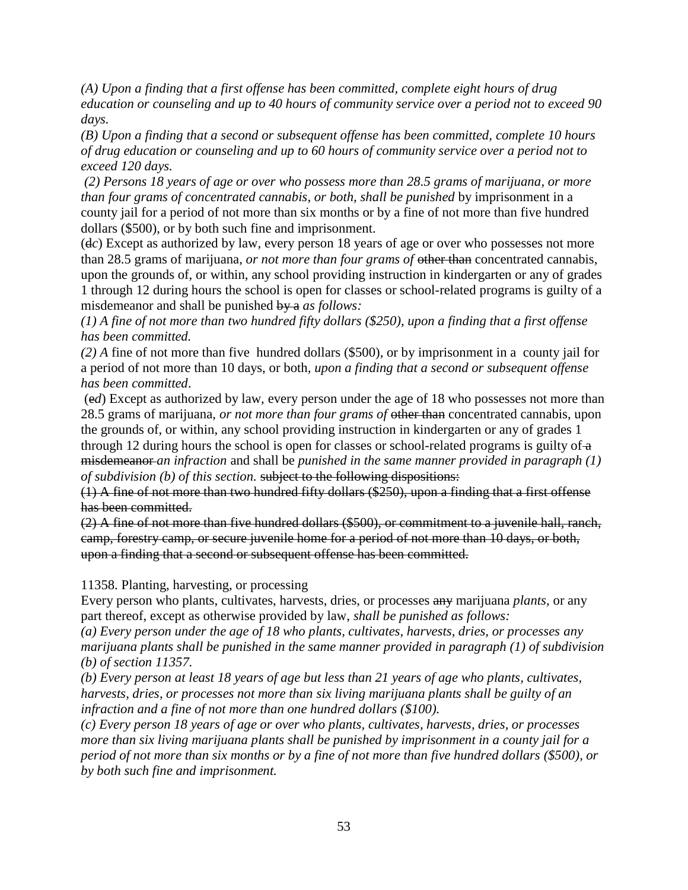*(A) Upon a finding that a first offense has been committed, complete eight hours of drug education or counseling and up to 40 hours of community service over a period not to exceed 90 days.* 

*(B) Upon a finding that a second or subsequent offense has been committed, complete 10 hours of drug education or counseling and up to 60 hours of community service over a period not to exceed 120 days.* 

*(2) Persons 18 years of age or over who possess more than 28.5 grams of marijuana, or more than four grams of concentrated cannabis, or both, shall be punished* by imprisonment in a county jail for a period of not more than six months or by a fine of not more than five hundred dollars (\$500), or by both such fine and imprisonment.

(d*c*) Except as authorized by law, every person 18 years of age or over who possesses not more than 28.5 grams of marijuana, *or not more than four grams of* other than concentrated cannabis, upon the grounds of, or within, any school providing instruction in kindergarten or any of grades 1 through 12 during hours the school is open for classes or school-related programs is guilty of a misdemeanor and shall be punished by a *as follows:* 

*(1) A fine of not more than two hundred fifty dollars (\$250), upon a finding that a first offense has been committed.*

*(2) A* fine of not more than five hundred dollars (\$500), or by imprisonment in a county jail for a period of not more than 10 days, or both*, upon a finding that a second or subsequent offense has been committed*.

(e*d*) Except as authorized by law, every person under the age of 18 who possesses not more than 28.5 grams of marijuana, *or not more than four grams of* other than concentrated cannabis, upon the grounds of, or within, any school providing instruction in kindergarten or any of grades 1 through 12 during hours the school is open for classes or school-related programs is guilty of  $\frac{a}{a}$ misdemeanor *an infraction* and shall be *punished in the same manner provided in paragraph (1) of subdivision (b) of this section.* subject to the following dispositions:

(1) A fine of not more than two hundred fifty dollars (\$250), upon a finding that a first offense has been committed.

(2) A fine of not more than five hundred dollars (\$500), or commitment to a juvenile hall, ranch, camp, forestry camp, or secure juvenile home for a period of not more than 10 days, or both, upon a finding that a second or subsequent offense has been committed.

11358. Planting, harvesting, or processing

Every person who plants, cultivates, harvests, dries, or processes any marijuana *plants,* or any part thereof, except as otherwise provided by law, *shall be punished as follows:* 

*(a) Every person under the age of 18 who plants, cultivates, harvests, dries, or processes any marijuana plants shall be punished in the same manner provided in paragraph (1) of subdivision (b) of section 11357.* 

*(b) Every person at least 18 years of age but less than 21 years of age who plants, cultivates, harvests, dries, or processes not more than six living marijuana plants shall be guilty of an infraction and a fine of not more than one hundred dollars (\$100).* 

*(c) Every person 18 years of age or over who plants, cultivates, harvests, dries, or processes more than six living marijuana plants shall be punished by imprisonment in a county jail for a period of not more than six months or by a fine of not more than five hundred dollars (\$500), or by both such fine and imprisonment.*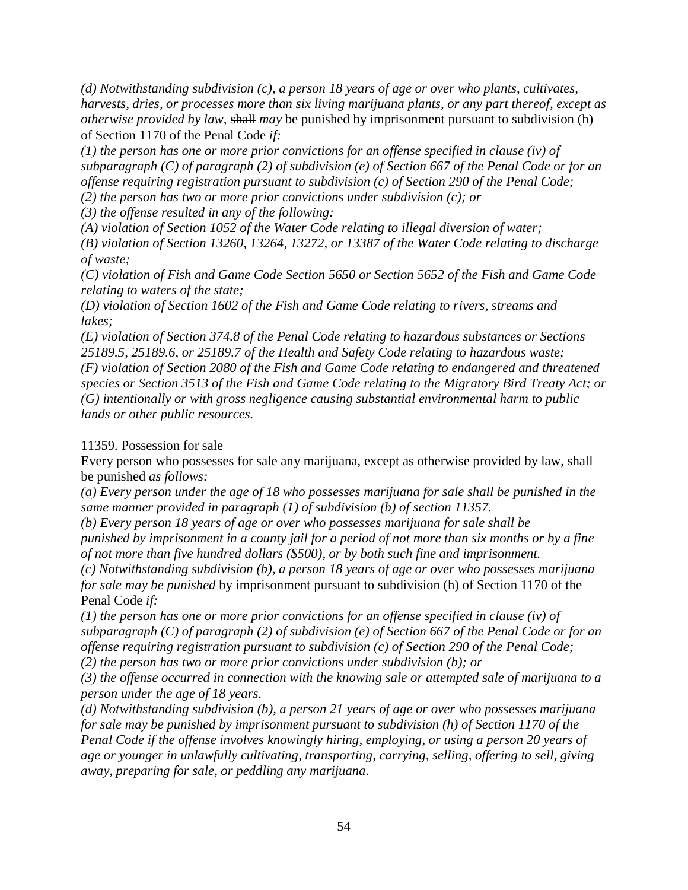*(d) Notwithstanding subdivision (c), a person 18 years of age or over who plants, cultivates, harvests, dries, or processes more than six living marijuana plants, or any part thereof, except as otherwise provided by law,* shall *may* be punished by imprisonment pursuant to subdivision (h) of Section 1170 of the Penal Code *if:*

*(1) the person has one or more prior convictions for an offense specified in clause (iv) of subparagraph (C) of paragraph (2) of subdivision (e) of Section 667 of the Penal Code or for an offense requiring registration pursuant to subdivision (c) of Section 290 of the Penal Code;*

*(2) the person has two or more prior convictions under subdivision (c); or* 

*(3) the offense resulted in any of the following:*

*(A) violation of Section 1052 of the Water Code relating to illegal diversion of water;*

*(B) violation of Section 13260, 13264, 13272, or 13387 of the Water Code relating to discharge of waste;*

*(C) violation of Fish and Game Code Section 5650 or Section 5652 of the Fish and Game Code relating to waters of the state;*

*(D) violation of Section 1602 of the Fish and Game Code relating to rivers, streams and lakes;* 

*(E) violation of Section 374.8 of the Penal Code relating to hazardous substances or Sections 25189.5, 25189.6, or 25189.7 of the Health and Safety Code relating to hazardous waste; (F) violation of Section 2080 of the Fish and Game Code relating to endangered and threatened species or Section 3513 of the Fish and Game Code relating to the Migratory Bird Treaty Act; or (G) intentionally or with gross negligence causing substantial environmental harm to public lands or other public resources.*

#### 11359. Possession for sale

Every person who possesses for sale any marijuana, except as otherwise provided by law, shall be punished *as follows:*

*(a) Every person under the age of 18 who possesses marijuana for sale shall be punished in the same manner provided in paragraph (1) of subdivision (b) of section 11357.* 

*(b) Every person 18 years of age or over who possesses marijuana for sale shall be punished by imprisonment in a county jail for a period of not more than six months or by a fine of not more than five hundred dollars (\$500), or by both such fine and imprisonment.*

*(c) Notwithstanding subdivision (b), a person 18 years of age or over who possesses marijuana for sale may be punished* by imprisonment pursuant to subdivision (h) of Section 1170 of the Penal Code *if:*

*(1) the person has one or more prior convictions for an offense specified in clause (iv) of subparagraph (C) of paragraph (2) of subdivision (e) of Section 667 of the Penal Code or for an offense requiring registration pursuant to subdivision (c) of Section 290 of the Penal Code; (2) the person has two or more prior convictions under subdivision (b); or*

*(3) the offense occurred in connection with the knowing sale or attempted sale of marijuana to a person under the age of 18 years.* 

*(d) Notwithstanding subdivision (b), a person 21 years of age or over who possesses marijuana for sale may be punished by imprisonment pursuant to subdivision (h) of Section 1170 of the Penal Code if the offense involves knowingly hiring, employing, or using a person 20 years of age or younger in unlawfully cultivating, transporting, carrying, selling, offering to sell, giving away, preparing for sale, or peddling any marijuana*.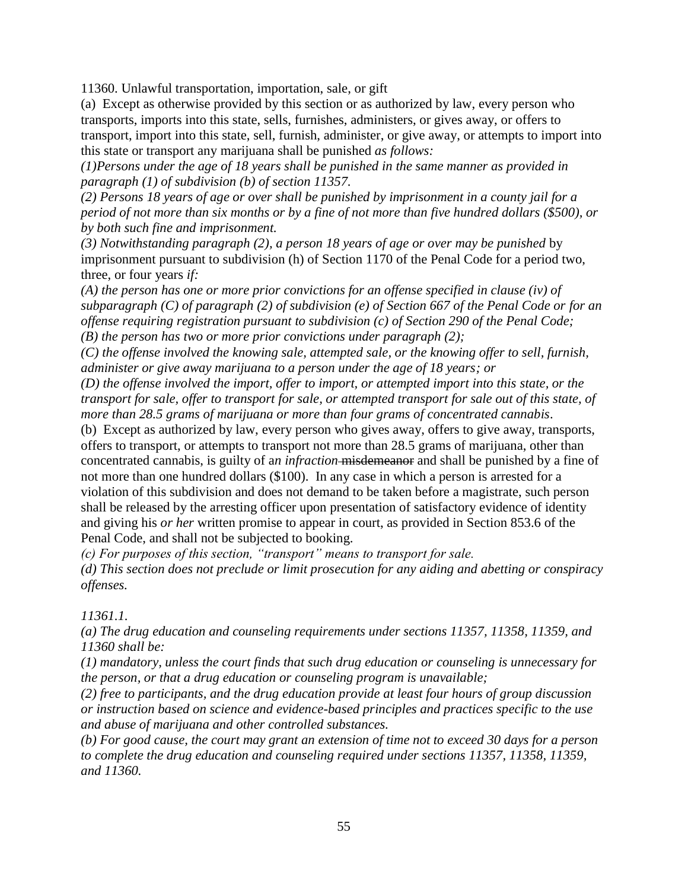11360. Unlawful transportation, importation, sale, or gift

(a) Except as otherwise provided by this section or as authorized by law, every person who transports, imports into this state, sells, furnishes, administers, or gives away, or offers to transport, import into this state, sell, furnish, administer, or give away, or attempts to import into this state or transport any marijuana shall be punished *as follows:*

*(1)Persons under the age of 18 years shall be punished in the same manner as provided in paragraph (1) of subdivision (b) of section 11357.* 

*(2) Persons 18 years of age or over shall be punished by imprisonment in a county jail for a period of not more than six months or by a fine of not more than five hundred dollars (\$500), or by both such fine and imprisonment.*

*(3) Notwithstanding paragraph (2), a person 18 years of age or over may be punished* by imprisonment pursuant to subdivision (h) of Section 1170 of the Penal Code for a period two, three, or four years *if:*

*(A) the person has one or more prior convictions for an offense specified in clause (iv) of subparagraph (C) of paragraph (2) of subdivision (e) of Section 667 of the Penal Code or for an offense requiring registration pursuant to subdivision (c) of Section 290 of the Penal Code; (B) the person has two or more prior convictions under paragraph (2);* 

*(C) the offense involved the knowing sale, attempted sale, or the knowing offer to sell, furnish, administer or give away marijuana to a person under the age of 18 years; or* 

*(D) the offense involved the import, offer to import, or attempted import into this state, or the transport for sale, offer to transport for sale, or attempted transport for sale out of this state, of more than 28.5 grams of marijuana or more than four grams of concentrated cannabis*.

(b) Except as authorized by law, every person who gives away, offers to give away, transports, offers to transport, or attempts to transport not more than 28.5 grams of marijuana, other than concentrated cannabis, is guilty of a*n infraction* misdemeanor and shall be punished by a fine of not more than one hundred dollars (\$100). In any case in which a person is arrested for a violation of this subdivision and does not demand to be taken before a magistrate, such person shall be released by the arresting officer upon presentation of satisfactory evidence of identity and giving his *or her* written promise to appear in court, as provided in Section 853.6 of the Penal Code, and shall not be subjected to booking.

*(c) For purposes of this section, "transport" means to transport for sale.*

*(d) This section does not preclude or limit prosecution for any aiding and abetting or conspiracy offenses.*

*11361.1.*

*(a) The drug education and counseling requirements under sections 11357, 11358, 11359, and 11360 shall be:*

*(1) mandatory, unless the court finds that such drug education or counseling is unnecessary for the person, or that a drug education or counseling program is unavailable;* 

*(2) free to participants, and the drug education provide at least four hours of group discussion or instruction based on science and evidence-based principles and practices specific to the use and abuse of marijuana and other controlled substances.*

*(b) For good cause, the court may grant an extension of time not to exceed 30 days for a person to complete the drug education and counseling required under sections 11357, 11358, 11359, and 11360.*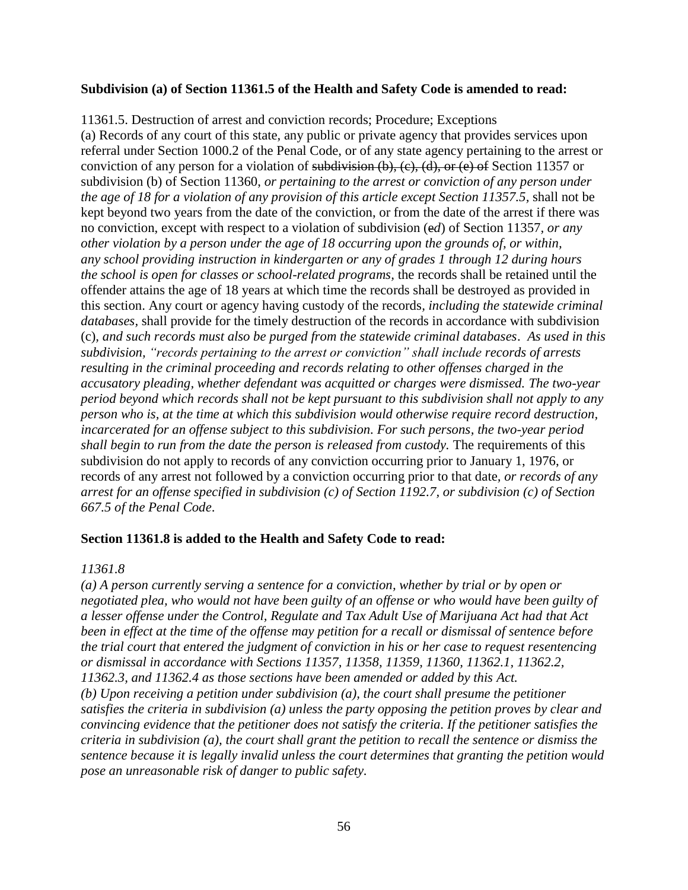#### **Subdivision (a) of Section 11361.5 of the Health and Safety Code is amended to read:**

11361.5. Destruction of arrest and conviction records; Procedure; Exceptions (a) Records of any court of this state, any public or private agency that provides services upon referral under Section 1000.2 of the Penal Code, or of any state agency pertaining to the arrest or conviction of any person for a violation of subdivision (b), (c), (d), or (e) of Section 11357 or subdivision (b) of Section 11360, *or pertaining to the arrest or conviction of any person under the age of 18 for a violation of any provision of this article except Section 11357.5,* shall not be kept beyond two years from the date of the conviction, or from the date of the arrest if there was no conviction, except with respect to a violation of subdivision (e*d*) of Section 11357*, or any other violation by a person under the age of 18 occurring upon the grounds of, or within, any school providing instruction in kindergarten or any of grades 1 through 12 during hours the school is open for classes or school-related programs,* the records shall be retained until the offender attains the age of 18 years at which time the records shall be destroyed as provided in this section. Any court or agency having custody of the records*, including the statewide criminal databases*, shall provide for the timely destruction of the records in accordance with subdivision (c)*, and such records must also be purged from the statewide criminal databases*. *As used in this subdivision, "records pertaining to the arrest or conviction" shall include records of arrests resulting in the criminal proceeding and records relating to other offenses charged in the accusatory pleading, whether defendant was acquitted or charges were dismissed. The two-year period beyond which records shall not be kept pursuant to this subdivision shall not apply to any person who is, at the time at which this subdivision would otherwise require record destruction, incarcerated for an offense subject to this subdivision. For such persons, the two-year period shall begin to run from the date the person is released from custody.* The requirements of this subdivision do not apply to records of any conviction occurring prior to January 1, 1976, or records of any arrest not followed by a conviction occurring prior to that date*, or records of any arrest for an offense specified in subdivision (c) of Section 1192.7, or subdivision (c) of Section 667.5 of the Penal Code*.

#### **Section 11361.8 is added to the Health and Safety Code to read:**

#### *11361.8*

*(a) A person currently serving a sentence for a conviction, whether by trial or by open or negotiated plea, who would not have been guilty of an offense or who would have been guilty of a lesser offense under the Control, Regulate and Tax Adult Use of Marijuana Act had that Act been in effect at the time of the offense may petition for a recall or dismissal of sentence before the trial court that entered the judgment of conviction in his or her case to request resentencing or dismissal in accordance with Sections 11357, 11358, 11359, 11360, 11362.1, 11362.2, 11362.3, and 11362.4 as those sections have been amended or added by this Act. (b) Upon receiving a petition under subdivision (a), the court shall presume the petitioner satisfies the criteria in subdivision (a) unless the party opposing the petition proves by clear and convincing evidence that the petitioner does not satisfy the criteria. If the petitioner satisfies the criteria in subdivision (a), the court shall grant the petition to recall the sentence or dismiss the sentence because it is legally invalid unless the court determines that granting the petition would pose an unreasonable risk of danger to public safety.*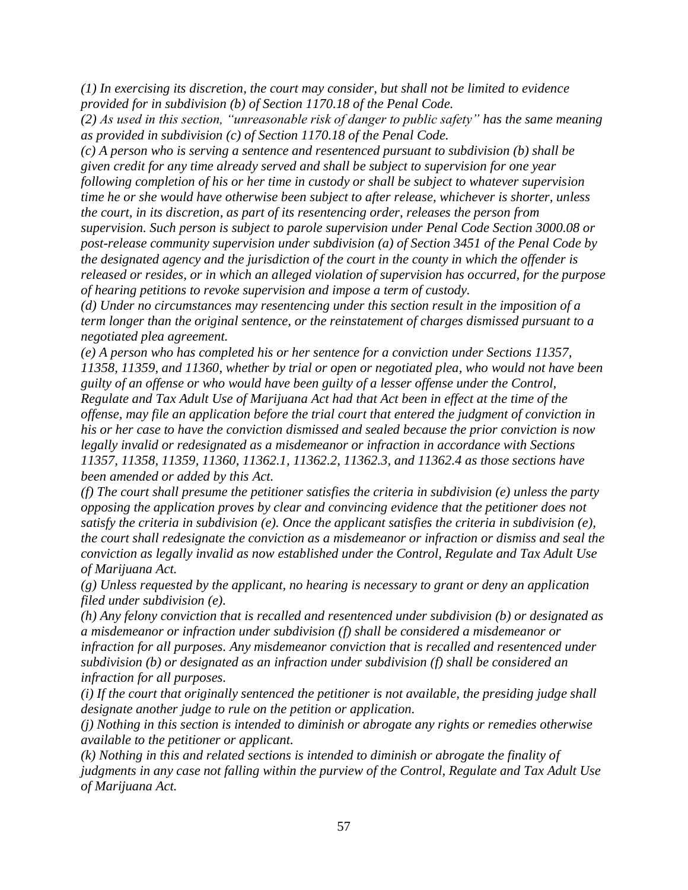*(1) In exercising its discretion, the court may consider, but shall not be limited to evidence provided for in subdivision (b) of Section 1170.18 of the Penal Code.*

*(2) As used in this section, "unreasonable risk of danger to public safety" has the same meaning as provided in subdivision (c) of Section 1170.18 of the Penal Code.* 

*(c) A person who is serving a sentence and resentenced pursuant to subdivision (b) shall be given credit for any time already served and shall be subject to supervision for one year following completion of his or her time in custody or shall be subject to whatever supervision time he or she would have otherwise been subject to after release, whichever is shorter, unless the court, in its discretion, as part of its resentencing order, releases the person from* 

*supervision. Such person is subject to parole supervision under Penal Code Section 3000.08 or post-release community supervision under subdivision (a) of Section 3451 of the Penal Code by the designated agency and the jurisdiction of the court in the county in which the offender is released or resides, or in which an alleged violation of supervision has occurred, for the purpose of hearing petitions to revoke supervision and impose a term of custody.*

*(d) Under no circumstances may resentencing under this section result in the imposition of a term longer than the original sentence, or the reinstatement of charges dismissed pursuant to a negotiated plea agreement.*

*(e) A person who has completed his or her sentence for a conviction under Sections 11357, 11358, 11359, and 11360, whether by trial or open or negotiated plea, who would not have been guilty of an offense or who would have been guilty of a lesser offense under the Control, Regulate and Tax Adult Use of Marijuana Act had that Act been in effect at the time of the offense, may file an application before the trial court that entered the judgment of conviction in his or her case to have the conviction dismissed and sealed because the prior conviction is now legally invalid or redesignated as a misdemeanor or infraction in accordance with Sections 11357, 11358, 11359, 11360, 11362.1, 11362.2, 11362.3, and 11362.4 as those sections have been amended or added by this Act.*

*(f) The court shall presume the petitioner satisfies the criteria in subdivision (e) unless the party opposing the application proves by clear and convincing evidence that the petitioner does not satisfy the criteria in subdivision (e). Once the applicant satisfies the criteria in subdivision (e), the court shall redesignate the conviction as a misdemeanor or infraction or dismiss and seal the conviction as legally invalid as now established under the Control, Regulate and Tax Adult Use of Marijuana Act.*

*(g) Unless requested by the applicant, no hearing is necessary to grant or deny an application filed under subdivision (e).* 

*(h) Any felony conviction that is recalled and resentenced under subdivision (b) or designated as a misdemeanor or infraction under subdivision (f) shall be considered a misdemeanor or infraction for all purposes. Any misdemeanor conviction that is recalled and resentenced under subdivision (b) or designated as an infraction under subdivision (f) shall be considered an infraction for all purposes.* 

*(i) If the court that originally sentenced the petitioner is not available, the presiding judge shall designate another judge to rule on the petition or application.*

*(j) Nothing in this section is intended to diminish or abrogate any rights or remedies otherwise available to the petitioner or applicant.*

*(k) Nothing in this and related sections is intended to diminish or abrogate the finality of judgments in any case not falling within the purview of the Control, Regulate and Tax Adult Use of Marijuana Act.*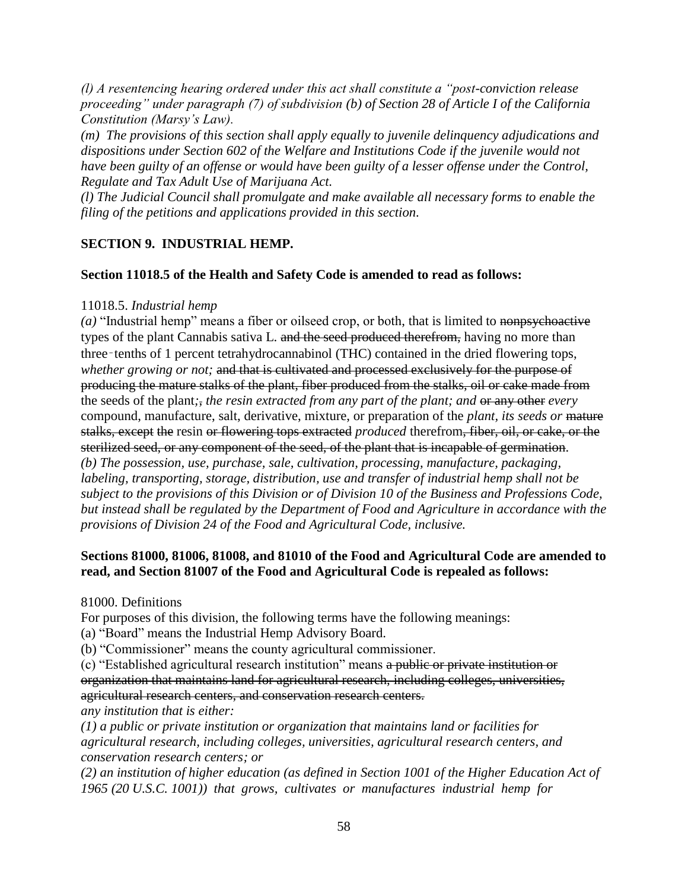*(l) A resentencing hearing ordered under this act shall constitute a "post-conviction release proceeding" under paragraph (7) of subdivision (b) of Section 28 of Article I of the California Constitution (Marsy's Law).*

*(m) The provisions of this section shall apply equally to juvenile delinquency adjudications and dispositions under Section 602 of the Welfare and Institutions Code if the juvenile would not have been guilty of an offense or would have been guilty of a lesser offense under the Control, Regulate and Tax Adult Use of Marijuana Act.*

*(l) The Judicial Council shall promulgate and make available all necessary forms to enable the filing of the petitions and applications provided in this section.*

## **SECTION 9. INDUSTRIAL HEMP.**

## **Section 11018.5 of the Health and Safety Code is amended to read as follows:**

### 11018.5. *Industrial hemp*

*(a)* "Industrial hemp" means a fiber or oilseed crop, or both, that is limited to nonpsychoactive types of the plant Cannabis sativa L. and the seed produced therefrom, having no more than three–tenths of 1 percent tetrahydrocannabinol (THC) contained in the dried flowering tops, *whether growing or not;* and that is cultivated and processed exclusively for the purpose of producing the mature stalks of the plant, fiber produced from the stalks, oil or cake made from the seeds of the plant;; *the resin extracted from any part of the plant; and* or any other *every* compound, manufacture, salt, derivative, mixture, or preparation of the *plant, its seeds or* mature stalks, except the resin or flowering tops extracted *produced* therefrom, fiber, oil, or cake, or the sterilized seed, or any component of the seed, of the plant that is incapable of germination. *(b) The possession, use, purchase, sale, cultivation, processing, manufacture, packaging, labeling, transporting, storage, distribution, use and transfer of industrial hemp shall not be subject to the provisions of this Division or of Division 10 of the Business and Professions Code, but instead shall be regulated by the Department of Food and Agriculture in accordance with the provisions of Division 24 of the Food and Agricultural Code, inclusive.*

### **Sections 81000, 81006, 81008, and 81010 of the Food and Agricultural Code are amended to read, and Section 81007 of the Food and Agricultural Code is repealed as follows:**

## 81000. Definitions

For purposes of this division, the following terms have the following meanings:

(a) "Board" means the Industrial Hemp Advisory Board.

(b) "Commissioner" means the county agricultural commissioner.

(c) "Established agricultural research institution" means a public or private institution or organization that maintains land for agricultural research, including colleges, universities, agricultural research centers, and conservation research centers.

*any institution that is either:*

*(1) a public or private institution or organization that maintains land or facilities for agricultural research, including colleges, universities, agricultural research centers, and conservation research centers; or*

*(2) an institution of higher education (as defined in Section 1001 of the Higher Education Act of 1965 (20 U.S.C. 1001)) that grows, cultivates or manufactures industrial hemp for*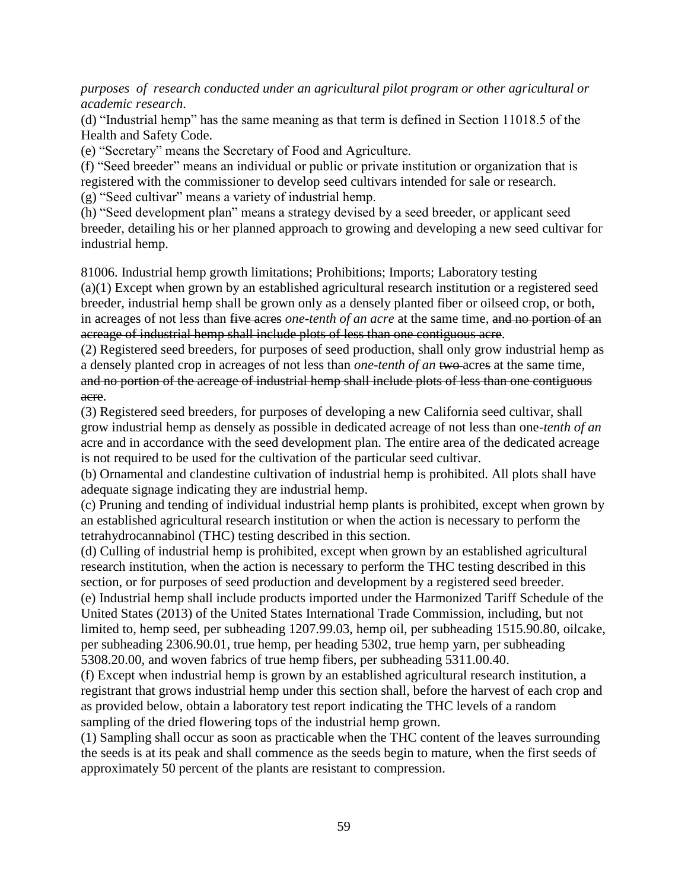*purposes of research conducted under an agricultural pilot program or other agricultural or academic research.*

(d) "Industrial hemp" has the same meaning as that term is defined in Section 11018.5 of the Health and Safety Code.

(e) "Secretary" means the Secretary of Food and Agriculture.

(f) "Seed breeder" means an individual or public or private institution or organization that is registered with the commissioner to develop seed cultivars intended for sale or research. (g) "Seed cultivar" means a variety of industrial hemp.

(h) "Seed development plan" means a strategy devised by a seed breeder, or applicant seed breeder, detailing his or her planned approach to growing and developing a new seed cultivar for industrial hemp.

81006. Industrial hemp growth limitations; Prohibitions; Imports; Laboratory testing

(a)(1) Except when grown by an established agricultural research institution or a registered seed breeder, industrial hemp shall be grown only as a densely planted fiber or oilseed crop, or both, in acreages of not less than five acres *one-tenth of an acre* at the same time, and no portion of an acreage of industrial hemp shall include plots of less than one contiguous acre.

(2) Registered seed breeders, for purposes of seed production, shall only grow industrial hemp as a densely planted crop in acreages of not less than *one-tenth of an* two acres at the same time, and no portion of the acreage of industrial hemp shall include plots of less than one contiguous acre.

(3) Registered seed breeders, for purposes of developing a new California seed cultivar, shall grow industrial hemp as densely as possible in dedicated acreage of not less than one*-tenth of an* acre and in accordance with the seed development plan. The entire area of the dedicated acreage is not required to be used for the cultivation of the particular seed cultivar.

(b) Ornamental and clandestine cultivation of industrial hemp is prohibited. All plots shall have adequate signage indicating they are industrial hemp.

(c) Pruning and tending of individual industrial hemp plants is prohibited, except when grown by an established agricultural research institution or when the action is necessary to perform the tetrahydrocannabinol (THC) testing described in this section.

(d) Culling of industrial hemp is prohibited, except when grown by an established agricultural research institution, when the action is necessary to perform the THC testing described in this section, or for purposes of seed production and development by a registered seed breeder. (e) Industrial hemp shall include products imported under the Harmonized Tariff Schedule of the United States (2013) of the United States International Trade Commission, including, but not

limited to, hemp seed, per subheading 1207.99.03, hemp oil, per subheading 1515.90.80, oilcake, per subheading 2306.90.01, true hemp, per heading 5302, true hemp yarn, per subheading 5308.20.00, and woven fabrics of true hemp fibers, per subheading 5311.00.40.

(f) Except when industrial hemp is grown by an established agricultural research institution, a registrant that grows industrial hemp under this section shall, before the harvest of each crop and as provided below, obtain a laboratory test report indicating the THC levels of a random sampling of the dried flowering tops of the industrial hemp grown.

(1) Sampling shall occur as soon as practicable when the THC content of the leaves surrounding the seeds is at its peak and shall commence as the seeds begin to mature, when the first seeds of approximately 50 percent of the plants are resistant to compression.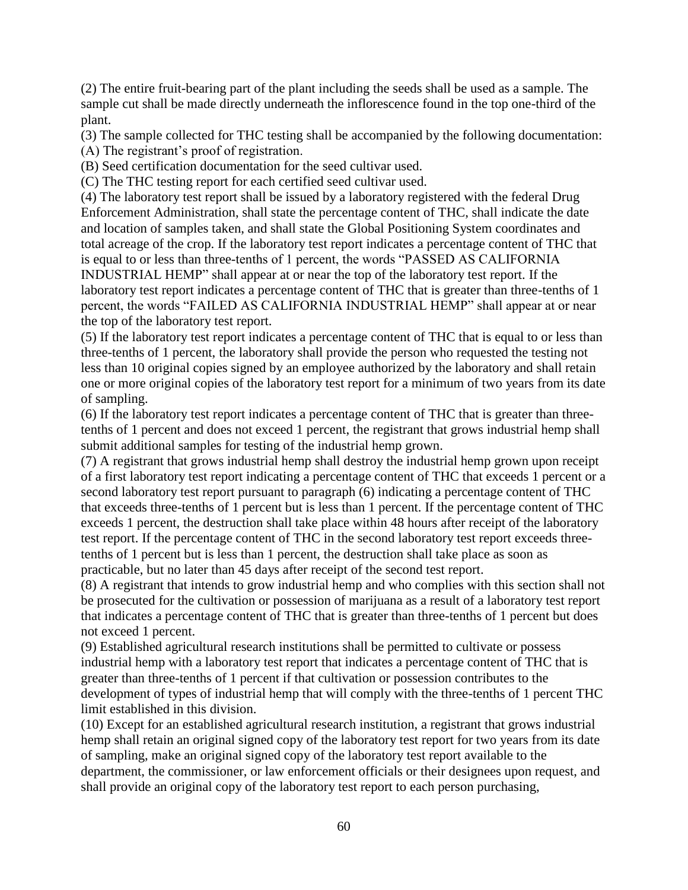(2) The entire fruit-bearing part of the plant including the seeds shall be used as a sample. The sample cut shall be made directly underneath the inflorescence found in the top one-third of the plant.

(3) The sample collected for THC testing shall be accompanied by the following documentation: (A) The registrant's proof of registration.

(B) Seed certification documentation for the seed cultivar used.

(C) The THC testing report for each certified seed cultivar used.

(4) The laboratory test report shall be issued by a laboratory registered with the federal Drug Enforcement Administration, shall state the percentage content of THC, shall indicate the date and location of samples taken, and shall state the Global Positioning System coordinates and total acreage of the crop. If the laboratory test report indicates a percentage content of THC that is equal to or less than three-tenths of 1 percent, the words "PASSED AS CALIFORNIA INDUSTRIAL HEMP" shall appear at or near the top of the laboratory test report. If the laboratory test report indicates a percentage content of THC that is greater than three-tenths of 1 percent, the words "FAILED AS CALIFORNIA INDUSTRIAL HEMP" shall appear at or near the top of the laboratory test report.

(5) If the laboratory test report indicates a percentage content of THC that is equal to or less than three-tenths of 1 percent, the laboratory shall provide the person who requested the testing not less than 10 original copies signed by an employee authorized by the laboratory and shall retain one or more original copies of the laboratory test report for a minimum of two years from its date of sampling.

(6) If the laboratory test report indicates a percentage content of THC that is greater than threetenths of 1 percent and does not exceed 1 percent, the registrant that grows industrial hemp shall submit additional samples for testing of the industrial hemp grown.

(7) A registrant that grows industrial hemp shall destroy the industrial hemp grown upon receipt of a first laboratory test report indicating a percentage content of THC that exceeds 1 percent or a second laboratory test report pursuant to paragraph (6) indicating a percentage content of THC that exceeds three-tenths of 1 percent but is less than 1 percent. If the percentage content of THC exceeds 1 percent, the destruction shall take place within 48 hours after receipt of the laboratory test report. If the percentage content of THC in the second laboratory test report exceeds threetenths of 1 percent but is less than 1 percent, the destruction shall take place as soon as practicable, but no later than 45 days after receipt of the second test report.

(8) A registrant that intends to grow industrial hemp and who complies with this section shall not be prosecuted for the cultivation or possession of marijuana as a result of a laboratory test report that indicates a percentage content of THC that is greater than three-tenths of 1 percent but does not exceed 1 percent.

(9) Established agricultural research institutions shall be permitted to cultivate or possess industrial hemp with a laboratory test report that indicates a percentage content of THC that is greater than three-tenths of 1 percent if that cultivation or possession contributes to the development of types of industrial hemp that will comply with the three-tenths of 1 percent THC limit established in this division.

(10) Except for an established agricultural research institution, a registrant that grows industrial hemp shall retain an original signed copy of the laboratory test report for two years from its date of sampling, make an original signed copy of the laboratory test report available to the department, the commissioner, or law enforcement officials or their designees upon request, and shall provide an original copy of the laboratory test report to each person purchasing,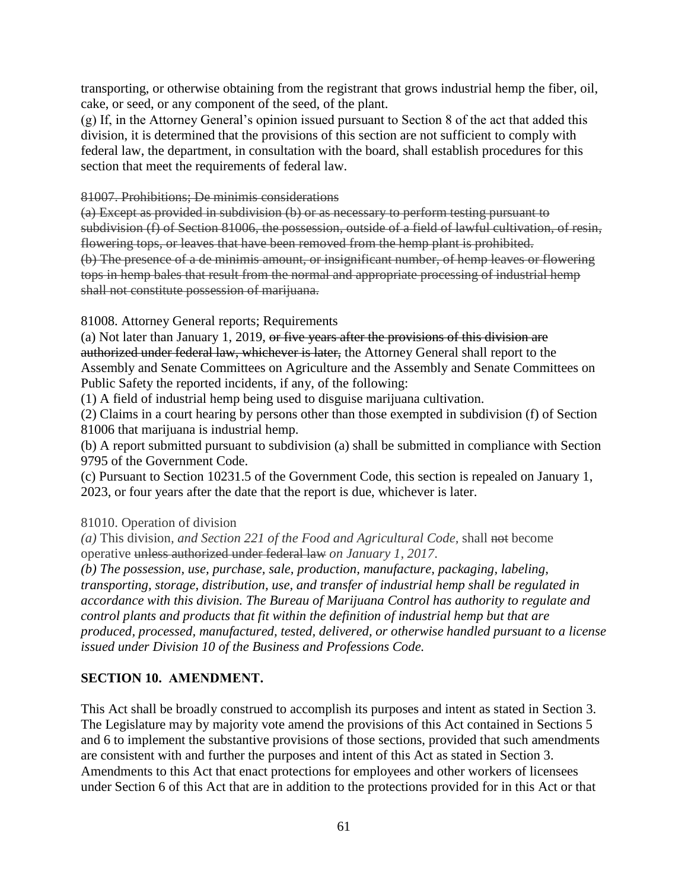transporting, or otherwise obtaining from the registrant that grows industrial hemp the fiber, oil, cake, or seed, or any component of the seed, of the plant.

(g) If, in the Attorney General's opinion issued pursuant to Section 8 of the act that added this division, it is determined that the provisions of this section are not sufficient to comply with federal law, the department, in consultation with the board, shall establish procedures for this section that meet the requirements of federal law.

#### 81007. Prohibitions; De minimis considerations

(a) Except as provided in subdivision (b) or as necessary to perform testing pursuant to subdivision (f) of Section 81006, the possession, outside of a field of lawful cultivation, of resin, flowering tops, or leaves that have been removed from the hemp plant is prohibited. (b) The presence of a de minimis amount, or insignificant number, of hemp leaves or flowering tops in hemp bales that result from the normal and appropriate processing of industrial hemp shall not constitute possession of marijuana.

#### 81008. Attorney General reports; Requirements

(a) Not later than January 1, 2019, or five years after the provisions of this division are authorized under federal law, whichever is later, the Attorney General shall report to the Assembly and Senate Committees on Agriculture and the Assembly and Senate Committees on Public Safety the reported incidents, if any, of the following:

(1) A field of industrial hemp being used to disguise marijuana cultivation.

(2) Claims in a court hearing by persons other than those exempted in subdivision (f) of Section 81006 that marijuana is industrial hemp.

(b) A report submitted pursuant to subdivision (a) shall be submitted in compliance with Section 9795 of the Government Code.

(c) Pursuant to Section 10231.5 of the Government Code, this section is repealed on January 1, 2023, or four years after the date that the report is due, whichever is later.

#### 81010. Operation of division

*(a)* This division*, and Section 221 of the Food and Agricultural Code,* shall not become operative unless authorized under federal law *on January 1, 2017*.

*(b) The possession, use, purchase, sale, production, manufacture, packaging, labeling, transporting, storage, distribution, use, and transfer of industrial hemp shall be regulated in accordance with this division. The Bureau of Marijuana Control has authority to regulate and control plants and products that fit within the definition of industrial hemp but that are produced, processed, manufactured, tested, delivered, or otherwise handled pursuant to a license issued under Division 10 of the Business and Professions Code.* 

#### **SECTION 10. AMENDMENT.**

This Act shall be broadly construed to accomplish its purposes and intent as stated in Section 3. The Legislature may by majority vote amend the provisions of this Act contained in Sections 5 and 6 to implement the substantive provisions of those sections, provided that such amendments are consistent with and further the purposes and intent of this Act as stated in Section 3. Amendments to this Act that enact protections for employees and other workers of licensees under Section 6 of this Act that are in addition to the protections provided for in this Act or that